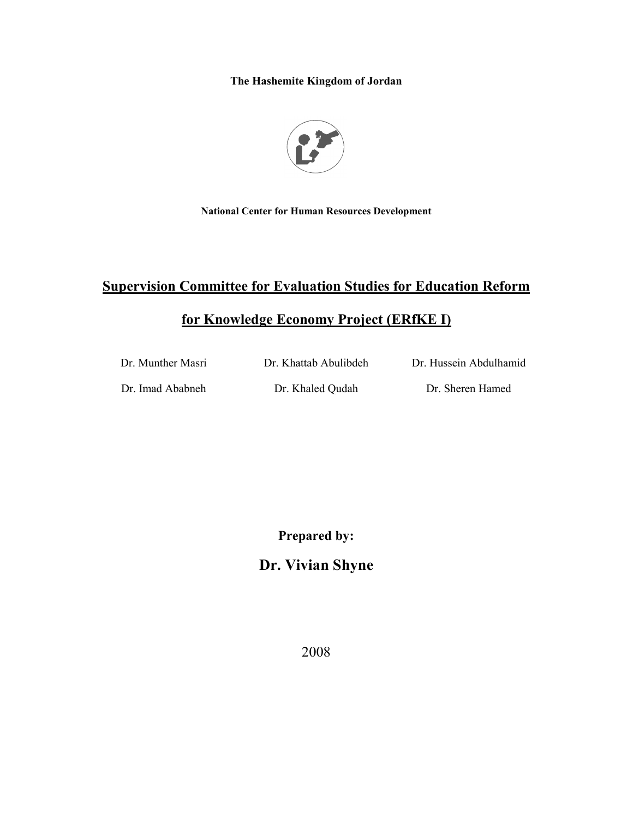The Hashemite Kingdom of Jordan



**National Center for Human Resources Development** 

# **Supervision Committee for Evaluation Studies for Education Reform**

# for Knowledge Economy Project (ERfKE I)

| Dr. Munther Masri | Dr. Khattab Abulibdeh | Dr. Hussein Abdulhamid |
|-------------------|-----------------------|------------------------|
| Dr. Imad Ababneh  | Dr. Khaled Qudah      | Dr. Sheren Hamed       |

**Prepared by:** 

# Dr. Vivian Shyne

2008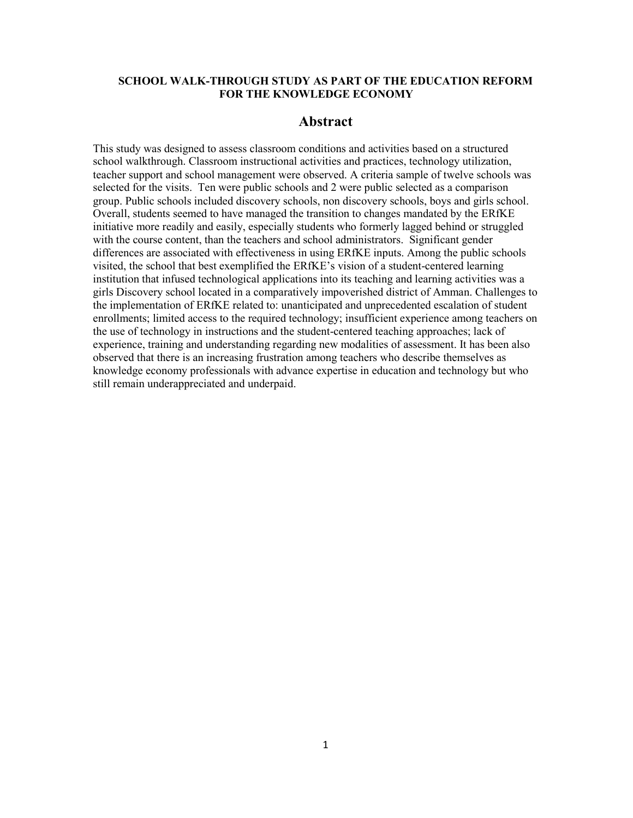## **SCHOOL WALK-THROUGH STUDY AS PART OF THE EDUCATION REFORM** FOR THE KNOWLEDGE ECONOMY

## **Abstract**

This study was designed to assess classroom conditions and activities based on a structured school walkthrough. Classroom instructional activities and practices, technology utilization, teacher support and school management were observed. A criteria sample of twelve schools was selected for the visits. Ten were public schools and 2 were public selected as a comparison group. Public schools included discovery schools, non discovery schools, boys and girls school. Overall, students seemed to have managed the transition to changes mandated by the ERfKE initiative more readily and easily, especially students who formerly lagged behind or struggled with the course content, than the teachers and school administrators. Significant gender differences are associated with effectiveness in using ERfKE inputs. Among the public schools visited, the school that best exemplified the ERfKE's vision of a student-centered learning institution that infused technological applications into its teaching and learning activities was a girls Discovery school located in a comparatively impoverished district of Amman. Challenges to the implementation of ERfKE related to: unanticipated and unprecedented escalation of student enrollments; limited access to the required technology; insufficient experience among teachers on the use of technology in instructions and the student-centered teaching approaches; lack of experience, training and understanding regarding new modalities of assessment. It has been also observed that there is an increasing frustration among teachers who describe themselves as knowledge economy professionals with advance expertise in education and technology but who still remain underappreciated and underpaid.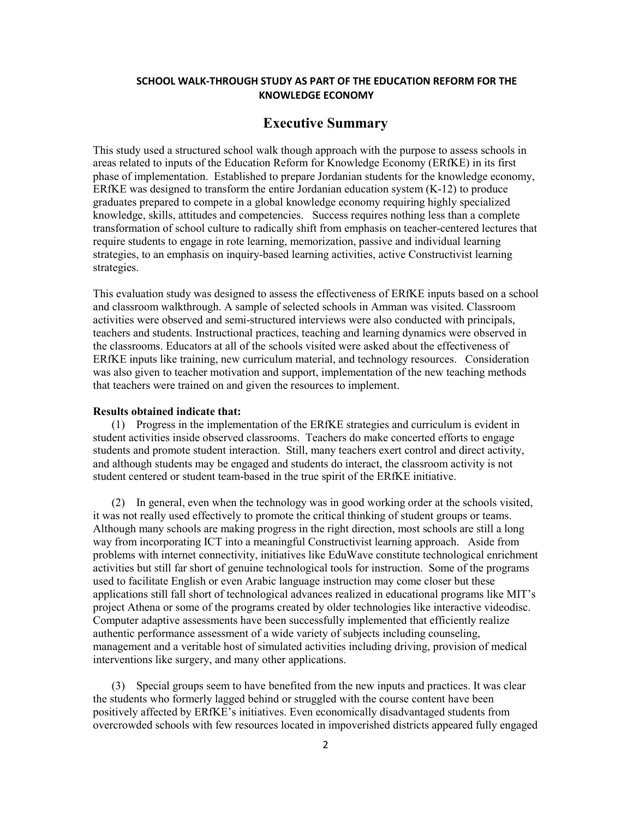## SCHOOL WALK-THROUGH STUDY AS PART OF THE EDUCATION REFORM FOR THE **KNOWLEDGE ECONOMY**

## **Executive Summary**

This study used a structured school walk though approach with the purpose to assess schools in areas related to inputs of the Education Reform for Knowledge Economy (ERfKE) in its first phase of implementation. Established to prepare Jordanian students for the knowledge economy, ERfKE was designed to transform the entire Jordanian education system  $(K-12)$  to produce graduates prepared to compete in a global knowledge economy requiring highly specialized knowledge, skills, attitudes and competencies. Success requires nothing less than a complete transformation of school culture to radically shift from emphasis on teacher-centered lectures that require students to engage in rote learning, memorization, passive and individual learning strategies, to an emphasis on inquiry-based learning activities, active Constructivist learning strategies.

This evaluation study was designed to assess the effectiveness of ERfKE inputs based on a school and classroom walkthrough. A sample of selected schools in Amman was visited. Classroom activities were observed and semi-structured interviews were also conducted with principals, teachers and students. Instructional practices, teaching and learning dynamics were observed in the classrooms. Educators at all of the schools visited were asked about the effectiveness of ERfKE inputs like training, new curriculum material, and technology resources. Consideration was also given to teacher motivation and support, implementation of the new teaching methods that teachers were trained on and given the resources to implement.

### **Results obtained indicate that:**

(1) Progress in the implementation of the ERfKE strategies and curriculum is evident in student activities inside observed classrooms. Teachers do make concerted efforts to engage students and promote student interaction. Still, many teachers exert control and direct activity, and although students may be engaged and students do interact, the classroom activity is not student centered or student team-based in the true spirit of the ERfKE initiative.

(2) In general, even when the technology was in good working order at the schools visited, it was not really used effectively to promote the critical thinking of student groups or teams. Although many schools are making progress in the right direction, most schools are still a long way from incorporating ICT into a meaningful Constructivist learning approach. Aside from problems with internet connectivity, initiatives like EduWave constitute technological enrichment activities but still far short of genuine technological tools for instruction. Some of the programs used to facilitate English or even Arabic language instruction may come closer but these applications still fall short of technological advances realized in educational programs like MIT's project Athena or some of the programs created by older technologies like interactive videodisc. Computer adaptive assessments have been successfully implemented that efficiently realize authentic performance assessment of a wide variety of subjects including counseling, management and a veritable host of simulated activities including driving, provision of medical interventions like surgery, and many other applications.

(3) Special groups seem to have benefited from the new inputs and practices. It was clear the students who formerly lagged behind or struggled with the course content have been positively affected by ERfKE's initiatives. Even economically disadvantaged students from overcrowded schools with few resources located in impoverished districts appeared fully engaged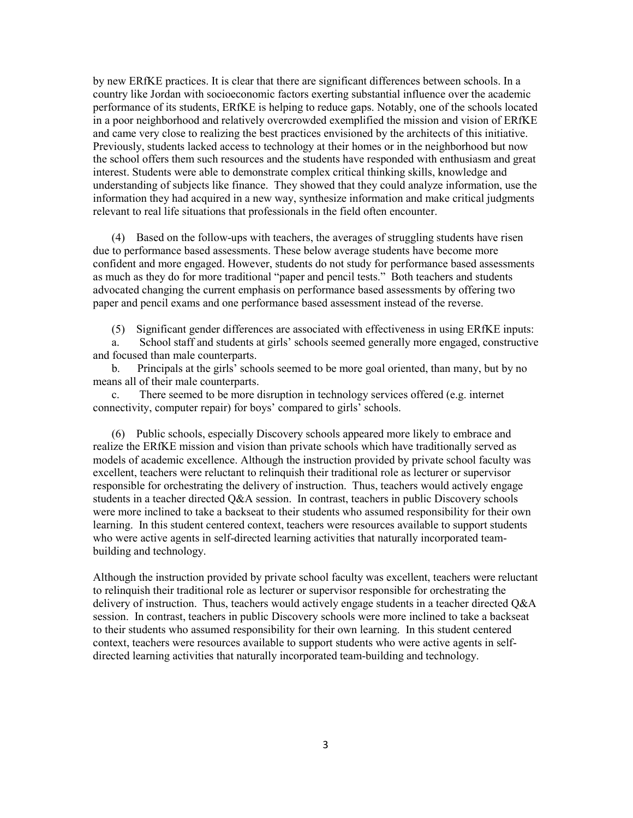by new ERfKE practices. It is clear that there are significant differences between schools. In a country like Jordan with socioeconomic factors exerting substantial influence over the academic performance of its students, ERfKE is helping to reduce gaps. Notably, one of the schools located in a poor neighborhood and relatively overcrowded exemplified the mission and vision of ERfKE and came very close to realizing the best practices envisioned by the architects of this initiative. Previously, students lacked access to technology at their homes or in the neighborhood but now the school offers them such resources and the students have responded with enthusiasm and great interest. Students were able to demonstrate complex critical thinking skills, knowledge and understanding of subjects like finance. They showed that they could analyze information, use the information they had acquired in a new way, synthesize information and make critical judgments relevant to real life situations that professionals in the field often encounter.

(4) Based on the follow-ups with teachers, the averages of struggling students have risen due to performance based assessments. These below average students have become more confident and more engaged. However, students do not study for performance based assessments as much as they do for more traditional "paper and pencil tests." Both teachers and students advocated changing the current emphasis on performance based assessments by offering two paper and pencil exams and one performance based assessment instead of the reverse.

(5) Significant gender differences are associated with effectiveness in using ERfKE inputs:

School staff and students at girls' schools seemed generally more engaged, constructive a. and focused than male counterparts.

Principals at the girls' schools seemed to be more goal oriented, than many, but by no  $\mathbf{b}$ . means all of their male counterparts.

There seemed to be more disruption in technology services offered (e.g. internet  $c_{\cdot}$ connectivity, computer repair) for boys' compared to girls' schools.

(6) Public schools, especially Discovery schools appeared more likely to embrace and realize the ERfKE mission and vision than private schools which have traditionally served as models of academic excellence. Although the instruction provided by private school faculty was excellent, teachers were reluctant to relinquish their traditional role as lecturer or supervisor responsible for orchestrating the delivery of instruction. Thus, teachers would actively engage students in a teacher directed Q&A session. In contrast, teachers in public Discovery schools were more inclined to take a backseat to their students who assumed responsibility for their own learning. In this student centered context, teachers were resources available to support students who were active agents in self-directed learning activities that naturally incorporated teambuilding and technology.

Although the instruction provided by private school faculty was excellent, teachers were reluctant to relinquish their traditional role as lecturer or supervisor responsible for orchestrating the delivery of instruction. Thus, teachers would actively engage students in a teacher directed  $Q\&A$ session. In contrast, teachers in public Discovery schools were more inclined to take a backseat to their students who assumed responsibility for their own learning. In this student centered context, teachers were resources available to support students who were active agents in selfdirected learning activities that naturally incorporated team-building and technology.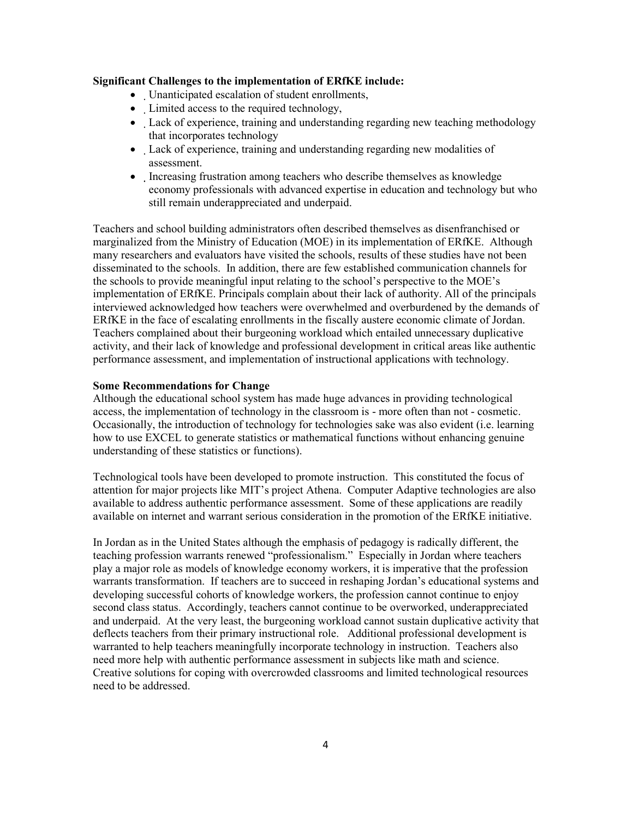## **Significant Challenges to the implementation of ERfKE include:**

- Unanticipated escalation of student enrollments,
- Limited access to the required technology,
- Lack of experience, training and understanding regarding new teaching methodology that incorporates technology
- Lack of experience, training and understanding regarding new modalities of assessment.
- Increasing frustration among teachers who describe themselves as knowledge economy professionals with advanced expertise in education and technology but who still remain underappreciated and underpaid.

Teachers and school building administrators often described themselves as disenfranchised or marginalized from the Ministry of Education (MOE) in its implementation of ERfKE. Although many researchers and evaluators have visited the schools, results of these studies have not been disseminated to the schools. In addition, there are few established communication channels for the schools to provide meaningful input relating to the school's perspective to the MOE's implementation of ERfKE. Principals complain about their lack of authority. All of the principals interviewed acknowledged how teachers were overwhelmed and overburdened by the demands of ERfKE in the face of escalating enrollments in the fiscally austere economic climate of Jordan. Teachers complained about their burgeoning workload which entailed unnecessary duplicative activity, and their lack of knowledge and professional development in critical areas like authentic performance assessment, and implementation of instructional applications with technology.

## **Some Recommendations for Change**

Although the educational school system has made huge advances in providing technological access, the implementation of technology in the classroom is - more often than not - cosmetic. Occasionally, the introduction of technology for technologies sake was also evident (i.e. learning how to use EXCEL to generate statistics or mathematical functions without enhancing genuine understanding of these statistics or functions).

Technological tools have been developed to promote instruction. This constituted the focus of attention for major projects like MIT's project Athena. Computer Adaptive technologies are also available to address authentic performance assessment. Some of these applications are readily available on internet and warrant serious consideration in the promotion of the ERfKE initiative.

In Jordan as in the United States although the emphasis of pedagogy is radically different, the teaching profession warrants renewed "professionalism." Especially in Jordan where teachers play a major role as models of knowledge economy workers, it is imperative that the profession warrants transformation. If teachers are to succeed in reshaping Jordan's educational systems and developing successful cohorts of knowledge workers, the profession cannot continue to enjoy second class status. Accordingly, teachers cannot continue to be overworked, underappreciated and underpaid. At the very least, the burgeoning workload cannot sustain duplicative activity that deflects teachers from their primary instructional role. Additional professional development is warranted to help teachers meaningfully incorporate technology in instruction. Teachers also need more help with authentic performance assessment in subjects like math and science. Creative solutions for coping with overcrowded classrooms and limited technological resources need to be addressed.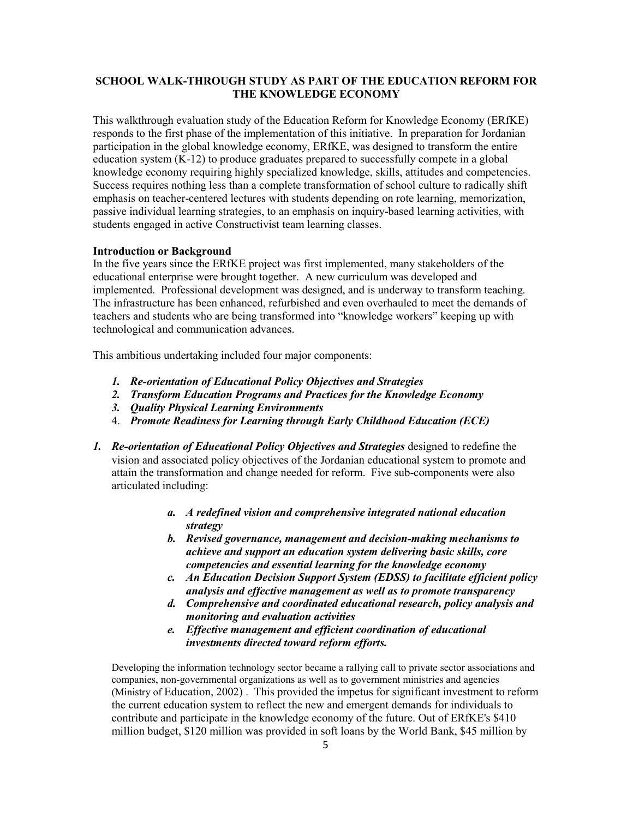## **SCHOOL WALK-THROUGH STUDY AS PART OF THE EDUCATION REFORM FOR** THE KNOWLEDGE ECONOMY

This walkthrough evaluation study of the Education Reform for Knowledge Economy (ERfKE) responds to the first phase of the implementation of this initiative. In preparation for Jordanian participation in the global knowledge economy, ERfKE, was designed to transform the entire education system (K-12) to produce graduates prepared to successfully compete in a global knowledge economy requiring highly specialized knowledge, skills, attitudes and competencies. Success requires nothing less than a complete transformation of school culture to radically shift emphasis on teacher-centered lectures with students depending on rote learning, memorization, passive individual learning strategies, to an emphasis on inquiry-based learning activities, with students engaged in active Constructivist team learning classes.

## **Introduction or Background**

In the five years since the ERfKE project was first implemented, many stakeholders of the educational enterprise were brought together. A new curriculum was developed and implemented. Professional development was designed, and is underway to transform teaching. The infrastructure has been enhanced, refurbished and even overhauled to meet the demands of teachers and students who are being transformed into "knowledge workers" keeping up with technological and communication advances.

This ambitious undertaking included four major components:

- 1. Re-orientation of Educational Policy Objectives and Strategies
- 2. Transform Education Programs and Practices for the Knowledge Economy
- 3. Ouality Physical Learning Environments
- 4. Promote Readiness for Learning through Early Childhood Education (ECE)
- 1. Re-orientation of Educational Policy Objectives and Strategies designed to redefine the vision and associated policy objectives of the Jordanian educational system to promote and attain the transformation and change needed for reform. Five sub-components were also articulated including:
	- a. A redefined vision and comprehensive integrated national education strategy
	- b. Revised governance, management and decision-making mechanisms to achieve and support an education system delivering basic skills, core competencies and essential learning for the knowledge economy
	- c. An Education Decision Support System (EDSS) to facilitate efficient policy analysis and effective management as well as to promote transparency
	- d. Comprehensive and coordinated educational research, policy analysis and monitoring and evaluation activities
	- e. Effective management and efficient coordination of educational investments directed toward reform efforts.

Developing the information technology sector became a rallying call to private sector associations and companies, non-governmental organizations as well as to government ministries and agencies (Ministry of Education, 2002). This provided the impetus for significant investment to reform the current education system to reflect the new and emergent demands for individuals to contribute and participate in the knowledge economy of the future. Out of ERfKE's \$410 million budget, \$120 million was provided in soft loans by the World Bank, \$45 million by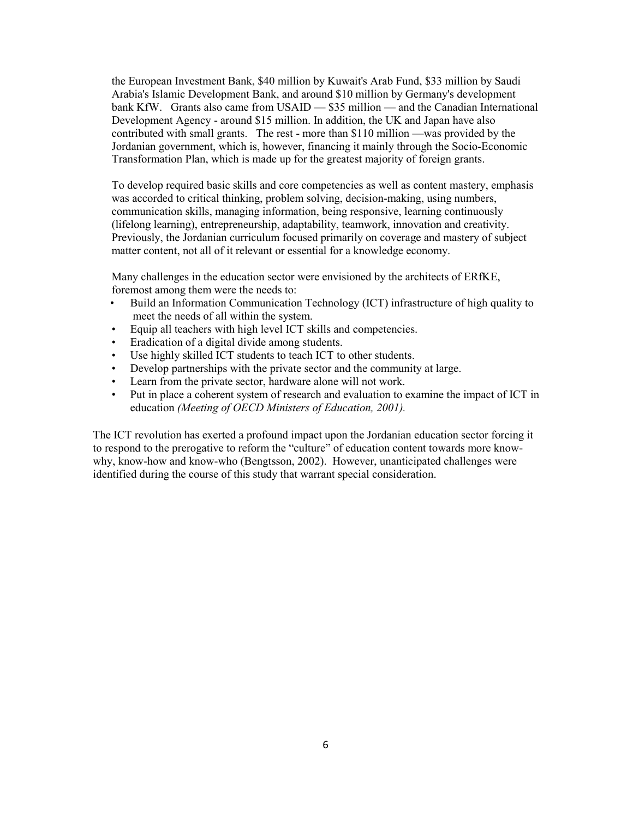the European Investment Bank, \$40 million by Kuwait's Arab Fund, \$33 million by Saudi Arabia's Islamic Development Bank, and around \$10 million by Germany's development bank KfW. Grants also came from USAID — \$35 million — and the Canadian International Development Agency - around \$15 million. In addition, the UK and Japan have also contributed with small grants. The rest - more than \$110 million —was provided by the Jordanian government, which is, however, financing it mainly through the Socio-Economic Transformation Plan, which is made up for the greatest majority of foreign grants.

To develop required basic skills and core competencies as well as content mastery, emphasis was accorded to critical thinking, problem solving, decision-making, using numbers, communication skills, managing information, being responsive, learning continuously (lifelong learning), entrepreneurship, adaptability, teamwork, innovation and creativity. Previously, the Jordanian curriculum focused primarily on coverage and mastery of subject matter content, not all of it relevant or essential for a knowledge economy.

Many challenges in the education sector were envisioned by the architects of ERfKE, foremost among them were the needs to:

- Build an Information Communication Technology (ICT) infrastructure of high quality to  $\bullet$ meet the needs of all within the system.
- $\bullet$ Equip all teachers with high level ICT skills and competencies.
- Eradication of a digital divide among students.
- Use highly skilled ICT students to teach ICT to other students.
- $\bullet$ Develop partnerships with the private sector and the community at large.
- Learn from the private sector, hardware alone will not work.
- Put in place a coherent system of research and evaluation to examine the impact of ICT in  $\bullet$ education (Meeting of OECD Ministers of Education, 2001).

The ICT revolution has exerted a profound impact upon the Jordanian education sector forcing it to respond to the prerogative to reform the "culture" of education content towards more knowwhy, know-how and know-who (Bengtsson, 2002). However, unanticipated challenges were identified during the course of this study that warrant special consideration.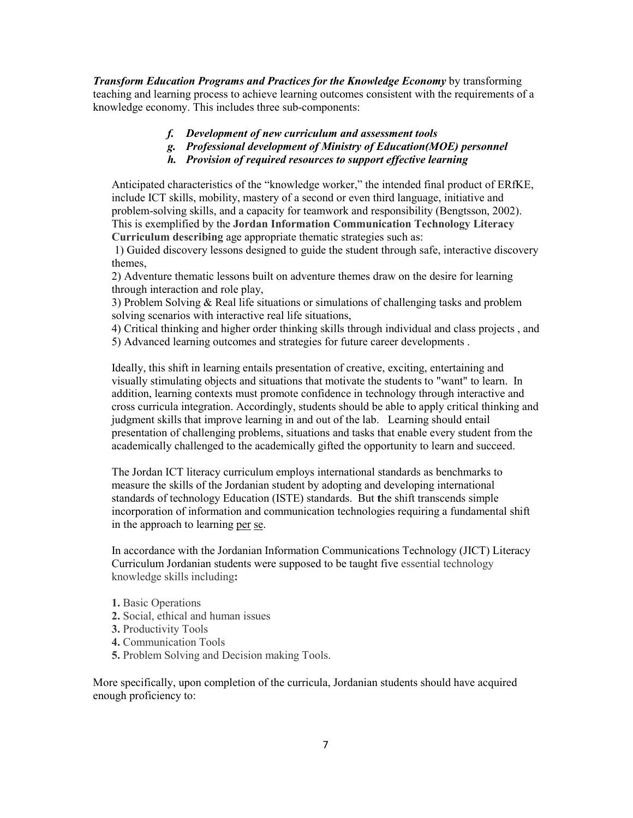**Transform Education Programs and Practices for the Knowledge Economy** by transforming teaching and learning process to achieve learning outcomes consistent with the requirements of a knowledge economy. This includes three sub-components:

- f. Development of new curriculum and assessment tools
- g. Professional development of Ministry of Education(MOE) personnel
- h. Provision of required resources to support effective learning

Anticipated characteristics of the "knowledge worker," the intended final product of ERfKE, include ICT skills, mobility, mastery of a second or even third language, initiative and problem-solving skills, and a capacity for teamwork and responsibility (Bengtsson, 2002). This is exemplified by the Jordan Information Communication Technology Literacy Curriculum describing age appropriate thematic strategies such as:

1) Guided discovery lessons designed to guide the student through safe, interactive discovery themes.

2) Adventure thematic lessons built on adventure themes draw on the desire for learning through interaction and role play,

3) Problem Solving  $\&$  Real life situations or simulations of challenging tasks and problem solving scenarios with interactive real life situations,

4) Critical thinking and higher order thinking skills through individual and class projects, and 5) Advanced learning outcomes and strategies for future career developments.

Ideally, this shift in learning entails presentation of creative, exciting, entertaining and visually stimulating objects and situations that motivate the students to "want" to learn. In addition, learning contexts must promote confidence in technology through interactive and cross curricula integration. Accordingly, students should be able to apply critical thinking and judgment skills that improve learning in and out of the lab. Learning should entail presentation of challenging problems, situations and tasks that enable every student from the academically challenged to the academically gifted the opportunity to learn and succeed.

The Jordan ICT literacy curriculum employs international standards as benchmarks to measure the skills of the Jordanian student by adopting and developing international standards of technology Education (ISTE) standards. But the shift transcends simple incorporation of information and communication technologies requiring a fundamental shift in the approach to learning per se.

In accordance with the Jordanian Information Communications Technology (JICT) Literacy Curriculum Jordanian students were supposed to be taught five essential technology knowledge skills including:

- 1. Basic Operations
- 2. Social, ethical and human issues
- 3. Productivity Tools
- 4. Communication Tools
- 5. Problem Solving and Decision making Tools.

More specifically, upon completion of the curricula, Jordanian students should have acquired enough proficiency to: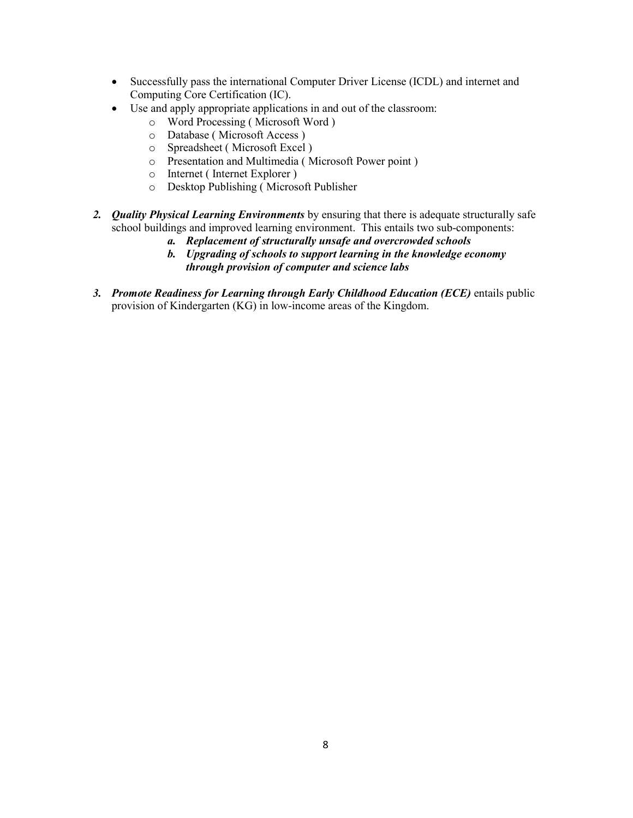- Successfully pass the international Computer Driver License (ICDL) and internet and Computing Core Certification (IC).
- Use and apply appropriate applications in and out of the classroom:
	- o Word Processing (Microsoft Word)
	- o Database (Microsoft Access)
	- o Spreadsheet (Microsoft Excel)
	- o Presentation and Multimedia (Microsoft Power point)
	- o Internet (Internet Explorer)
	- O Desktop Publishing (Microsoft Publisher
- 2. Quality Physical Learning Environments by ensuring that there is adequate structurally safe school buildings and improved learning environment. This entails two sub-components:
	- a. Replacement of structurally unsafe and overcrowded schools
	- b. Upgrading of schools to support learning in the knowledge economy through provision of computer and science labs
- 3. Promote Readiness for Learning through Early Childhood Education (ECE) entails public provision of Kindergarten (KG) in low-income areas of the Kingdom.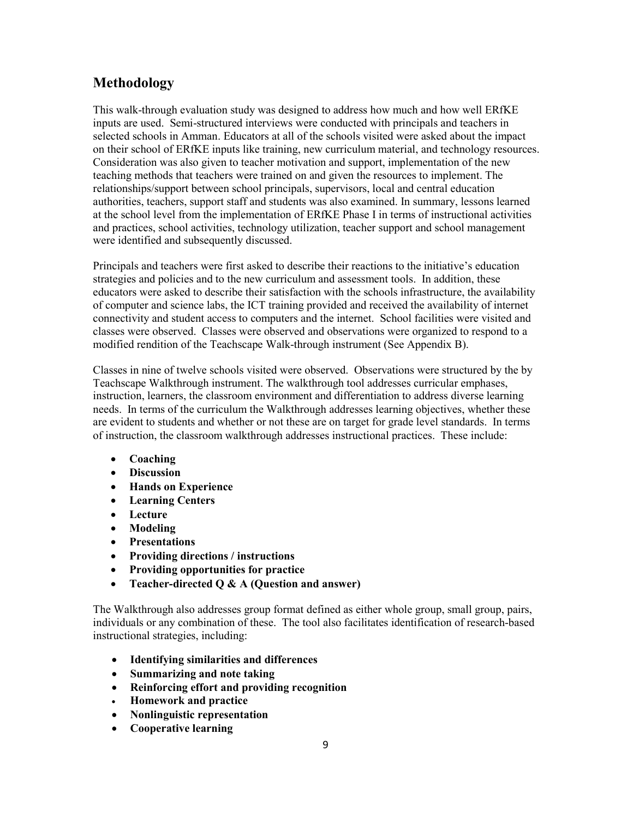## Methodology

This walk-through evaluation study was designed to address how much and how well ERfKE inputs are used. Semi-structured interviews were conducted with principals and teachers in selected schools in Amman. Educators at all of the schools visited were asked about the impact on their school of ERfKE inputs like training, new curriculum material, and technology resources. Consideration was also given to teacher motivation and support, implementation of the new teaching methods that teachers were trained on and given the resources to implement. The relationships/support between school principals, supervisors, local and central education authorities, teachers, support staff and students was also examined. In summary, lessons learned at the school level from the implementation of ERfKE Phase I in terms of instructional activities and practices, school activities, technology utilization, teacher support and school management were identified and subsequently discussed.

Principals and teachers were first asked to describe their reactions to the initiative's education strategies and policies and to the new curriculum and assessment tools. In addition, these educators were asked to describe their satisfaction with the schools infrastructure, the availability of computer and science labs, the ICT training provided and received the availability of internet connectivity and student access to computers and the internet. School facilities were visited and classes were observed. Classes were observed and observations were organized to respond to a modified rendition of the Teachscape Walk-through instrument (See Appendix B).

Classes in nine of twelve schools visited were observed. Observations were structured by the by Teachscape Walkthrough instrument. The walkthrough tool addresses curricular emphases, instruction, learners, the classroom environment and differentiation to address diverse learning needs. In terms of the curriculum the Walkthrough addresses learning objectives, whether these are evident to students and whether or not these are on target for grade level standards. In terms of instruction, the classroom walkthrough addresses instructional practices. These include:

- $\bullet$  Coaching
- Discussion
- Hands on Experience
- Learning Centers
- Lecture
- Modeling
- Presentations
- Providing directions / instructions
- Providing opportunities for practice  $\bullet$
- Teacher-directed  $Q \& A$  (Question and answer)  $\bullet$

The Walkthrough also addresses group format defined as either whole group, small group, pairs, individuals or any combination of these. The tool also facilitates identification of research-based instructional strategies, including:

- Identifying similarities and differences
- Summarizing and note taking
- Reinforcing effort and providing recognition
- Homework and practice
- Nonlinguistic representation
- Cooperative learning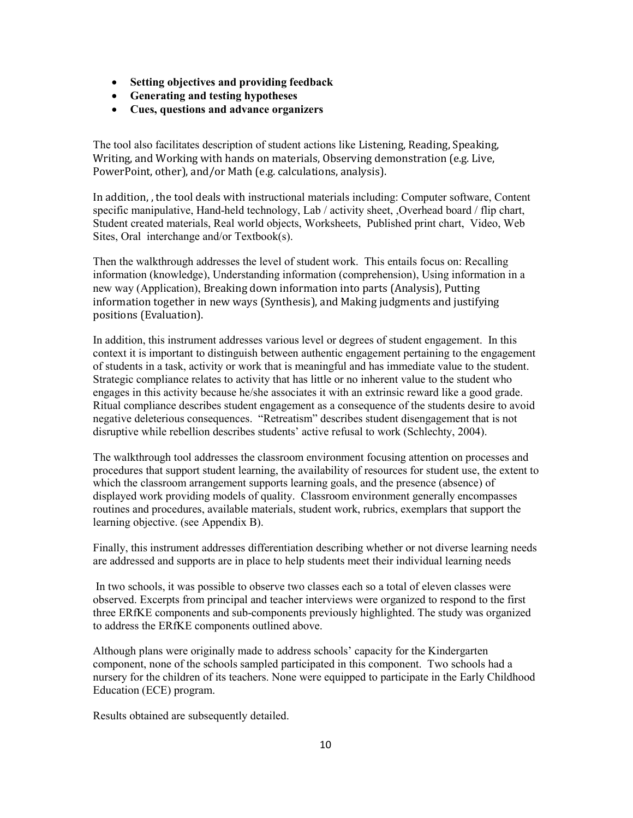- Setting objectives and providing feedback
- Generating and testing hypotheses
- Cues, questions and advance organizers

The tool also facilitates description of student actions like Listening, Reading, Speaking, Writing, and Working with hands on materials, Observing demonstration (e.g. Live, PowerPoint, other), and/or Math (e.g. calculations, analysis).

In addition, the tool deals with instructional materials including: Computer software, Content specific manipulative, Hand-held technology, Lab / activity sheet, Overhead board / flip chart, Student created materials, Real world objects, Worksheets, Published print chart, Video, Web Sites, Oral interchange and/or Textbook(s).

Then the walkthrough addresses the level of student work. This entails focus on: Recalling information (knowledge), Understanding information (comprehension), Using information in a new way (Application), Breaking down information into parts (Analysis), Putting information together in new ways (Synthesis), and Making judgments and justifying positions (Evaluation).

In addition, this instrument addresses various level or degrees of student engagement. In this context it is important to distinguish between authentic engagement pertaining to the engagement of students in a task, activity or work that is meaningful and has immediate value to the student. Strategic compliance relates to activity that has little or no inherent value to the student who engages in this activity because he/she associates it with an extrinsic reward like a good grade. Ritual compliance describes student engagement as a consequence of the students desire to avoid negative deleterious consequences. "Retreatism" describes student disengagement that is not disruptive while rebellion describes students' active refusal to work (Schlechty, 2004).

The walkthrough tool addresses the classroom environment focusing attention on processes and procedures that support student learning, the availability of resources for student use, the extent to which the classroom arrangement supports learning goals, and the presence (absence) of displayed work providing models of quality. Classroom environment generally encompasses routines and procedures, available materials, student work, rubrics, exemplars that support the learning objective. (see Appendix B).

Finally, this instrument addresses differentiation describing whether or not diverse learning needs are addressed and supports are in place to help students meet their individual learning needs

In two schools, it was possible to observe two classes each so a total of eleven classes were observed. Excerpts from principal and teacher interviews were organized to respond to the first three ERfKE components and sub-components previously highlighted. The study was organized to address the ERfKE components outlined above.

Although plans were originally made to address schools' capacity for the Kindergarten component, none of the schools sampled participated in this component. Two schools had a nursery for the children of its teachers. None were equipped to participate in the Early Childhood Education (ECE) program.

Results obtained are subsequently detailed.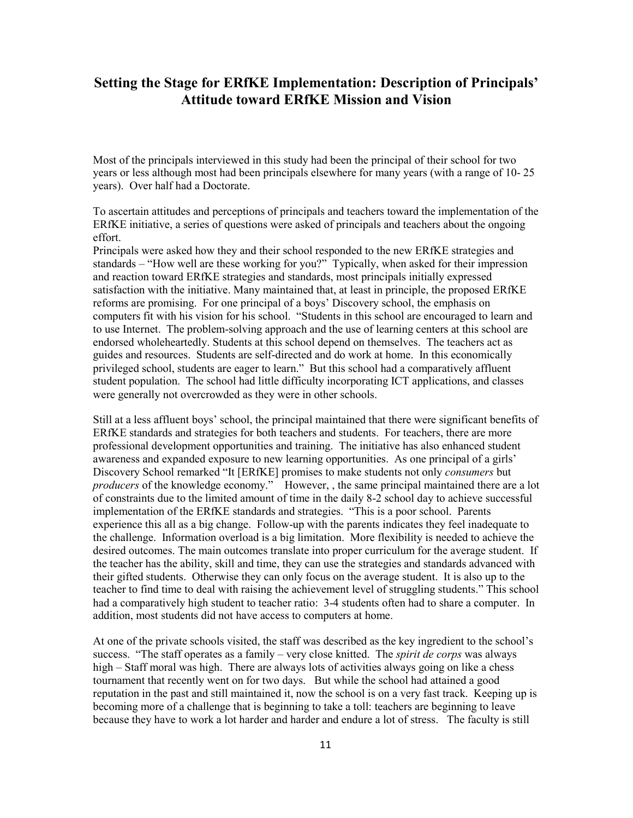## Setting the Stage for ERfKE Implementation: Description of Principals' **Attitude toward ERfKE Mission and Vision**

Most of the principals interviewed in this study had been the principal of their school for two years or less although most had been principals elsewhere for many years (with a range of 10-25 years). Over half had a Doctorate.

To ascertain attitudes and perceptions of principals and teachers toward the implementation of the ERfKE initiative, a series of questions were asked of principals and teachers about the ongoing effort.

Principals were asked how they and their school responded to the new ERfKE strategies and standards – "How well are these working for you?" Typically, when asked for their impression and reaction toward ERfKE strategies and standards, most principals initially expressed satisfaction with the initiative. Many maintained that, at least in principle, the proposed ERfKE reforms are promising. For one principal of a boys' Discovery school, the emphasis on computers fit with his vision for his school. "Students in this school are encouraged to learn and to use Internet. The problem-solving approach and the use of learning centers at this school are endorsed wholeheartedly. Students at this school depend on themselves. The teachers act as guides and resources. Students are self-directed and do work at home. In this economically privileged school, students are eager to learn." But this school had a comparatively affluent student population. The school had little difficulty incorporating ICT applications, and classes were generally not overcrowded as they were in other schools.

Still at a less affluent boys' school, the principal maintained that there were significant benefits of ERfKE standards and strategies for both teachers and students. For teachers, there are more professional development opportunities and training. The initiative has also enhanced student awareness and expanded exposure to new learning opportunities. As one principal of a girls' Discovery School remarked "It [ERfKE] promises to make students not only *consumers* but *producers* of the knowledge economy." However, , the same principal maintained there are a lot of constraints due to the limited amount of time in the daily 8-2 school day to achieve successful implementation of the ERfKE standards and strategies. "This is a poor school. Parents experience this all as a big change. Follow-up with the parents indicates they feel inadequate to the challenge. Information overload is a big limitation. More flexibility is needed to achieve the desired outcomes. The main outcomes translate into proper curriculum for the average student. If the teacher has the ability, skill and time, they can use the strategies and standards advanced with their gifted students. Otherwise they can only focus on the average student. It is also up to the teacher to find time to deal with raising the achievement level of struggling students." This school had a comparatively high student to teacher ratio: 3-4 students often had to share a computer. In addition, most students did not have access to computers at home.

At one of the private schools visited, the staff was described as the key ingredient to the school's success. "The staff operates as a family – very close knitted. The *spirit de corps* was always high – Staff moral was high. There are always lots of activities always going on like a chess tournament that recently went on for two days. But while the school had attained a good reputation in the past and still maintained it, now the school is on a very fast track. Keeping up is becoming more of a challenge that is beginning to take a toll: teachers are beginning to leave because they have to work a lot harder and harder and endure a lot of stress. The faculty is still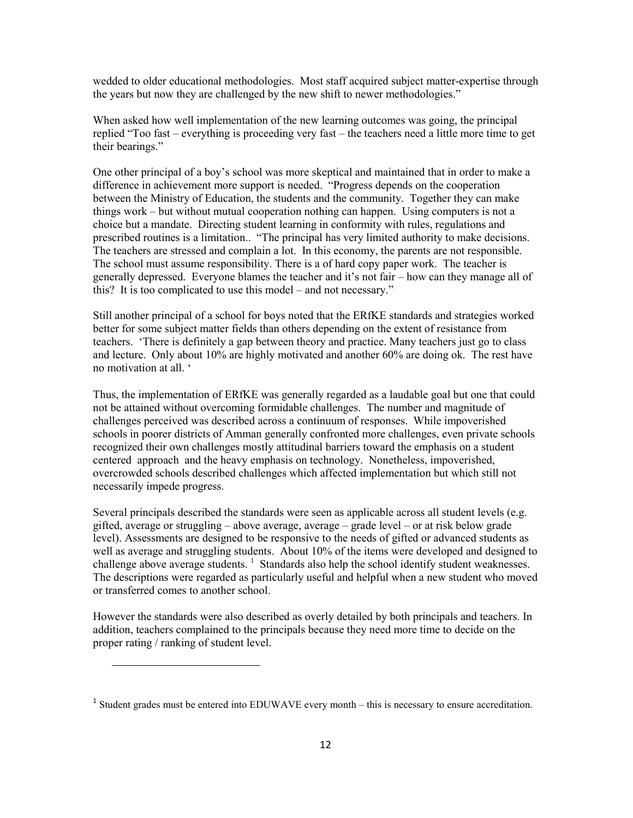wedded to older educational methodologies. Most staff acquired subject matter-expertise through the years but now they are challenged by the new shift to newer methodologies."

When asked how well implementation of the new learning outcomes was going, the principal replied "Too fast – everything is proceeding very fast – the teachers need a little more time to get their bearings."

One other principal of a boy's school was more skeptical and maintained that in order to make a difference in achievement more support is needed. "Progress depends on the cooperation between the Ministry of Education, the students and the community. Together they can make things work – but without mutual cooperation nothing can happen. Using computers is not a choice but a mandate. Directing student learning in conformity with rules, regulations and prescribed routines is a limitation.. "The principal has very limited authority to make decisions. The teachers are stressed and complain a lot. In this economy, the parents are not responsible. The school must assume responsibility. There is a of hard copy paper work. The teacher is generally depressed. Everyone blames the teacher and it's not fair – how can they manage all of this? It is too complicated to use this model – and not necessary."

Still another principal of a school for boys noted that the ERfKE standards and strategies worked better for some subject matter fields than others depending on the extent of resistance from teachers. There is definitely a gap between theory and practice. Many teachers just go to class and lecture. Only about 10% are highly motivated and another 60% are doing ok. The rest have no motivation at all. "

Thus, the implementation of ERfKE was generally regarded as a laudable goal but one that could not be attained without overcoming formidable challenges. The number and magnitude of challenges perceived was described across a continuum of responses. While impoverished schools in poorer districts of Amman generally confronted more challenges, even private schools recognized their own challenges mostly attitudinal barriers toward the emphasis on a student centered approach and the heavy emphasis on technology. Nonetheless, impoverished, overcrowded schools described challenges which affected implementation but which still not necessarily impede progress.

Several principals described the standards were seen as applicable across all student levels (e.g. gifted, average or struggling – above average, average – grade level – or at risk below grade level). Assessments are designed to be responsive to the needs of gifted or advanced students as well as average and struggling students. About 10% of the items were developed and designed to challenge above average students.<sup>1</sup> Standards also help the school identify student weaknesses. The descriptions were regarded as particularly useful and helpful when a new student who moved or transferred comes to another school.

However the standards were also described as overly detailed by both principals and teachers. In addition, teachers complained to the principals because they need more time to decide on the proper rating / ranking of student level.

 $1$  Student grades must be entered into EDUWAVE every month  $-$  this is necessary to ensure accreditation.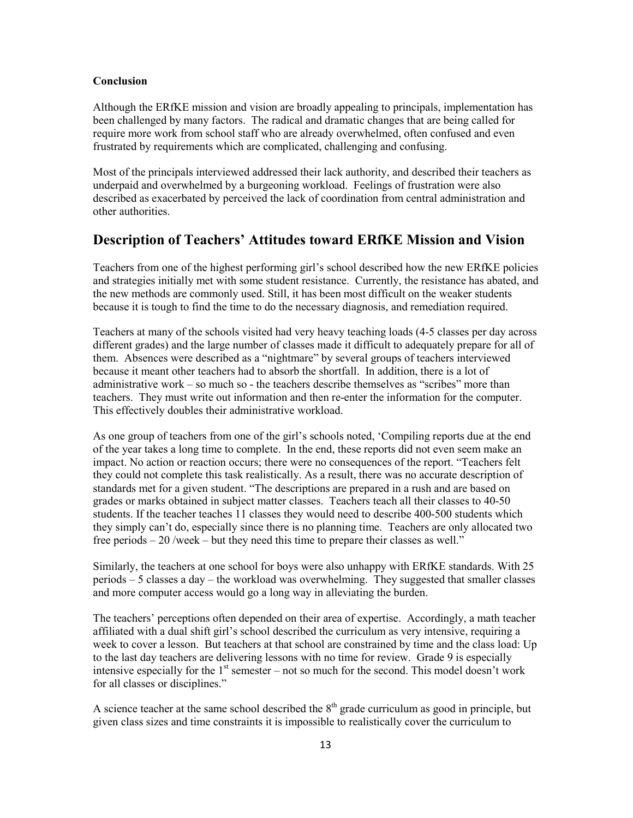### Conclusion

Although the ERfKE mission and vision are broadly appealing to principals, implementation has been challenged by many factors. The radical and dramatic changes that are being called for require more work from school staff who are already overwhelmed, often confused and even frustrated by requirements which are complicated, challenging and confusing.

Most of the principals interviewed addressed their lack authority, and described their teachers as underpaid and overwhelmed by a burgeoning workload. Feelings of frustration were also described as exacerbated by perceived the lack of coordination from central administration and other authorities.

## Description of Teachers' Attitudes toward ERfKE Mission and Vision

Teachers from one of the highest performing girl's school described how the new ERfKE policies and strategies initially met with some student resistance. Currently, the resistance has abated, and the new methods are commonly used. Still, it has been most difficult on the weaker students because it is tough to find the time to do the necessary diagnosis, and remediation required.

Teachers at many of the schools visited had very heavy teaching loads (4-5 classes per day across different grades) and the large number of classes made it difficult to adequately prepare for all of them. Absences were described as a "nightmare" by several groups of teachers interviewed because it meant other teachers had to absorb the shortfall. In addition, there is a lot of administrative work – so much so - the teachers describe themselves as "scribes" more than teachers. They must write out information and then re-enter the information for the computer. This effectively doubles their administrative workload.

As one group of teachers from one of the girl's schools noted, 'Compiling reports due at the end of the year takes a long time to complete. In the end, these reports did not even seem make an impact. No action or reaction occurs; there were no consequences of the report. "Teachers felt they could not complete this task realistically. As a result, there was no accurate description of standards met for a given student. "The descriptions are prepared in a rush and are based on grades or marks obtained in subject matter classes. Teachers teach all their classes to 40-50 students. If the teacher teaches 11 classes they would need to describe 400-500 students which they simply can't do, especially since there is no planning time. Teachers are only allocated two free periods  $-20$  /week  $-$  but they need this time to prepare their classes as well."

Similarly, the teachers at one school for boys were also unhappy with ERfKE standards. With 25 periods – 5 classes a day – the workload was overwhelming. They suggested that smaller classes and more computer access would go a long way in alleviating the burden.

The teachers' perceptions often depended on their area of expertise. Accordingly, a math teacher affiliated with a dual shift girl's school described the curriculum as very intensive, requiring a week to cover a lesson. But teachers at that school are constrained by time and the class load: Up to the last day teachers are delivering lessons with no time for review. Grade 9 is especially intensive especially for the  $1<sup>st</sup>$  semester – not so much for the second. This model doesn't work for all classes or disciplines."

A science teacher at the same school described the  $8<sup>th</sup>$  grade curriculum as good in principle, but given class sizes and time constraints it is impossible to realistically cover the curriculum to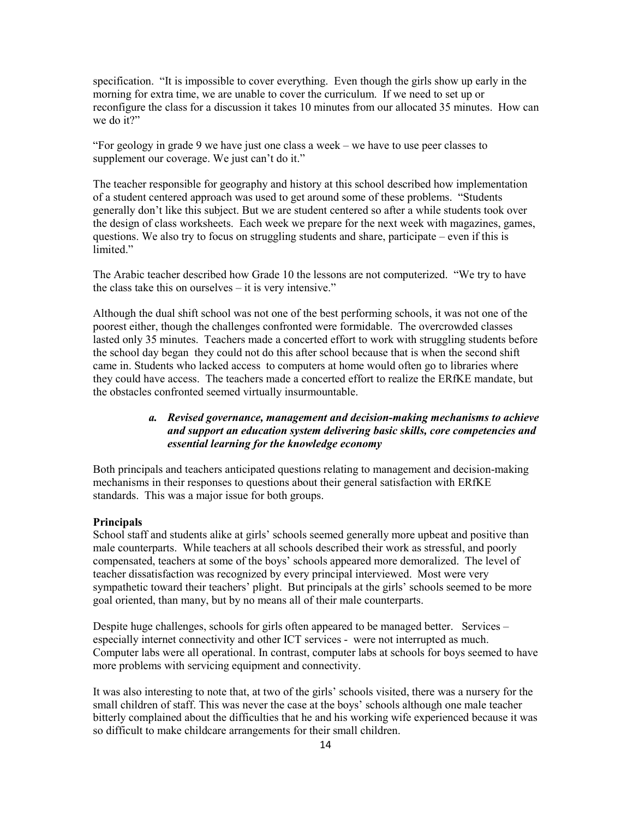specification. "It is impossible to cover everything. Even though the girls show up early in the morning for extra time, we are unable to cover the curriculum. If we need to set up or reconfigure the class for a discussion it takes 10 minutes from our allocated 35 minutes. How can we do it?"

"For geology in grade 9 we have just one class a week – we have to use peer classes to supplement our coverage. We just can't do it."

The teacher responsible for geography and history at this school described how implementation of a student centered approach was used to get around some of these problems. "Students" generally don't like this subject. But we are student centered so after a while students took over the design of class worksheets. Each week we prepare for the next week with magazines, games, questions. We also try to focus on struggling students and share, participate – even if this is limited."

The Arabic teacher described how Grade 10 the lessons are not computerized. "We try to have the class take this on ourselves  $-$  it is very intensive."

Although the dual shift school was not one of the best performing schools, it was not one of the poorest either, though the challenges confronted were formidable. The overcrowded classes lasted only 35 minutes. Teachers made a concerted effort to work with struggling students before the school day began they could not do this after school because that is when the second shift came in. Students who lacked access to computers at home would often go to libraries where they could have access. The teachers made a concerted effort to realize the ERfKE mandate, but the obstacles confronted seemed virtually insurmountable.

## a. Revised governance, management and decision-making mechanisms to achieve and support an education system delivering basic skills, core competencies and essential learning for the knowledge economy

Both principals and teachers anticipated questions relating to management and decision-making mechanisms in their responses to questions about their general satisfaction with ERfKE standards. This was a major issue for both groups.

## **Principals**

School staff and students alike at girls' schools seemed generally more upbeat and positive than male counterparts. While teachers at all schools described their work as stressful, and poorly compensated, teachers at some of the boys' schools appeared more demoralized. The level of teacher dissatisfaction was recognized by every principal interviewed. Most were very sympathetic toward their teachers' plight. But principals at the girls' schools seemed to be more goal oriented, than many, but by no means all of their male counterparts.

Despite huge challenges, schools for girls often appeared to be managed better. Services – especially internet connectivity and other ICT services - were not interrupted as much. Computer labs were all operational. In contrast, computer labs at schools for boys seemed to have more problems with servicing equipment and connectivity.

It was also interesting to note that, at two of the girls' schools visited, there was a nursery for the small children of staff. This was never the case at the boys' schools although one male teacher bitterly complained about the difficulties that he and his working wife experienced because it was so difficult to make childcare arrangements for their small children.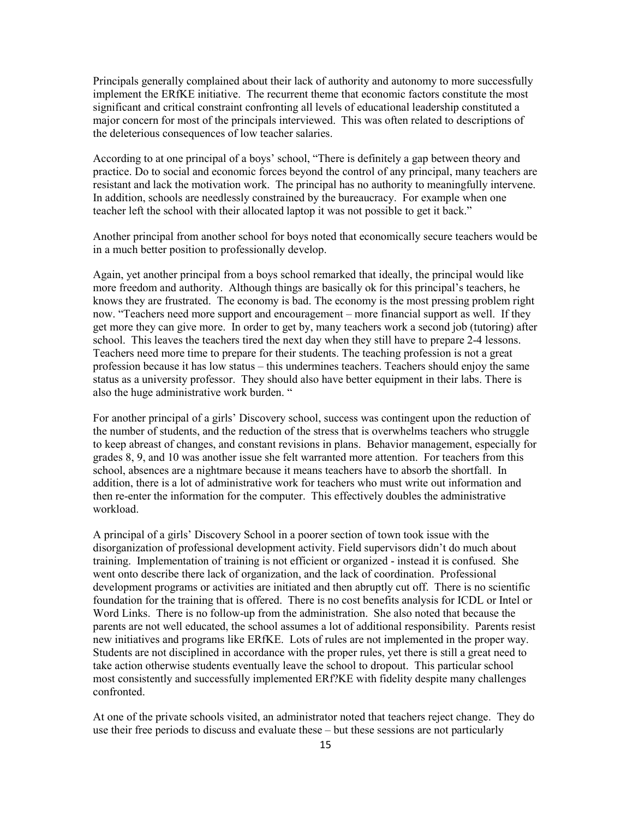Principals generally complained about their lack of authority and autonomy to more successfully implement the ERfKE initiative. The recurrent theme that economic factors constitute the most significant and critical constraint confronting all levels of educational leadership constituted a major concern for most of the principals interviewed. This was often related to descriptions of the deleterious consequences of low teacher salaries.

According to at one principal of a boys' school, "There is definitely a gap between theory and practice. Do to social and economic forces beyond the control of any principal, many teachers are resistant and lack the motivation work. The principal has no authority to meaningfully intervene. In addition, schools are needlessly constrained by the bureaucracy. For example when one teacher left the school with their allocated laptop it was not possible to get it back."

Another principal from another school for boys noted that economically secure teachers would be in a much better position to professionally develop.

Again, yet another principal from a boys school remarked that ideally, the principal would like more freedom and authority. Although things are basically ok for this principal's teachers, he knows they are frustrated. The economy is bad. The economy is the most pressing problem right now. "Teachers need more support and encouragement – more financial support as well. If they get more they can give more. In order to get by, many teachers work a second job (tutoring) after school. This leaves the teachers tired the next day when they still have to prepare 2-4 lessons. Teachers need more time to prepare for their students. The teaching profession is not a great profession because it has low status – this undermines teachers. Teachers should enjoy the same status as a university professor. They should also have better equipment in their labs. There is also the huge administrative work burden. "

For another principal of a girls' Discovery school, success was contingent upon the reduction of the number of students, and the reduction of the stress that is overwhelms teachers who struggle to keep abreast of changes, and constant revisions in plans. Behavior management, especially for grades 8, 9, and 10 was another issue she felt warranted more attention. For teachers from this school, absences are a nightmare because it means teachers have to absorb the shortfall. In addition, there is a lot of administrative work for teachers who must write out information and then re-enter the information for the computer. This effectively doubles the administrative workload.

A principal of a girls' Discovery School in a poorer section of town took issue with the disorganization of professional development activity. Field supervisors didn't do much about training. Implementation of training is not efficient or organized - instead it is confused. She went onto describe there lack of organization, and the lack of coordination. Professional development programs or activities are initiated and then abruptly cut off. There is no scientific foundation for the training that is offered. There is no cost benefits analysis for ICDL or Intel or Word Links. There is no follow-up from the administration. She also noted that because the parents are not well educated, the school assumes a lot of additional responsibility. Parents resist new initiatives and programs like ERfKE. Lots of rules are not implemented in the proper way. Students are not disciplined in accordance with the proper rules, yet there is still a great need to take action otherwise students eventually leave the school to dropout. This particular school most consistently and successfully implemented ERf?KE with fidelity despite many challenges confronted.

At one of the private schools visited, an administrator noted that teachers reject change. They do use their free periods to discuss and evaluate these – but these sessions are not particularly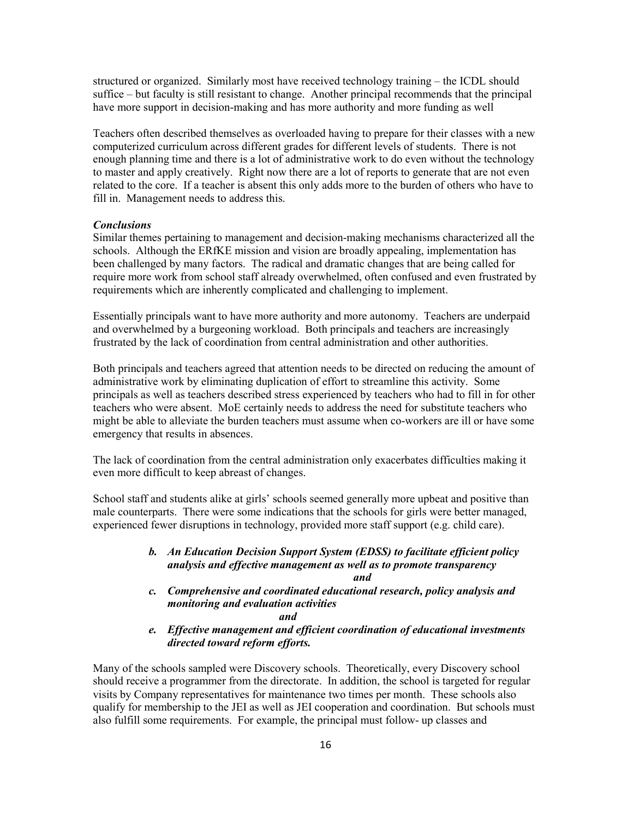structured or organized. Similarly most have received technology training – the ICDL should suffice – but faculty is still resistant to change. Another principal recommends that the principal have more support in decision-making and has more authority and more funding as well

Teachers often described themselves as overloaded having to prepare for their classes with a new computerized curriculum across different grades for different levels of students. There is not enough planning time and there is a lot of administrative work to do even without the technology to master and apply creatively. Right now there are a lot of reports to generate that are not even related to the core. If a teacher is absent this only adds more to the burden of others who have to fill in. Management needs to address this.

### **Conclusions**

Similar themes pertaining to management and decision-making mechanisms characterized all the schools. Although the ERfKE mission and vision are broadly appealing, implementation has been challenged by many factors. The radical and dramatic changes that are being called for require more work from school staff already overwhelmed, often confused and even frustrated by requirements which are inherently complicated and challenging to implement.

Essentially principals want to have more authority and more autonomy. Teachers are underpaid and overwhelmed by a burgeoning workload. Both principals and teachers are increasingly frustrated by the lack of coordination from central administration and other authorities.

Both principals and teachers agreed that attention needs to be directed on reducing the amount of administrative work by eliminating duplication of effort to streamline this activity. Some principals as well as teachers described stress experienced by teachers who had to fill in for other teachers who were absent. MoE certainly needs to address the need for substitute teachers who might be able to alleviate the burden teachers must assume when co-workers are ill or have some emergency that results in absences.

The lack of coordination from the central administration only exacerbates difficulties making it even more difficult to keep abreast of changes.

School staff and students alike at girls' schools seemed generally more upbeat and positive than male counterparts. There were some indications that the schools for girls were better managed, experienced fewer disruptions in technology, provided more staff support (e.g. child care).

## b. An Education Decision Support System (EDSS) to facilitate efficient policy analysis and effective management as well as to promote transparency and

c. Comprehensive and coordinated educational research, policy analysis and monitoring and evaluation activities

and

e. Effective management and efficient coordination of educational investments directed toward reform efforts.

Many of the schools sampled were Discovery schools. Theoretically, every Discovery school should receive a programmer from the directorate. In addition, the school is targeted for regular visits by Company representatives for maintenance two times per month. These schools also qualify for membership to the JEI as well as JEI cooperation and coordination. But schools must also fulfill some requirements. For example, the principal must follow- up classes and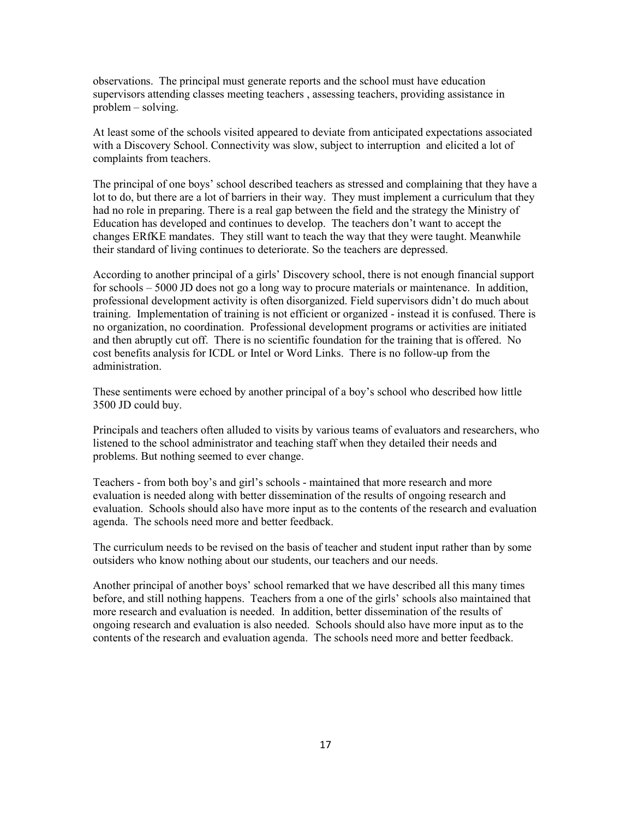observations. The principal must generate reports and the school must have education supervisors attending classes meeting teachers, assessing teachers, providing assistance in  $problem - solving.$ 

At least some of the schools visited appeared to deviate from anticipated expectations associated with a Discovery School. Connectivity was slow, subject to interruption and elicited a lot of complaints from teachers.

The principal of one boys' school described teachers as stressed and complaining that they have a lot to do, but there are a lot of barriers in their way. They must implement a curriculum that they had no role in preparing. There is a real gap between the field and the strategy the Ministry of Education has developed and continues to develop. The teachers don't want to accept the changes ERfKE mandates. They still want to teach the way that they were taught. Meanwhile their standard of living continues to deteriorate. So the teachers are depressed.

According to another principal of a girls' Discovery school, there is not enough financial support for schools  $-5000$  JD does not go a long way to procure materials or maintenance. In addition, professional development activity is often disorganized. Field supervisors didn't do much about training. Implementation of training is not efficient or organized - instead it is confused. There is no organization, no coordination. Professional development programs or activities are initiated and then abruptly cut off. There is no scientific foundation for the training that is offered. No cost benefits analysis for ICDL or Intel or Word Links. There is no follow-up from the administration

These sentiments were echoed by another principal of a boy's school who described how little 3500 JD could buy.

Principals and teachers often alluded to visits by various teams of evaluators and researchers, who listened to the school administrator and teaching staff when they detailed their needs and problems. But nothing seemed to ever change.

Teachers - from both boy's and girl's schools - maintained that more research and more evaluation is needed along with better dissemination of the results of ongoing research and evaluation. Schools should also have more input as to the contents of the research and evaluation agenda. The schools need more and better feedback.

The curriculum needs to be revised on the basis of teacher and student input rather than by some outsiders who know nothing about our students, our teachers and our needs.

Another principal of another boys' school remarked that we have described all this many times before, and still nothing happens. Teachers from a one of the girls' schools also maintained that more research and evaluation is needed. In addition, better dissemination of the results of ongoing research and evaluation is also needed. Schools should also have more input as to the contents of the research and evaluation agenda. The schools need more and better feedback.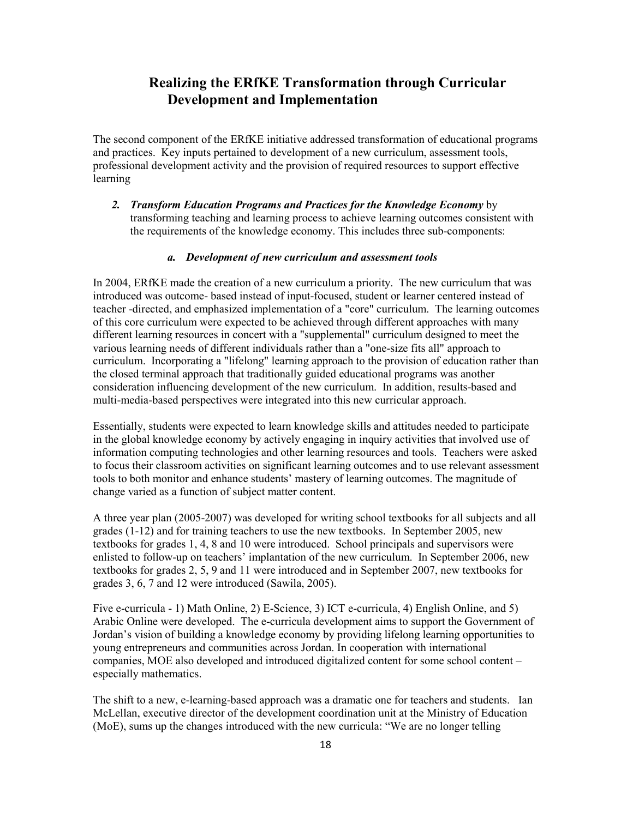## **Realizing the ERfKE Transformation through Curricular Development and Implementation**

The second component of the ERfKE initiative addressed transformation of educational programs and practices. Key inputs pertained to development of a new curriculum, assessment tools, professional development activity and the provision of required resources to support effective learning

2. Transform Education Programs and Practices for the Knowledge Economy by transforming teaching and learning process to achieve learning outcomes consistent with the requirements of the knowledge economy. This includes three sub-components:

## a. Development of new curriculum and assessment tools

In 2004, ERfKE made the creation of a new curriculum a priority. The new curriculum that was introduced was outcome- based instead of input-focused, student or learner centered instead of teacher -directed, and emphasized implementation of a "core" curriculum. The learning outcomes of this core curriculum were expected to be achieved through different approaches with many different learning resources in concert with a "supplemental" curriculum designed to meet the various learning needs of different individuals rather than a "one-size fits all" approach to curriculum. Incorporating a "lifelong" learning approach to the provision of education rather than the closed terminal approach that traditionally guided educational programs was another consideration influencing development of the new curriculum. In addition, results-based and multi-media-based perspectives were integrated into this new curricular approach.

Essentially, students were expected to learn knowledge skills and attitudes needed to participate in the global knowledge economy by actively engaging in inquiry activities that involved use of information computing technologies and other learning resources and tools. Teachers were asked to focus their classroom activities on significant learning outcomes and to use relevant assessment tools to both monitor and enhance students' mastery of learning outcomes. The magnitude of change varied as a function of subject matter content.

A three year plan (2005-2007) was developed for writing school textbooks for all subjects and all grades  $(1-12)$  and for training teachers to use the new textbooks. In September 2005, new textbooks for grades 1, 4, 8 and 10 were introduced. School principals and supervisors were enlisted to follow-up on teachers' implantation of the new curriculum. In September 2006, new textbooks for grades  $2, 5, 9$  and 11 were introduced and in September 2007, new textbooks for grades 3, 6, 7 and 12 were introduced (Sawila, 2005).

Five e-curricula - 1) Math Online, 2) E-Science, 3) ICT e-curricula, 4) English Online, and 5) Arabic Online were developed. The e-curricula development aims to support the Government of Jordan's vision of building a knowledge economy by providing lifelong learning opportunities to young entrepreneurs and communities across Jordan. In cooperation with international companies, MOE also developed and introduced digitalized content for some school content – especially mathematics.

The shift to a new, e-learning-based approach was a dramatic one for teachers and students. Ian McLellan, executive director of the development coordination unit at the Ministry of Education (MoE), sums up the changes introduced with the new curricula: "We are no longer telling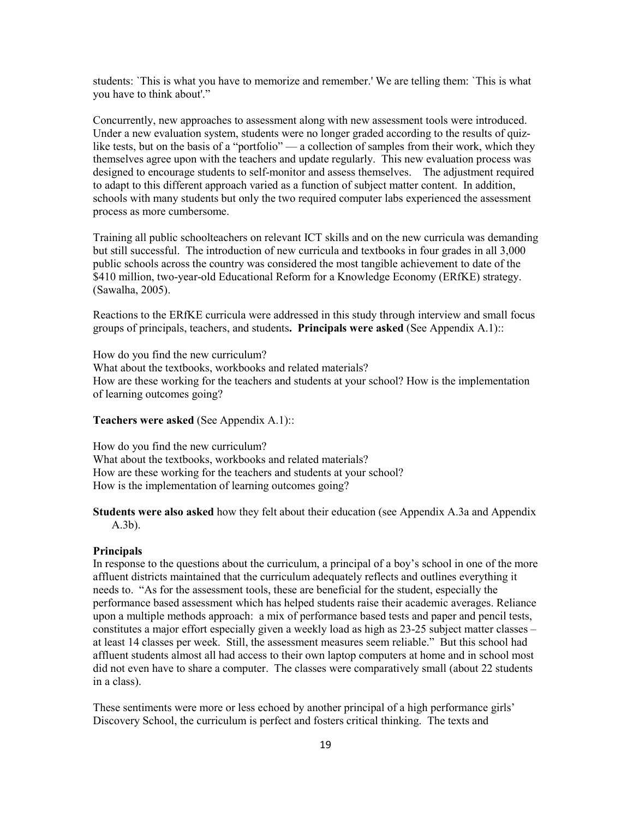students: 'This is what you have to memorize and remember.' We are telling them: 'This is what vou have to think about'."

Concurrently, new approaches to assessment along with new assessment tools were introduced. Under a new evaluation system, students were no longer graded according to the results of quizlike tests, but on the basis of a "portfolio" — a collection of samples from their work, which they themselves agree upon with the teachers and update regularly. This new evaluation process was designed to encourage students to self-monitor and assess themselves. The adjustment required to adapt to this different approach varied as a function of subject matter content. In addition, schools with many students but only the two required computer labs experienced the assessment process as more cumbersome.

Training all public schoolteachers on relevant ICT skills and on the new curricula was demanding but still successful. The introduction of new curricula and textbooks in four grades in all 3,000 public schools across the country was considered the most tangible achievement to date of the \$410 million, two-year-old Educational Reform for a Knowledge Economy (ERfKE) strategy. (Sawalha, 2005).

Reactions to the ERfKE curricula were addressed in this study through interview and small focus groups of principals, teachers, and students. Principals were asked (See Appendix A.1):

How do you find the new curriculum? What about the textbooks, workbooks and related materials? How are these working for the teachers and students at your school? How is the implementation of learning outcomes going?

## Teachers were asked (See Appendix A.1)::

How do you find the new curriculum? What about the textbooks, workbooks and related materials? How are these working for the teachers and students at your school? How is the implementation of learning outcomes going?

Students were also asked how they felt about their education (see Appendix A.3a and Appendix  $(A.3b)$ .

#### **Principals**

In response to the questions about the curriculum, a principal of a boy's school in one of the more affluent districts maintained that the curriculum adequately reflects and outlines everything it needs to. "As for the assessment tools, these are beneficial for the student, especially the performance based assessment which has helped students raise their academic averages. Reliance upon a multiple methods approach: a mix of performance based tests and paper and pencil tests, constitutes a major effort especially given a weekly load as high as 23-25 subject matter classes – at least 14 classes per week. Still, the assessment measures seem reliable." But this school had affluent students almost all had access to their own laptop computers at home and in school most did not even have to share a computer. The classes were comparatively small (about 22 students in a class).

These sentiments were more or less echoed by another principal of a high performance girls' Discovery School, the curriculum is perfect and fosters critical thinking. The texts and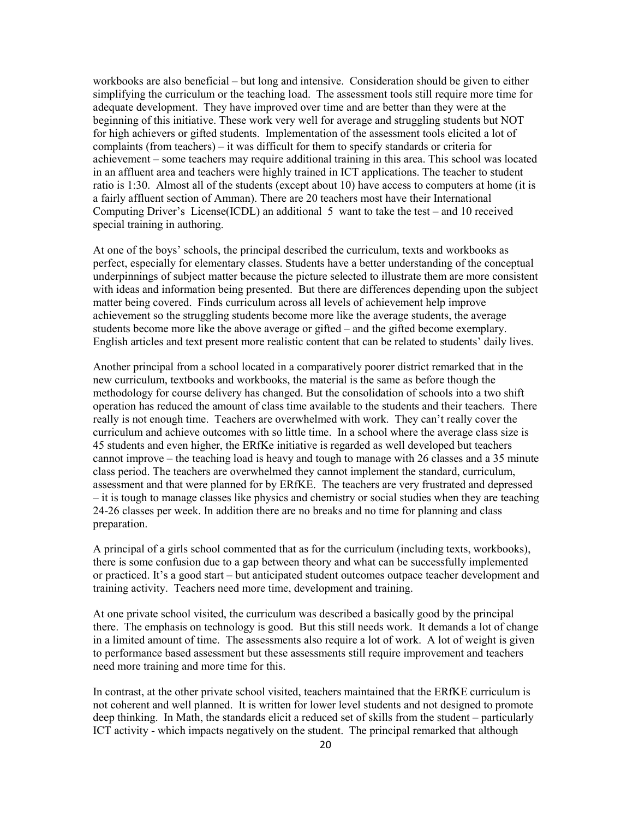workbooks are also beneficial – but long and intensive. Consideration should be given to either simplifying the curriculum or the teaching load. The assessment tools still require more time for adequate development. They have improved over time and are better than they were at the beginning of this initiative. These work very well for average and struggling students but NOT for high achievers or gifted students. Implementation of the assessment tools elicited a lot of complaints (from teachers) – it was difficult for them to specify standards or criteria for achievement – some teachers may require additional training in this area. This school was located in an affluent area and teachers were highly trained in ICT applications. The teacher to student ratio is 1:30. Almost all of the students (except about 10) have access to computers at home (it is a fairly affluent section of Amman). There are 20 teachers most have their International Computing Driver's License (ICDL) an additional 5 want to take the test  $-$  and 10 received special training in authoring.

At one of the boys' schools, the principal described the curriculum, texts and workbooks as perfect, especially for elementary classes. Students have a better understanding of the conceptual underpinnings of subject matter because the picture selected to illustrate them are more consistent with ideas and information being presented. But there are differences depending upon the subject matter being covered. Finds curriculum across all levels of achievement help improve achievement so the struggling students become more like the average students, the average students become more like the above average or gifted – and the gifted become exemplary. English articles and text present more realistic content that can be related to students' daily lives.

Another principal from a school located in a comparatively poorer district remarked that in the new curriculum, textbooks and workbooks, the material is the same as before though the methodology for course delivery has changed. But the consolidation of schools into a two shift operation has reduced the amount of class time available to the students and their teachers. There really is not enough time. Teachers are overwhelmed with work. They can't really cover the curriculum and achieve outcomes with so little time. In a school where the average class size is 45 students and even higher, the ERfKe initiative is regarded as well developed but teachers cannot improve – the teaching load is heavy and tough to manage with 26 classes and a 35 minute class period. The teachers are overwhelmed they cannot implement the standard, curriculum, assessment and that were planned for by ERfKE. The teachers are very frustrated and depressed - it is tough to manage classes like physics and chemistry or social studies when they are teaching 24-26 classes per week. In addition there are no breaks and no time for planning and class preparation.

A principal of a girls school commented that as for the curriculum (including texts, workbooks), there is some confusion due to a gap between theory and what can be successfully implemented or practiced. It's a good start – but anticipated student outcomes outpace teacher development and training activity. Teachers need more time, development and training.

At one private school visited, the curriculum was described a basically good by the principal there. The emphasis on technology is good. But this still needs work. It demands a lot of change in a limited amount of time. The assessments also require a lot of work. A lot of weight is given to performance based assessment but these assessments still require improvement and teachers need more training and more time for this.

In contrast, at the other private school visited, teachers maintained that the ERfKE curriculum is not coherent and well planned. It is written for lower level students and not designed to promote deep thinking. In Math, the standards elicit a reduced set of skills from the student – particularly ICT activity - which impacts negatively on the student. The principal remarked that although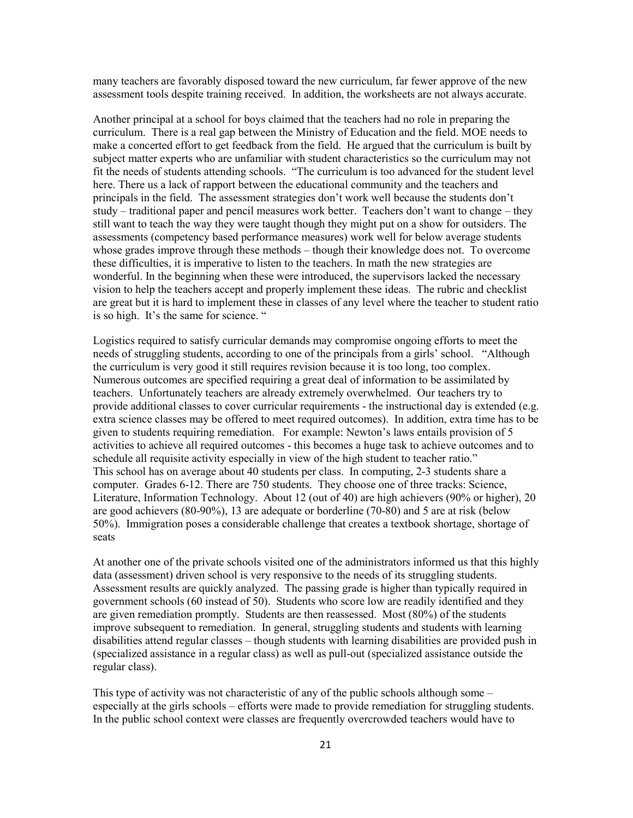many teachers are favorably disposed toward the new curriculum, far fewer approve of the new assessment tools despite training received. In addition, the worksheets are not always accurate.

Another principal at a school for boys claimed that the teachers had no role in preparing the curriculum. There is a real gap between the Ministry of Education and the field. MOE needs to make a concerted effort to get feedback from the field. He argued that the curriculum is built by subject matter experts who are unfamiliar with student characteristics so the curriculum may not fit the needs of students attending schools. "The curriculum is too advanced for the student level here. There us a lack of rapport between the educational community and the teachers and principals in the field. The assessment strategies don't work well because the students don't study – traditional paper and pencil measures work better. Teachers don't want to change – they still want to teach the way they were taught though they might put on a show for outsiders. The assessments (competency based performance measures) work well for below average students whose grades improve through these methods – though their knowledge does not. To overcome these difficulties, it is imperative to listen to the teachers. In math the new strategies are wonderful. In the beginning when these were introduced, the supervisors lacked the necessary vision to help the teachers accept and properly implement these ideas. The rubric and checklist are great but it is hard to implement these in classes of any level where the teacher to student ratio is so high. It's the same for science. "

Logistics required to satisfy curricular demands may compromise ongoing efforts to meet the needs of struggling students, according to one of the principals from a girls' school. "Although the curriculum is very good it still requires revision because it is too long, too complex. Numerous outcomes are specified requiring a great deal of information to be assimilated by teachers. Unfortunately teachers are already extremely overwhelmed. Our teachers try to provide additional classes to cover curricular requirements - the instructional day is extended (e.g. extra science classes may be offered to meet required outcomes). In addition, extra time has to be given to students requiring remediation. For example: Newton's laws entails provision of 5 activities to achieve all required outcomes - this becomes a huge task to achieve outcomes and to schedule all requisite activity especially in view of the high student to teacher ratio." This school has on average about 40 students per class. In computing, 2-3 students share a computer. Grades 6-12. There are 750 students. They choose one of three tracks: Science, Literature, Information Technology. About 12 (out of 40) are high achievers (90% or higher), 20 are good achievers  $(80-90\%)$ , 13 are adequate or borderline  $(70-80)$  and 5 are at risk (below 50%). Immigration poses a considerable challenge that creates a textbook shortage, shortage of seats

At another one of the private schools visited one of the administrators informed us that this highly data (assessment) driven school is very responsive to the needs of its struggling students. Assessment results are quickly analyzed. The passing grade is higher than typically required in government schools (60 instead of 50). Students who score low are readily identified and they are given remediation promptly. Students are then reassessed. Most (80%) of the students improve subsequent to remediation. In general, struggling students and students with learning disabilities attend regular classes – though students with learning disabilities are provided push in (specialized assistance in a regular class) as well as pull-out (specialized assistance outside the regular class).

This type of activity was not characteristic of any of the public schools although some  $$ especially at the girls schools – efforts were made to provide remediation for struggling students. In the public school context were classes are frequently overcrowded teachers would have to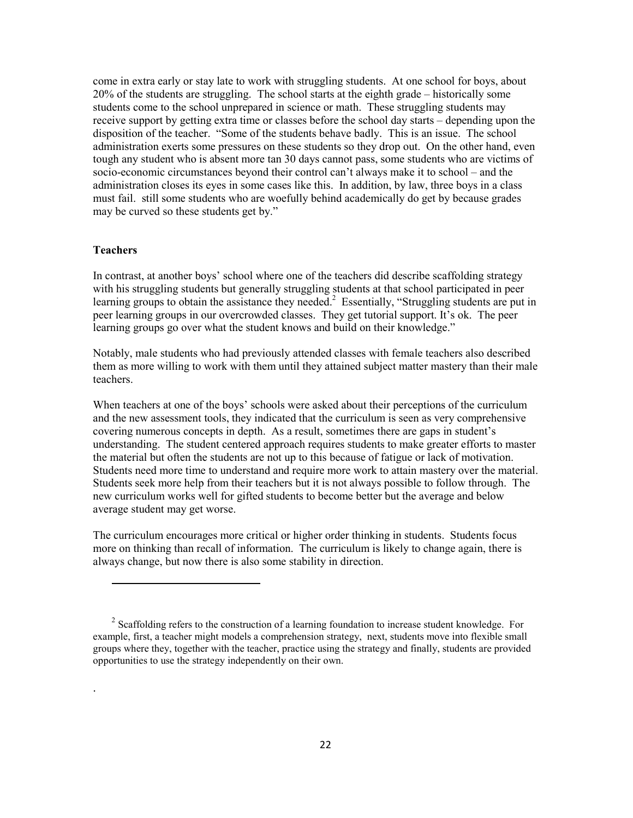come in extra early or stay late to work with struggling students. At one school for boys, about 20% of the students are struggling. The school starts at the eighth grade – historically some students come to the school unprepared in science or math. These struggling students may receive support by getting extra time or classes before the school day starts – depending upon the disposition of the teacher. "Some of the students behave badly. This is an issue. The school administration exerts some pressures on these students so they drop out. On the other hand, even tough any student who is absent more tan 30 days cannot pass, some students who are victims of socio-economic circumstances beyond their control can't always make it to school – and the administration closes its eyes in some cases like this. In addition, by law, three boys in a class must fail. still some students who are woefully behind academically do get by because grades may be curved so these students get by."

### **Teachers**

In contrast, at another boys' school where one of the teachers did describe scaffolding strategy with his struggling students but generally struggling students at that school participated in peer learning groups to obtain the assistance they needed.<sup>2</sup> Essentially, "Struggling students are put in peer learning groups in our overcrowded classes. They get tutorial support. It's ok. The peer learning groups go over what the student knows and build on their knowledge."

Notably, male students who had previously attended classes with female teachers also described them as more willing to work with them until they attained subject matter mastery than their male teachers.

When teachers at one of the boys' schools were asked about their perceptions of the curriculum and the new assessment tools, they indicated that the curriculum is seen as very comprehensive covering numerous concepts in depth. As a result, sometimes there are gaps in student's understanding. The student centered approach requires students to make greater efforts to master the material but often the students are not up to this because of fatigue or lack of motivation. Students need more time to understand and require more work to attain mastery over the material. Students seek more help from their teachers but it is not always possible to follow through. The new curriculum works well for gifted students to become better but the average and below average student may get worse.

The curriculum encourages more critical or higher order thinking in students. Students focus more on thinking than recall of information. The curriculum is likely to change again, there is always change, but now there is also some stability in direction.

 $2\$  Scaffolding refers to the construction of a learning foundation to increase student knowledge. For example, first, a teacher might models a comprehension strategy, next, students move into flexible small groups where they, together with the teacher, practice using the strategy and finally, students are provided opportunities to use the strategy independently on their own.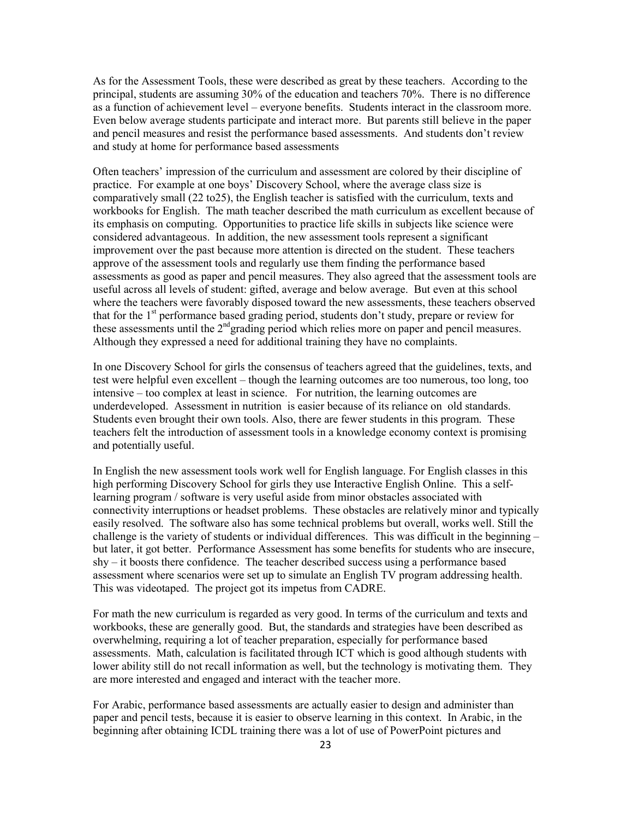As for the Assessment Tools, these were described as great by these teachers. According to the principal, students are assuming 30% of the education and teachers 70%. There is no difference as a function of achievement level – everyone benefits. Students interact in the classroom more. Even below average students participate and interact more. But parents still believe in the paper and pencil measures and resist the performance based assessments. And students don't review and study at home for performance based assessments

Often teachers' impression of the curriculum and assessment are colored by their discipline of practice. For example at one boys' Discovery School, where the average class size is comparatively small (22 to 25), the English teacher is satisfied with the curriculum, texts and workbooks for English. The math teacher described the math curriculum as excellent because of its emphasis on computing. Opportunities to practice life skills in subjects like science were considered advantageous. In addition, the new assessment tools represent a significant improvement over the past because more attention is directed on the student. These teachers approve of the assessment tools and regularly use them finding the performance based assessments as good as paper and pencil measures. They also agreed that the assessment tools are useful across all levels of student: gifted, average and below average. But even at this school where the teachers were favorably disposed toward the new assessments, these teachers observed that for the 1<sup>st</sup> performance based grading period, students don't study, prepare or review for these assessments until the 2<sup>nd</sup> grading period which relies more on paper and pencil measures. Although they expressed a need for additional training they have no complaints.

In one Discovery School for girls the consensus of teachers agreed that the guidelines, texts, and test were helpful even excellent – though the learning outcomes are too numerous, too long, too intensive – too complex at least in science. For nutrition, the learning outcomes are underdeveloped. Assessment in nutrition is easier because of its reliance on old standards. Students even brought their own tools. Also, there are fewer students in this program. These teachers felt the introduction of assessment tools in a knowledge economy context is promising and potentially useful.

In English the new assessment tools work well for English language. For English classes in this high performing Discovery School for girls they use Interactive English Online. This a selflearning program / software is very useful aside from minor obstacles associated with connectivity interruptions or headset problems. These obstacles are relatively minor and typically easily resolved. The software also has some technical problems but overall, works well. Still the challenge is the variety of students or individual differences. This was difficult in the beginning  $$ but later, it got better. Performance Assessment has some benefits for students who are insecure,  $shy - it$  boosts there confidence. The teacher described success using a performance based assessment where scenarios were set up to simulate an English TV program addressing health. This was videotaped. The project got its impetus from CADRE.

For math the new curriculum is regarded as very good. In terms of the curriculum and texts and workbooks, these are generally good. But, the standards and strategies have been described as overwhelming, requiring a lot of teacher preparation, especially for performance based assessments. Math, calculation is facilitated through ICT which is good although students with lower ability still do not recall information as well, but the technology is motivating them. They are more interested and engaged and interact with the teacher more.

For Arabic, performance based assessments are actually easier to design and administer than paper and pencil tests, because it is easier to observe learning in this context. In Arabic, in the beginning after obtaining ICDL training there was a lot of use of PowerPoint pictures and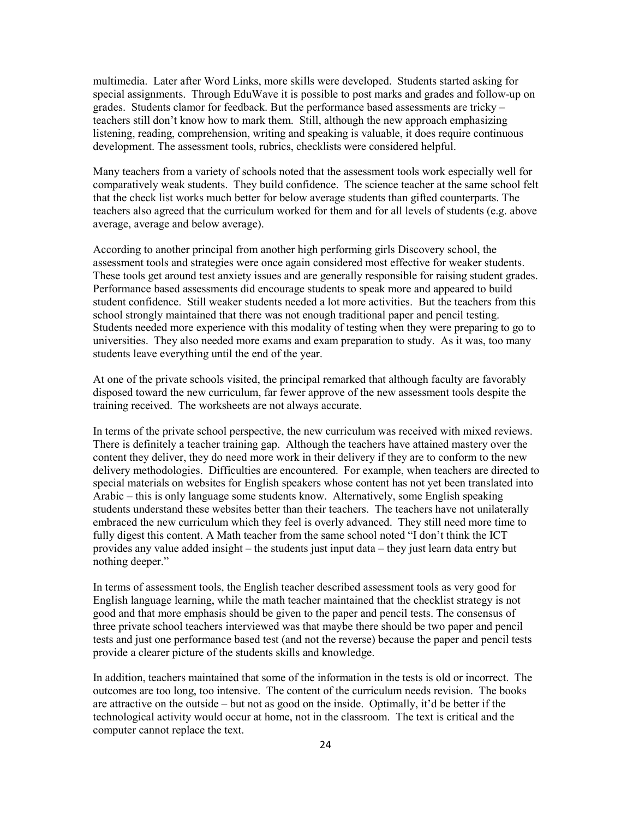multimedia. Later after Word Links, more skills were developed. Students started asking for special assignments. Through EduWave it is possible to post marks and grades and follow-up on grades. Students clamor for feedback. But the performance based assessments are tricky – teachers still don't know how to mark them. Still, although the new approach emphasizing listening, reading, comprehension, writing and speaking is valuable, it does require continuous development. The assessment tools, rubrics, checklists were considered helpful.

Many teachers from a variety of schools noted that the assessment tools work especially well for comparatively weak students. They build confidence. The science teacher at the same school felt that the check list works much better for below average students than gifted counterparts. The teachers also agreed that the curriculum worked for them and for all levels of students (e.g. above average, average and below average).

According to another principal from another high performing girls Discovery school, the assessment tools and strategies were once again considered most effective for weaker students. These tools get around test anxiety issues and are generally responsible for raising student grades. Performance based assessments did encourage students to speak more and appeared to build student confidence. Still weaker students needed a lot more activities. But the teachers from this school strongly maintained that there was not enough traditional paper and pencil testing. Students needed more experience with this modality of testing when they were preparing to go to universities. They also needed more exams and exam preparation to study. As it was, too many students leave everything until the end of the year.

At one of the private schools visited, the principal remarked that although faculty are favorably disposed toward the new curriculum, far fewer approve of the new assessment tools despite the training received. The worksheets are not always accurate.

In terms of the private school perspective, the new curriculum was received with mixed reviews. There is definitely a teacher training gap. Although the teachers have attained mastery over the content they deliver, they do need more work in their delivery if they are to conform to the new delivery methodologies. Difficulties are encountered. For example, when teachers are directed to special materials on websites for English speakers whose content has not yet been translated into Arabic – this is only language some students know. Alternatively, some English speaking students understand these websites better than their teachers. The teachers have not unilaterally embraced the new curriculum which they feel is overly advanced. They still need more time to fully digest this content. A Math teacher from the same school noted "I don't think the ICT provides any value added insight – the students just input data – they just learn data entry but nothing deeper."

In terms of assessment tools, the English teacher described assessment tools as very good for English language learning, while the math teacher maintained that the checklist strategy is not good and that more emphasis should be given to the paper and pencil tests. The consensus of three private school teachers interviewed was that maybe there should be two paper and pencil tests and just one performance based test (and not the reverse) because the paper and pencil tests provide a clearer picture of the students skills and knowledge.

In addition, teachers maintained that some of the information in the tests is old or incorrect. The outcomes are too long, too intensive. The content of the curriculum needs revision. The books are attractive on the outside – but not as good on the inside. Optimally, it'd be better if the technological activity would occur at home, not in the classroom. The text is critical and the computer cannot replace the text.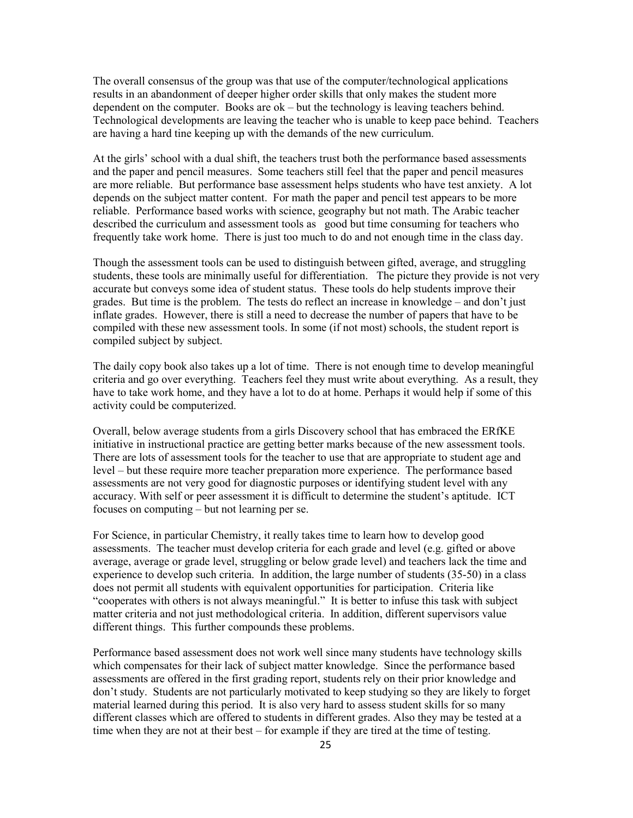The overall consensus of the group was that use of the computer/technological applications results in an abandonment of deeper higher order skills that only makes the student more dependent on the computer. Books are  $ok$  – but the technology is leaving teachers behind. Technological developments are leaving the teacher who is unable to keep pace behind. Teachers are having a hard tine keeping up with the demands of the new curriculum.

At the girls' school with a dual shift, the teachers trust both the performance based assessments and the paper and pencil measures. Some teachers still feel that the paper and pencil measures are more reliable. But performance base assessment helps students who have test anxiety. A lot depends on the subject matter content. For math the paper and pencil test appears to be more reliable. Performance based works with science, geography but not math. The Arabic teacher described the curriculum and assessment tools as good but time consuming for teachers who frequently take work home. There is just too much to do and not enough time in the class day.

Though the assessment tools can be used to distinguish between gifted, average, and struggling students, these tools are minimally useful for differentiation. The picture they provide is not very accurate but conveys some idea of student status. These tools do help students improve their grades. But time is the problem. The tests do reflect an increase in knowledge – and don't just inflate grades. However, there is still a need to decrease the number of papers that have to be compiled with these new assessment tools. In some (if not most) schools, the student report is compiled subject by subject.

The daily copy book also takes up a lot of time. There is not enough time to develop meaningful criteria and go over everything. Teachers feel they must write about everything. As a result, they have to take work home, and they have a lot to do at home. Perhaps it would help if some of this activity could be computerized.

Overall, below average students from a girls Discovery school that has embraced the ERfKE initiative in instructional practice are getting better marks because of the new assessment tools. There are lots of assessment tools for the teacher to use that are appropriate to student age and level – but these require more teacher preparation more experience. The performance based assessments are not very good for diagnostic purposes or identifying student level with any accuracy. With self or peer assessment it is difficult to determine the student's aptitude. ICT focuses on computing – but not learning per se.

For Science, in particular Chemistry, it really takes time to learn how to develop good assessments. The teacher must develop criteria for each grade and level (e.g. gifted or above average, average or grade level, struggling or below grade level) and teachers lack the time and experience to develop such criteria. In addition, the large number of students (35-50) in a class does not permit all students with equivalent opportunities for participation. Criteria like "cooperates with others is not always meaningful." It is better to infuse this task with subject matter criteria and not just methodological criteria. In addition, different supervisors value different things. This further compounds these problems.

Performance based assessment does not work well since many students have technology skills which compensates for their lack of subject matter knowledge. Since the performance based assessments are offered in the first grading report, students rely on their prior knowledge and don't study. Students are not particularly motivated to keep studying so they are likely to forget material learned during this period. It is also very hard to assess student skills for so many different classes which are offered to students in different grades. Also they may be tested at a time when they are not at their best  $-$  for example if they are tired at the time of testing.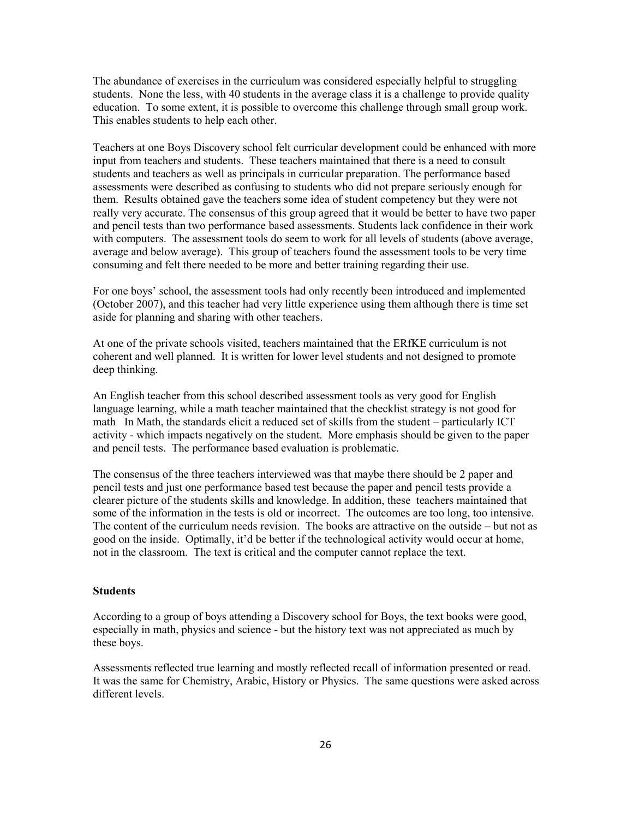The abundance of exercises in the curriculum was considered especially helpful to struggling students. None the less, with 40 students in the average class it is a challenge to provide quality education. To some extent, it is possible to overcome this challenge through small group work. This enables students to help each other.

Teachers at one Boys Discovery school felt curricular development could be enhanced with more input from teachers and students. These teachers maintained that there is a need to consult students and teachers as well as principals in curricular preparation. The performance based assessments were described as confusing to students who did not prepare seriously enough for them. Results obtained gave the teachers some idea of student competency but they were not really very accurate. The consensus of this group agreed that it would be better to have two paper and pencil tests than two performance based assessments. Students lack confidence in their work with computers. The assessment tools do seem to work for all levels of students (above average, average and below average). This group of teachers found the assessment tools to be very time consuming and felt there needed to be more and better training regarding their use.

For one boys' school, the assessment tools had only recently been introduced and implemented (October 2007), and this teacher had very little experience using them although there is time set aside for planning and sharing with other teachers.

At one of the private schools visited, teachers maintained that the ERfKE curriculum is not coherent and well planned. It is written for lower level students and not designed to promote deep thinking.

An English teacher from this school described assessment tools as very good for English language learning, while a math teacher maintained that the checklist strategy is not good for math In Math, the standards elicit a reduced set of skills from the student – particularly ICT activity - which impacts negatively on the student. More emphasis should be given to the paper and pencil tests. The performance based evaluation is problematic.

The consensus of the three teachers interviewed was that maybe there should be 2 paper and pencil tests and just one performance based test because the paper and pencil tests provide a clearer picture of the students skills and knowledge. In addition, these teachers maintained that some of the information in the tests is old or incorrect. The outcomes are too long, too intensive. The content of the curriculum needs revision. The books are attractive on the outside  $-$  but not as good on the inside. Optimally, it'd be better if the technological activity would occur at home, not in the classroom. The text is critical and the computer cannot replace the text.

### **Students**

According to a group of boys attending a Discovery school for Boys, the text books were good, especially in math, physics and science - but the history text was not appreciated as much by these boys.

Assessments reflected true learning and mostly reflected recall of information presented or read. It was the same for Chemistry, Arabic, History or Physics. The same questions were asked across different levels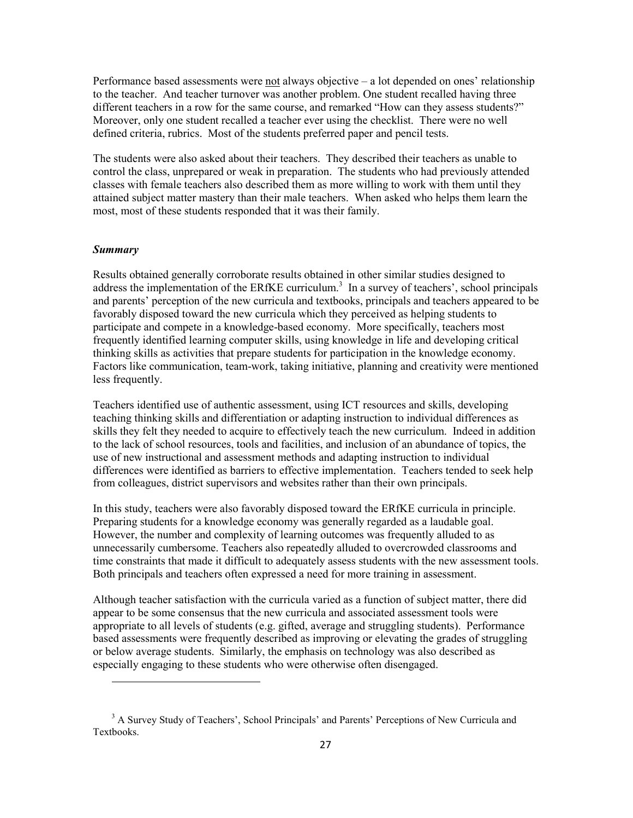Performance based assessments were not always objective  $-$  a lot depended on ones' relationship to the teacher. And teacher turnover was another problem. One student recalled having three different teachers in a row for the same course, and remarked "How can they assess students?" Moreover, only one student recalled a teacher ever using the checklist. There were no well defined criteria, rubrics. Most of the students preferred paper and pencil tests.

The students were also asked about their teachers. They described their teachers as unable to control the class, unprepared or weak in preparation. The students who had previously attended classes with female teachers also described them as more willing to work with them until they attained subject matter mastery than their male teachers. When asked who helps them learn the most, most of these students responded that it was their family.

## **Summary**

Results obtained generally corroborate results obtained in other similar studies designed to address the implementation of the ERfKE curriculum.<sup>3</sup> In a survey of teachers', school principals and parents' perception of the new curricula and textbooks, principals and teachers appeared to be favorably disposed toward the new curricula which they perceived as helping students to participate and compete in a knowledge-based economy. More specifically, teachers most frequently identified learning computer skills, using knowledge in life and developing critical thinking skills as activities that prepare students for participation in the knowledge economy. Factors like communication, team-work, taking initiative, planning and creativity were mentioned less frequently.

Teachers identified use of authentic assessment, using ICT resources and skills, developing teaching thinking skills and differentiation or adapting instruction to individual differences as skills they felt they needed to acquire to effectively teach the new curriculum. Indeed in addition to the lack of school resources, tools and facilities, and inclusion of an abundance of topics, the use of new instructional and assessment methods and adapting instruction to individual differences were identified as barriers to effective implementation. Teachers tended to seek help from colleagues, district supervisors and websites rather than their own principals.

In this study, teachers were also favorably disposed toward the ERfKE curricula in principle. Preparing students for a knowledge economy was generally regarded as a laudable goal. However, the number and complexity of learning outcomes was frequently alluded to as unnecessarily cumbersome. Teachers also repeatedly alluded to overcrowded classrooms and time constraints that made it difficult to adequately assess students with the new assessment tools. Both principals and teachers often expressed a need for more training in assessment.

Although teacher satisfaction with the curricula varied as a function of subject matter, there did appear to be some consensus that the new curricula and associated assessment tools were appropriate to all levels of students (e.g. gifted, average and struggling students). Performance based assessments were frequently described as improving or elevating the grades of struggling or below average students. Similarly, the emphasis on technology was also described as especially engaging to these students who were otherwise often disengaged.

<sup>&</sup>lt;sup>3</sup> A Survey Study of Teachers', School Principals' and Parents' Perceptions of New Curricula and **Textbooks**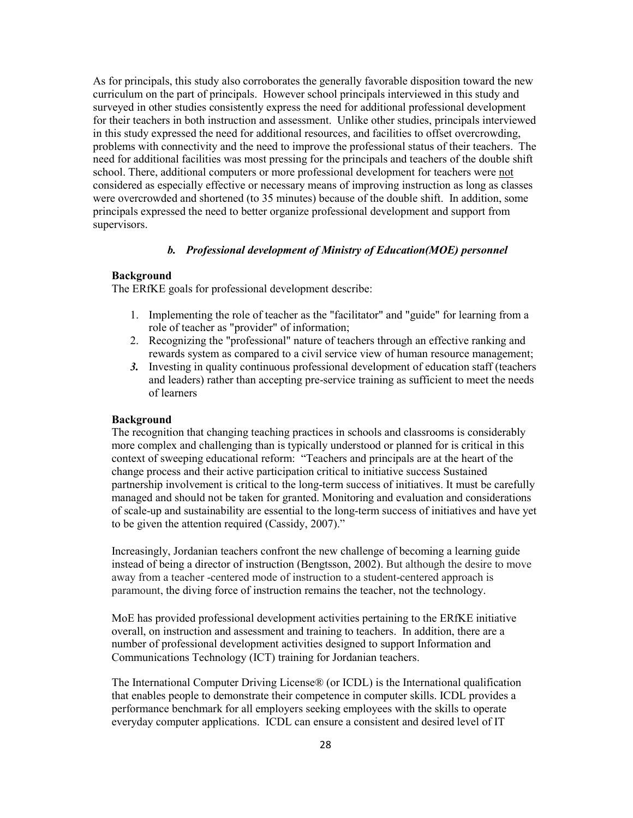As for principals, this study also corroborates the generally favorable disposition toward the new curriculum on the part of principals. However school principals interviewed in this study and surveyed in other studies consistently express the need for additional professional development for their teachers in both instruction and assessment. Unlike other studies, principals interviewed in this study expressed the need for additional resources, and facilities to offset overcrowding. problems with connectivity and the need to improve the professional status of their teachers. The need for additional facilities was most pressing for the principals and teachers of the double shift school. There, additional computers or more professional development for teachers were not considered as especially effective or necessary means of improving instruction as long as classes were overcrowded and shortened (to 35 minutes) because of the double shift. In addition, some principals expressed the need to better organize professional development and support from supervisors.

## b. Professional development of Ministry of Education(MOE) personnel

## **Background**

The ERfKE goals for professional development describe:

- 1. Implementing the role of teacher as the "facilitator" and "guide" for learning from a role of teacher as "provider" of information;
- 2. Recognizing the "professional" nature of teachers through an effective ranking and rewards system as compared to a civil service view of human resource management:
- 3. Investing in quality continuous professional development of education staff (teachers and leaders) rather than accepting pre-service training as sufficient to meet the needs of learners

#### **Background**

The recognition that changing teaching practices in schools and classrooms is considerably more complex and challenging than is typically understood or planned for is critical in this context of sweeping educational reform: "Teachers and principals are at the heart of the change process and their active participation critical to initiative success Sustained partnership involvement is critical to the long-term success of initiatives. It must be carefully managed and should not be taken for granted. Monitoring and evaluation and considerations of scale-up and sustainability are essential to the long-term success of initiatives and have yet to be given the attention required (Cassidy, 2007)."

Increasingly, Jordanian teachers confront the new challenge of becoming a learning guide instead of being a director of instruction (Bengtsson, 2002). But although the desire to move away from a teacher -centered mode of instruction to a student-centered approach is paramount, the diving force of instruction remains the teacher, not the technology.

MoE has provided professional development activities pertaining to the ERfKE initiative overall, on instruction and assessment and training to teachers. In addition, there are a number of professional development activities designed to support Information and Communications Technology (ICT) training for Jordanian teachers.

The International Computer Driving License® (or ICDL) is the International qualification that enables people to demonstrate their competence in computer skills. ICDL provides a performance benchmark for all employers seeking employees with the skills to operate everyday computer applications. ICDL can ensure a consistent and desired level of IT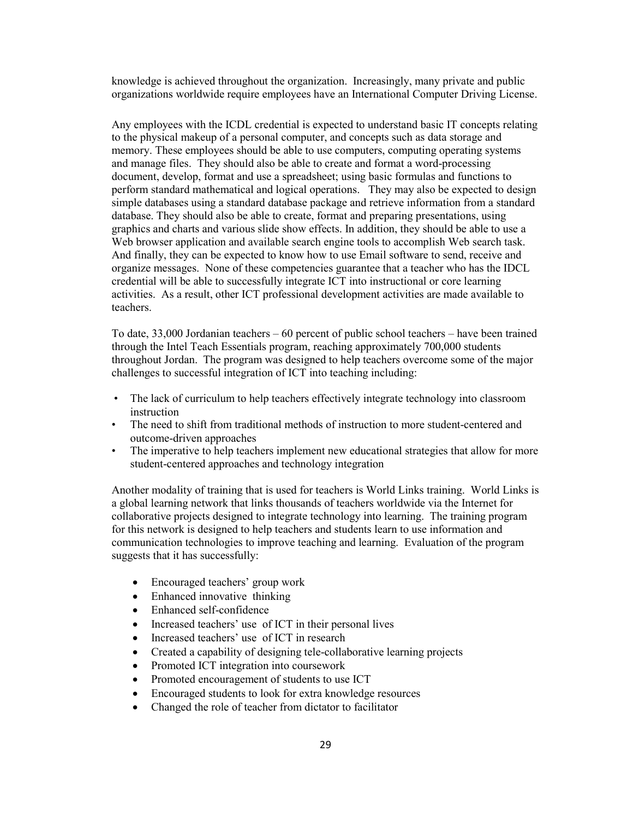knowledge is achieved throughout the organization. Increasingly, many private and public organizations worldwide require employees have an International Computer Driving License.

Any employees with the ICDL credential is expected to understand basic IT concepts relating to the physical makeup of a personal computer, and concepts such as data storage and memory. These employees should be able to use computers, computing operating systems and manage files. They should also be able to create and format a word-processing document, develop, format and use a spreadsheet; using basic formulas and functions to perform standard mathematical and logical operations. They may also be expected to design simple databases using a standard database package and retrieve information from a standard database. They should also be able to create, format and preparing presentations, using graphics and charts and various slide show effects. In addition, they should be able to use a Web browser application and available search engine tools to accomplish Web search task. And finally, they can be expected to know how to use Email software to send, receive and organize messages. None of these competencies guarantee that a teacher who has the IDCL credential will be able to successfully integrate ICT into instructional or core learning activities. As a result, other ICT professional development activities are made available to teachers.

To date,  $33,000$  Jordanian teachers  $-60$  percent of public school teachers  $-$  have been trained through the Intel Teach Essentials program, reaching approximately 700,000 students throughout Jordan. The program was designed to help teachers overcome some of the major challenges to successful integration of ICT into teaching including:

- The lack of curriculum to help teachers effectively integrate technology into classroom instruction
- The need to shift from traditional methods of instruction to more student-centered and outcome-driven approaches
- The imperative to help teachers implement new educational strategies that allow for more  $\bullet$ student-centered approaches and technology integration

Another modality of training that is used for teachers is World Links training. World Links is a global learning network that links thousands of teachers worldwide via the Internet for collaborative projects designed to integrate technology into learning. The training program for this network is designed to help teachers and students learn to use information and communication technologies to improve teaching and learning. Evaluation of the program suggests that it has successfully:

- Encouraged teachers' group work
- Enhanced innovative thinking
- Enhanced self-confidence  $\bullet$
- $\bullet$ Increased teachers' use of ICT in their personal lives
- Increased teachers' use of ICT in research
- Created a capability of designing tele-collaborative learning projects  $\bullet$
- Promoted ICT integration into coursework
- Promoted encouragement of students to use ICT
- $\bullet$ Encouraged students to look for extra knowledge resources
- Changed the role of teacher from dictator to facilitator  $\bullet$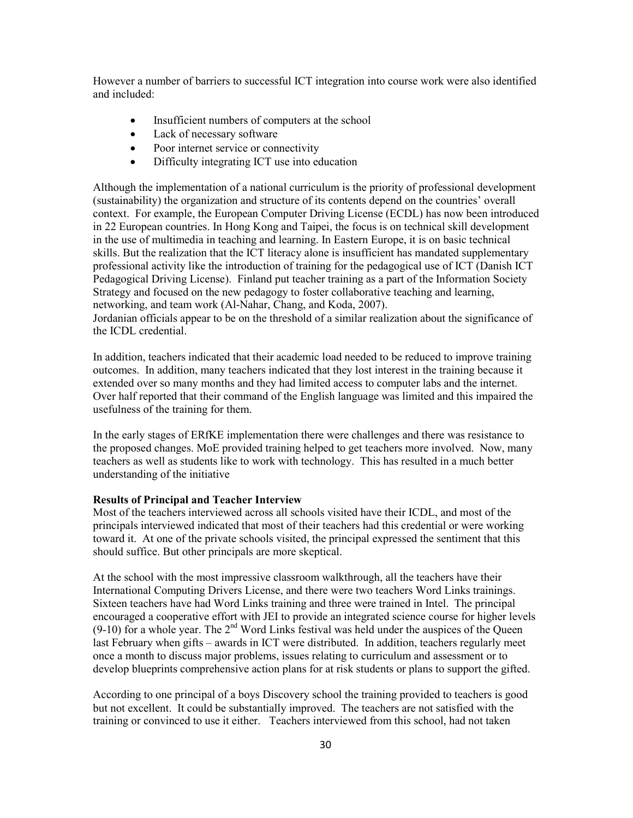However a number of barriers to successful ICT integration into course work were also identified and included:

- Insufficient numbers of computers at the school  $\bullet$
- Lack of necessary software  $\bullet$
- Poor internet service or connectivity  $\bullet$
- Difficulty integrating ICT use into education  $\bullet$

Although the implementation of a national curriculum is the priority of professional development (sustainability) the organization and structure of its contents depend on the countries' overall context. For example, the European Computer Driving License (ECDL) has now been introduced in 22 European countries. In Hong Kong and Taipei, the focus is on technical skill development in the use of multimedia in teaching and learning. In Eastern Europe, it is on basic technical skills. But the realization that the ICT literacy alone is insufficient has mandated supplementary professional activity like the introduction of training for the pedagogical use of ICT (Danish ICT) Pedagogical Driving License). Finland put teacher training as a part of the Information Society Strategy and focused on the new pedagogy to foster collaborative teaching and learning. networking, and team work (Al-Nahar, Chang, and Koda, 2007).

Jordanian officials appear to be on the threshold of a similar realization about the significance of the ICDL credential.

In addition, teachers indicated that their academic load needed to be reduced to improve training outcomes. In addition, many teachers indicated that they lost interest in the training because it extended over so many months and they had limited access to computer labs and the internet. Over half reported that their command of the English language was limited and this impaired the usefulness of the training for them.

In the early stages of ERfKE implementation there were challenges and there was resistance to the proposed changes. MoE provided training helped to get teachers more involved. Now, many teachers as well as students like to work with technology. This has resulted in a much better understanding of the initiative

## **Results of Principal and Teacher Interview**

Most of the teachers interviewed across all schools visited have their ICDL, and most of the principals interviewed indicated that most of their teachers had this credential or were working toward it. At one of the private schools visited, the principal expressed the sentiment that this should suffice. But other principals are more skeptical.

At the school with the most impressive classroom walkthrough, all the teachers have their International Computing Drivers License, and there were two teachers Word Links trainings. Sixteen teachers have had Word Links training and three were trained in Intel. The principal encouraged a cooperative effort with JEI to provide an integrated science course for higher levels  $(9-10)$  for a whole year. The  $2<sup>nd</sup>$  Word Links festival was held under the auspices of the Queen last February when gifts – awards in ICT were distributed. In addition, teachers regularly meet once a month to discuss major problems, issues relating to curriculum and assessment or to develop blueprints comprehensive action plans for at risk students or plans to support the gifted.

According to one principal of a boys Discovery school the training provided to teachers is good but not excellent. It could be substantially improved. The teachers are not satisfied with the training or convinced to use it either. Teachers interviewed from this school, had not taken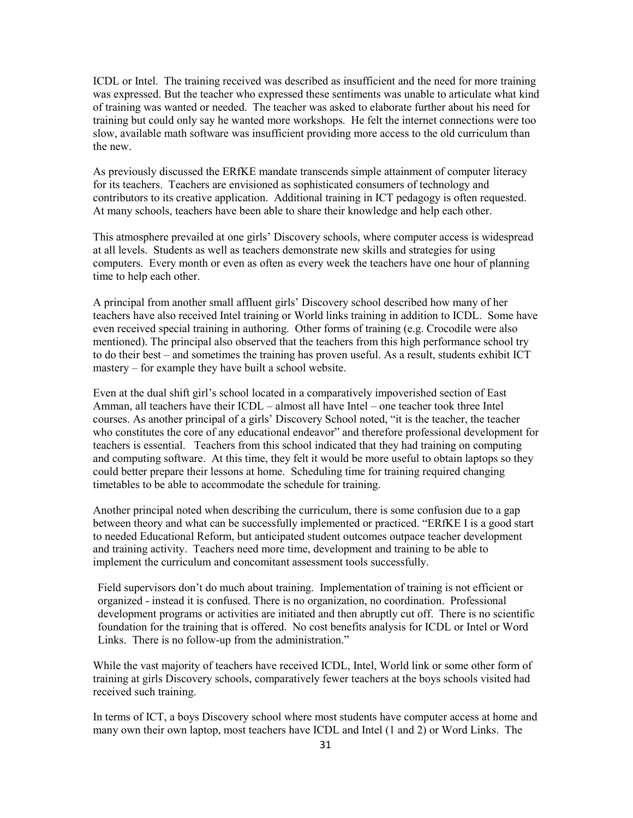ICDL or Intel. The training received was described as insufficient and the need for more training was expressed. But the teacher who expressed these sentiments was unable to articulate what kind of training was wanted or needed. The teacher was asked to elaborate further about his need for training but could only say he wanted more workshops. He felt the internet connections were too slow, available math software was insufficient providing more access to the old curriculum than the new.

As previously discussed the ERfKE mandate transcends simple attainment of computer literacy for its teachers. Teachers are envisioned as sophisticated consumers of technology and contributors to its creative application. Additional training in ICT pedagogy is often requested. At many schools, teachers have been able to share their knowledge and help each other.

This atmosphere prevailed at one girls' Discovery schools, where computer access is widespread at all levels. Students as well as teachers demonstrate new skills and strategies for using computers. Every month or even as often as every week the teachers have one hour of planning time to help each other.

A principal from another small affluent girls' Discovery school described how many of her teachers have also received Intel training or World links training in addition to ICDL. Some have even received special training in authoring. Other forms of training (e.g. Crocodile were also mentioned). The principal also observed that the teachers from this high performance school try to do their best – and sometimes the training has proven useful. As a result, students exhibit ICT mastery – for example they have built a school website.

Even at the dual shift girl's school located in a comparatively impoverished section of East Amman, all teachers have their ICDL - almost all have Intel - one teacher took three Intel courses. As another principal of a girls' Discovery School noted, "it is the teacher, the teacher who constitutes the core of any educational endeavor" and therefore professional development for teachers is essential. Teachers from this school indicated that they had training on computing and computing software. At this time, they felt it would be more useful to obtain laptops so they could better prepare their lessons at home. Scheduling time for training required changing timetables to be able to accommodate the schedule for training.

Another principal noted when describing the curriculum, there is some confusion due to a gap between theory and what can be successfully implemented or practiced. "ERfKE I is a good start to needed Educational Reform, but anticipated student outcomes outpace teacher development and training activity. Teachers need more time, development and training to be able to implement the curriculum and concomitant assessment tools successfully.

Field supervisors don't do much about training. Implementation of training is not efficient or organized - instead it is confused. There is no organization, no coordination. Professional development programs or activities are initiated and then abruptly cut off. There is no scientific foundation for the training that is offered. No cost benefits analysis for ICDL or Intel or Word Links. There is no follow-up from the administration."

While the vast majority of teachers have received ICDL, Intel, World link or some other form of training at girls Discovery schools, comparatively fewer teachers at the boys schools visited had received such training.

In terms of ICT, a boys Discovery school where most students have computer access at home and many own their own laptop, most teachers have ICDL and Intel (1 and 2) or Word Links. The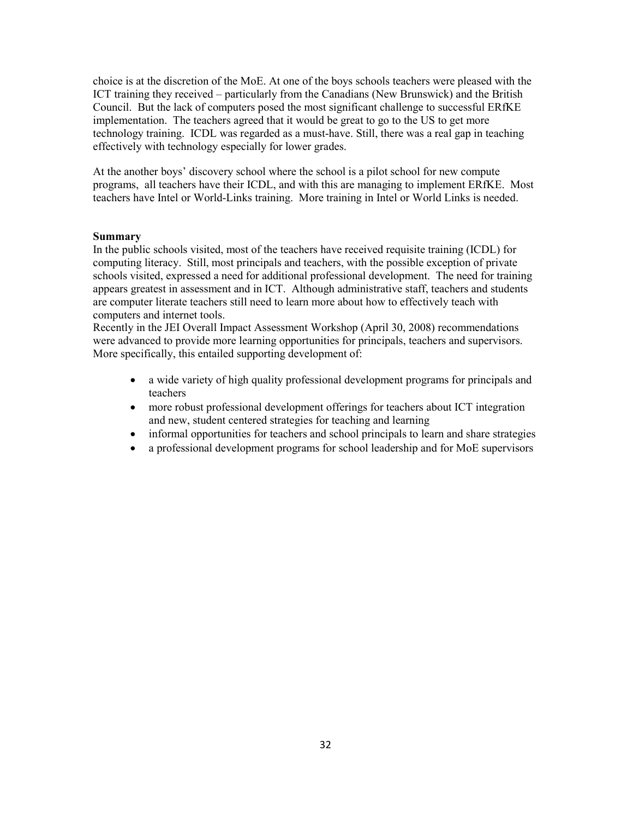choice is at the discretion of the MoE. At one of the boys schools teachers were pleased with the ICT training they received – particularly from the Canadians (New Brunswick) and the British Council. But the lack of computers posed the most significant challenge to successful ERfKE implementation. The teachers agreed that it would be great to go to the US to get more technology training. ICDL was regarded as a must-have. Still, there was a real gap in teaching effectively with technology especially for lower grades.

At the another boys' discovery school where the school is a pilot school for new compute programs, all teachers have their ICDL, and with this are managing to implement ERfKE. Most teachers have Intel or World-Links training. More training in Intel or World Links is needed.

## **Summary**

In the public schools visited, most of the teachers have received requisite training (ICDL) for computing literacy. Still, most principals and teachers, with the possible exception of private schools visited, expressed a need for additional professional development. The need for training appears greatest in assessment and in ICT. Although administrative staff, teachers and students are computer literate teachers still need to learn more about how to effectively teach with computers and internet tools.

Recently in the JEI Overall Impact Assessment Workshop (April 30, 2008) recommendations were advanced to provide more learning opportunities for principals, teachers and supervisors. More specifically, this entailed supporting development of:

- a wide variety of high quality professional development programs for principals and  $\bullet$ teachers
- more robust professional development offerings for teachers about ICT integration  $\bullet$ and new, student centered strategies for teaching and learning
- $\bullet$ informal opportunities for teachers and school principals to learn and share strategies
- a professional development programs for school leadership and for MoE supervisors  $\bullet$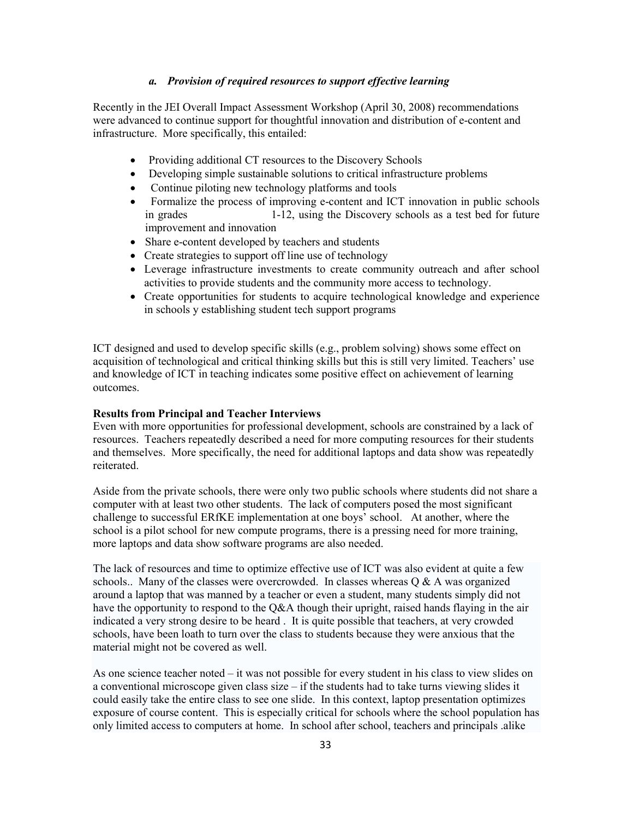## a. Provision of required resources to support effective learning

Recently in the JEI Overall Impact Assessment Workshop (April 30, 2008) recommendations were advanced to continue support for thoughtful innovation and distribution of e-content and infrastructure. More specifically, this entailed:

- Providing additional CT resources to the Discovery Schools
- Developing simple sustainable solutions to critical infrastructure problems
- Continue piloting new technology platforms and tools
- Formalize the process of improving e-content and ICT innovation in public schools 1-12, using the Discovery schools as a test bed for future in grades improvement and innovation
- Share e-content developed by teachers and students
- Create strategies to support off line use of technology
- Leverage infrastructure investments to create community outreach and after school activities to provide students and the community more access to technology.
- Create opportunities for students to acquire technological knowledge and experience in schools y establishing student tech support programs

ICT designed and used to develop specific skills (e.g., problem solving) shows some effect on acquisition of technological and critical thinking skills but this is still very limited. Teachers' use and knowledge of ICT in teaching indicates some positive effect on achievement of learning outcomes.

#### **Results from Principal and Teacher Interviews**

Even with more opportunities for professional development, schools are constrained by a lack of resources. Teachers repeatedly described a need for more computing resources for their students and themselves. More specifically, the need for additional laptops and data show was repeatedly reiterated.

Aside from the private schools, there were only two public schools where students did not share a computer with at least two other students. The lack of computers posed the most significant challenge to successful ERfKE implementation at one boys' school. At another, where the school is a pilot school for new compute programs, there is a pressing need for more training. more laptops and data show software programs are also needed.

The lack of resources and time to optimize effective use of ICT was also evident at quite a few schools... Many of the classes were overcrowded. In classes whereas  $Q & A$  was organized around a laptop that was manned by a teacher or even a student, many students simply did not have the opportunity to respond to the Q&A though their upright, raised hands flaying in the air indicated a very strong desire to be heard. It is quite possible that teachers, at very crowded schools, have been loath to turn over the class to students because they were anxious that the material might not be covered as well.

As one science teacher noted – it was not possible for every student in his class to view slides on a conventional microscope given class size  $-$  if the students had to take turns viewing slides it could easily take the entire class to see one slide. In this context, laptop presentation optimizes exposure of course content. This is especially critical for schools where the school population has only limited access to computers at home. In school after school, teachers and principals alike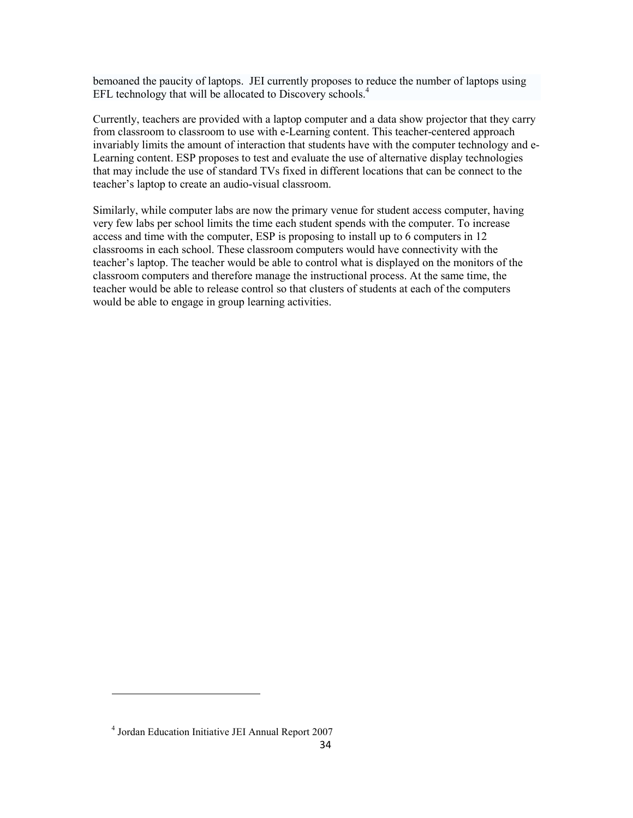bemoaned the paucity of laptops. JEI currently proposes to reduce the number of laptops using EFL technology that will be allocated to Discovery schools.<sup>4</sup>

Currently, teachers are provided with a laptop computer and a data show projector that they carry from classroom to classroom to use with e-Learning content. This teacher-centered approach invariably limits the amount of interaction that students have with the computer technology and e-Learning content. ESP proposes to test and evaluate the use of alternative display technologies that may include the use of standard TVs fixed in different locations that can be connect to the teacher's laptop to create an audio-visual classroom.

Similarly, while computer labs are now the primary venue for student access computer, having very few labs per school limits the time each student spends with the computer. To increase access and time with the computer, ESP is proposing to install up to 6 computers in 12 classrooms in each school. These classroom computers would have connectivity with the teacher's laptop. The teacher would be able to control what is displayed on the monitors of the classroom computers and therefore manage the instructional process. At the same time, the teacher would be able to release control so that clusters of students at each of the computers would be able to engage in group learning activities.

<sup>&</sup>lt;sup>4</sup> Jordan Education Initiative JEI Annual Report 2007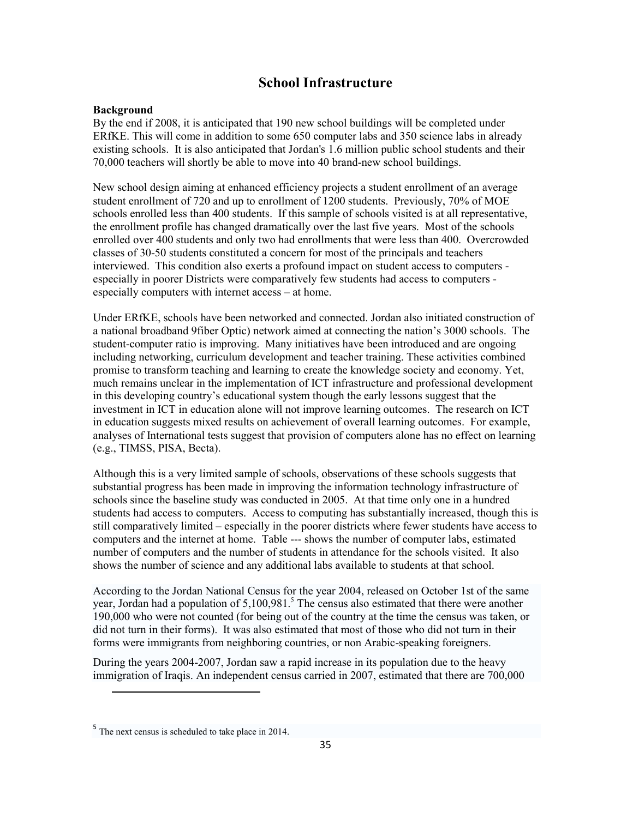## **School Infrastructure**

## **Background**

By the end if 2008, it is anticipated that 190 new school buildings will be completed under ERfKE. This will come in addition to some 650 computer labs and 350 science labs in already existing schools. It is also anticipated that Jordan's 1.6 million public school students and their 70,000 teachers will shortly be able to move into 40 brand-new school buildings.

New school design aiming at enhanced efficiency projects a student enrollment of an average student enrollment of 720 and up to enrollment of 1200 students. Previously, 70% of MOE schools enrolled less than 400 students. If this sample of schools visited is at all representative, the enrollment profile has changed dramatically over the last five years. Most of the schools enrolled over 400 students and only two had enrollments that were less than 400. Overcrowded classes of 30-50 students constituted a concern for most of the principals and teachers interviewed. This condition also exerts a profound impact on student access to computers especially in poorer Districts were comparatively few students had access to computers especially computers with internet access – at home.

Under ERfKE, schools have been networked and connected. Jordan also initiated construction of a national broadband 9 fiber Optic) network aimed at connecting the nation's 3000 schools. The student-computer ratio is improving. Many initiatives have been introduced and are ongoing including networking, curriculum development and teacher training. These activities combined promise to transform teaching and learning to create the knowledge society and economy. Yet, much remains unclear in the implementation of ICT infrastructure and professional development in this developing country's educational system though the early lessons suggest that the investment in ICT in education alone will not improve learning outcomes. The research on ICT in education suggests mixed results on achievement of overall learning outcomes. For example, analyses of International tests suggest that provision of computers alone has no effect on learning (e.g., TIMSS, PISA, Becta).

Although this is a very limited sample of schools, observations of these schools suggests that substantial progress has been made in improving the information technology infrastructure of schools since the baseline study was conducted in 2005. At that time only one in a hundred students had access to computers. Access to computing has substantially increased, though this is still comparatively limited – especially in the poorer districts where fewer students have access to computers and the internet at home. Table --- shows the number of computer labs, estimated number of computers and the number of students in attendance for the schools visited. It also shows the number of science and any additional labs available to students at that school.

According to the Jordan National Census for the year 2004, released on October 1st of the same year, Jordan had a population of 5,100,981.<sup>5</sup> The census also estimated that there were another 190,000 who were not counted (for being out of the country at the time the census was taken, or did not turn in their forms). It was also estimated that most of those who did not turn in their forms were immigrants from neighboring countries, or non Arabic-speaking foreigners.

During the years 2004-2007, Jordan saw a rapid increase in its population due to the heavy immigration of Iraqis. An independent census carried in 2007, estimated that there are 700,000

 $5$  The next census is scheduled to take place in 2014.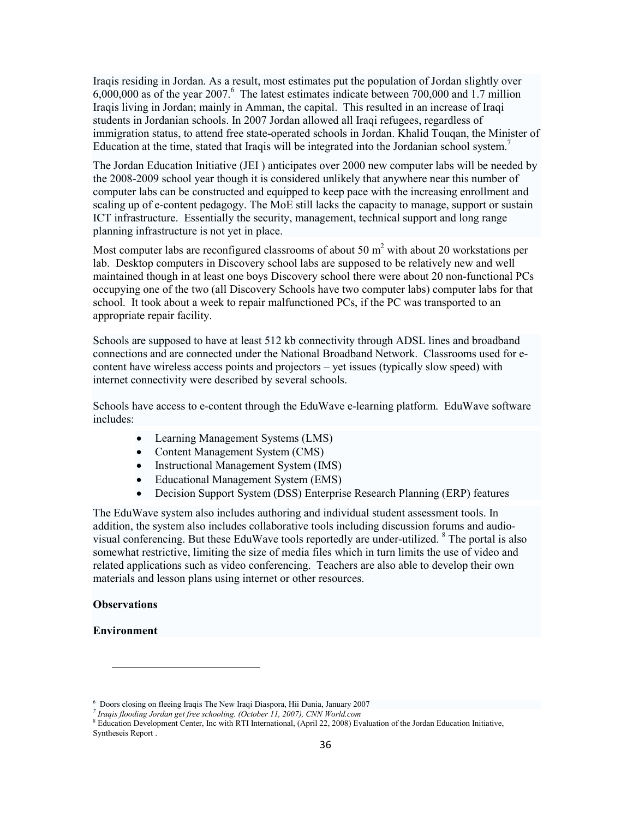Iraqis residing in Jordan. As a result, most estimates put the population of Jordan slightly over  $6,000,000$  as of the year 2007.<sup>6</sup> The latest estimates indicate between 700,000 and 1.7 million Iraqis living in Jordan; mainly in Amman, the capital. This resulted in an increase of Iraqi students in Jordanian schools. In 2007 Jordan allowed all Iraqi refugees, regardless of immigration status, to attend free state-operated schools in Jordan. Khalid Tougan, the Minister of Education at the time, stated that Iraqis will be integrated into the Jordanian school system.

The Jordan Education Initiative (JEI) anticipates over 2000 new computer labs will be needed by the 2008-2009 school year though it is considered unlikely that anywhere near this number of computer labs can be constructed and equipped to keep pace with the increasing enrollment and scaling up of e-content pedagogy. The MoE still lacks the capacity to manage, support or sustain ICT infrastructure. Essentially the security, management, technical support and long range planning infrastructure is not yet in place.

Most computer labs are reconfigured classrooms of about 50  $m<sup>2</sup>$  with about 20 workstations per lab. Desktop computers in Discovery school labs are supposed to be relatively new and well maintained though in at least one boys Discovery school there were about 20 non-functional PCs occupying one of the two (all Discovery Schools have two computer labs) computer labs for that school. It took about a week to repair malfunctioned PCs, if the PC was transported to an appropriate repair facility.

Schools are supposed to have at least 512 kb connectivity through ADSL lines and broadband connections and are connected under the National Broadband Network. Classrooms used for econtent have wireless access points and projectors – yet issues (typically slow speed) with internet connectivity were described by several schools.

Schools have access to e-content through the EduWave e-learning platform. EduWave software includes:

- Learning Management Systems (LMS)
- Content Management System (CMS)
- Instructional Management System (IMS)
- Educational Management System (EMS)
- Decision Support System (DSS) Enterprise Research Planning (ERP) features

The EduWave system also includes authoring and individual student assessment tools. In addition, the system also includes collaborative tools including discussion forums and audiovisual conferencing. But these EduWave tools reportedly are under-utilized. <sup>8</sup> The portal is also somewhat restrictive, limiting the size of media files which in turn limits the use of video and related applications such as video conferencing. Teachers are also able to develop their own materials and lesson plans using internet or other resources.

### **Observations**

### **Environment**

<sup>&</sup>lt;sup>6</sup> Doors closing on fleeing Iraqis The New Iraqi Diaspora, Hii Dunia, January 2007<br><sup>7</sup> Iraqis flooding Jordan get free schooling. (October 11, 2007), CNN World.com

<sup>&</sup>lt;sup>8</sup> Education Development Center, Inc with RTI International, (April 22, 2008) Evaluation of the Jordan Education Initiative, Syntheseis Report.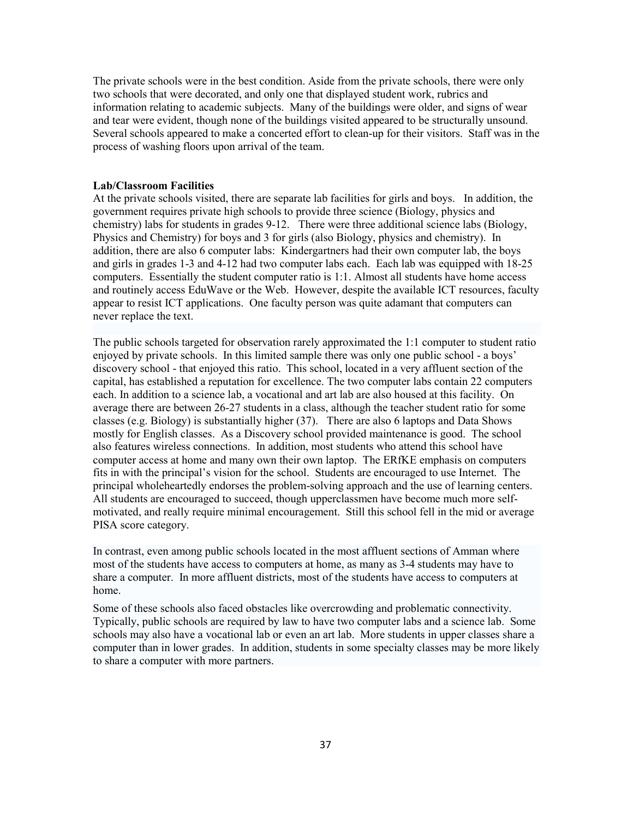The private schools were in the best condition. Aside from the private schools, there were only two schools that were decorated, and only one that displayed student work, rubrics and information relating to academic subjects. Many of the buildings were older, and signs of wear and tear were evident, though none of the buildings visited appeared to be structurally unsound. Several schools appeared to make a concerted effort to clean-up for their visitors. Staff was in the process of washing floors upon arrival of the team.

#### **Lab/Classroom Facilities**

At the private schools visited, there are separate lab facilities for girls and boys. In addition, the government requires private high schools to provide three science (Biology, physics and chemistry) labs for students in grades 9-12. There were three additional science labs (Biology, Physics and Chemistry) for boys and 3 for girls (also Biology, physics and chemistry). In addition, there are also 6 computer labs: Kindergartners had their own computer lab, the boys and girls in grades 1-3 and 4-12 had two computer labs each. Each lab was equipped with 18-25 computers. Essentially the student computer ratio is 1:1. Almost all students have home access and routinely access EduWave or the Web. However, despite the available ICT resources, faculty appear to resist ICT applications. One faculty person was quite adamant that computers can never replace the text.

The public schools targeted for observation rarely approximated the 1:1 computer to student ratio enjoyed by private schools. In this limited sample there was only one public school - a boys' discovery school - that enjoyed this ratio. This school, located in a very affluent section of the capital, has established a reputation for excellence. The two computer labs contain 22 computers each. In addition to a science lab, a vocational and art lab are also housed at this facility. On average there are between 26-27 students in a class, although the teacher student ratio for some classes (e.g. Biology) is substantially higher (37). There are also 6 laptops and Data Shows mostly for English classes. As a Discovery school provided maintenance is good. The school also features wireless connections. In addition, most students who attend this school have computer access at home and many own their own laptop. The ERfKE emphasis on computers fits in with the principal's vision for the school. Students are encouraged to use Internet. The principal wholeheartedly endorses the problem-solving approach and the use of learning centers. All students are encouraged to succeed, though upperclassmen have become much more selfmotivated, and really require minimal encouragement. Still this school fell in the mid or average PISA score category.

In contrast, even among public schools located in the most affluent sections of Amman where most of the students have access to computers at home, as many as 3-4 students may have to share a computer. In more affluent districts, most of the students have access to computers at home.

Some of these schools also faced obstacles like overcrowding and problematic connectivity. Typically, public schools are required by law to have two computer labs and a science lab. Some schools may also have a vocational lab or even an art lab. More students in upper classes share a computer than in lower grades. In addition, students in some specialty classes may be more likely to share a computer with more partners.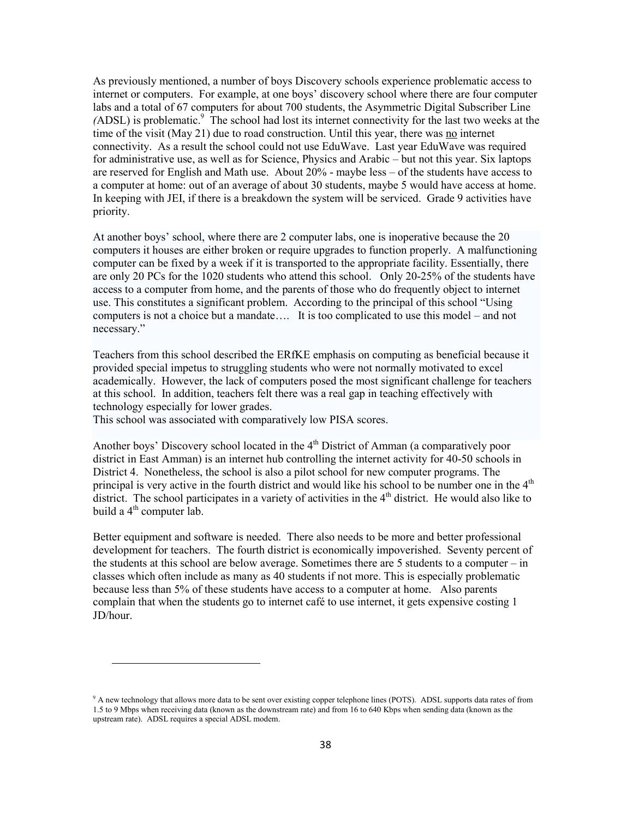As previously mentioned, a number of boys Discovery schools experience problematic access to internet or computers. For example, at one boys' discovery school where there are four computer labs and a total of 67 computers for about 700 students, the Asymmetric Digital Subscriber Line (ADSL) is problematic.<sup>9</sup> The school had lost its internet connectivity for the last two weeks at the time of the visit (May 21) due to road construction. Until this year, there was no internet connectivity. As a result the school could not use EduWave. Last year EduWave was required for administrative use, as well as for Science, Physics and Arabic – but not this year. Six laptops are reserved for English and Math use. About  $20\%$  - maybe less  $-$  of the students have access to a computer at home: out of an average of about 30 students, maybe 5 would have access at home. In keeping with JEI, if there is a breakdown the system will be serviced. Grade 9 activities have priority.

At another boys' school, where there are 2 computer labs, one is inoperative because the 20 computers it houses are either broken or require upgrades to function properly. A malfunctioning computer can be fixed by a week if it is transported to the appropriate facility. Essentially, there are only 20 PCs for the 1020 students who attend this school. Only 20-25% of the students have access to a computer from home, and the parents of those who do frequently object to internet use. This constitutes a significant problem. According to the principal of this school "Using" computers is not a choice but a mandate.... It is too complicated to use this model – and not necessary."

Teachers from this school described the ERfKE emphasis on computing as beneficial because it provided special impetus to struggling students who were not normally motivated to excel academically. However, the lack of computers posed the most significant challenge for teachers at this school. In addition, teachers felt there was a real gap in teaching effectively with technology especially for lower grades.

This school was associated with comparatively low PISA scores.

Another boys' Discovery school located in the 4<sup>th</sup> District of Amman (a comparatively poor district in East Amman) is an internet hub controlling the internet activity for 40-50 schools in District 4. Nonetheless, the school is also a pilot school for new computer programs. The principal is very active in the fourth district and would like his school to be number one in the 4<sup>th</sup> district. The school participates in a variety of activities in the  $4<sup>th</sup>$  district. He would also like to build a 4<sup>th</sup> computer lab.

Better equipment and software is needed. There also needs to be more and better professional development for teachers. The fourth district is economically impoverished. Seventy percent of the students at this school are below average. Sometimes there are  $5$  students to a computer – in classes which often include as many as 40 students if not more. This is especially problematic because less than 5% of these students have access to a computer at home. Also parents complain that when the students go to internet café to use internet, it gets expensive costing 1 JD/hour.

<sup>&</sup>lt;sup>9</sup> A new technology that allows more data to be sent over existing copper telephone lines (POTS). ADSL supports data rates of from 1.5 to 9 Mbps when receiving data (known as the downstream rate) and from 16 to 640 Kbps when sending data (known as the upstream rate). ADSL requires a special ADSL modem.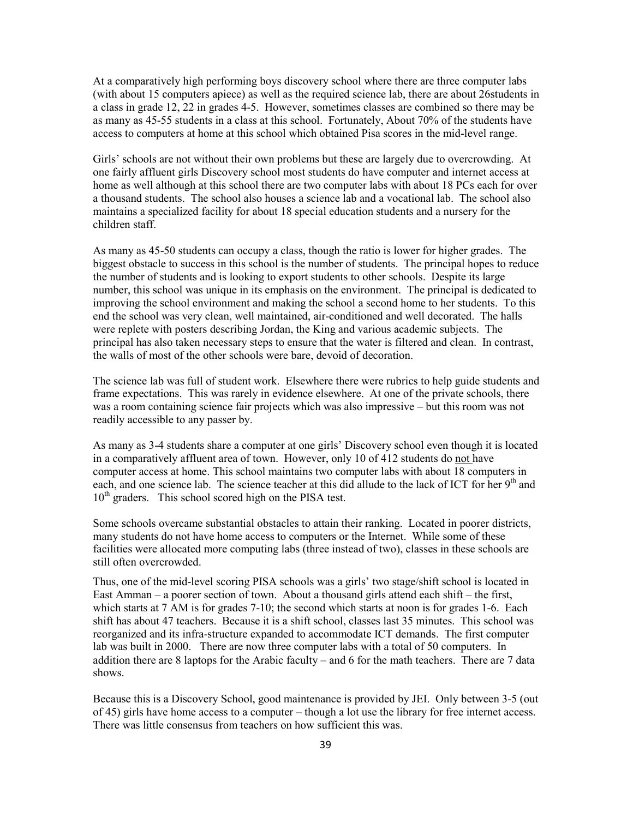At a comparatively high performing boys discovery school where there are three computer labs (with about 15 computers apiece) as well as the required science lab, there are about 26 students in a class in grade 12, 22 in grades 4-5. However, sometimes classes are combined so there may be as many as 45-55 students in a class at this school. Fortunately, About 70% of the students have access to computers at home at this school which obtained Pisa scores in the mid-level range.

Girls' schools are not without their own problems but these are largely due to overcrowding. At one fairly affluent girls Discovery school most students do have computer and internet access at home as well although at this school there are two computer labs with about 18 PCs each for over a thousand students. The school also houses a science lab and a vocational lab. The school also maintains a specialized facility for about 18 special education students and a nursery for the children staff.

As many as 45-50 students can occupy a class, though the ratio is lower for higher grades. The biggest obstacle to success in this school is the number of students. The principal hopes to reduce the number of students and is looking to export students to other schools. Despite its large number, this school was unique in its emphasis on the environment. The principal is dedicated to improving the school environment and making the school a second home to her students. To this end the school was very clean, well maintained, air-conditioned and well decorated. The halls were replete with posters describing Jordan, the King and various academic subjects. The principal has also taken necessary steps to ensure that the water is filtered and clean. In contrast, the walls of most of the other schools were bare, devoid of decoration.

The science lab was full of student work. Elsewhere there were rubrics to help guide students and frame expectations. This was rarely in evidence elsewhere. At one of the private schools, there was a room containing science fair projects which was also impressive – but this room was not readily accessible to any passer by.

As many as 3-4 students share a computer at one girls' Discovery school even though it is located in a comparatively affluent area of town. However, only 10 of 412 students do not have computer access at home. This school maintains two computer labs with about 18 computers in each, and one science lab. The science teacher at this did allude to the lack of ICT for her 9<sup>th</sup> and  $10<sup>th</sup>$  graders. This school scored high on the PISA test.

Some schools overcame substantial obstacles to attain their ranking. Located in poorer districts, many students do not have home access to computers or the Internet. While some of these facilities were allocated more computing labs (three instead of two), classes in these schools are still often overcrowded.

Thus, one of the mid-level scoring PISA schools was a girls' two stage/shift school is located in East Amman – a poorer section of town. About a thousand girls attend each shift – the first, which starts at 7 AM is for grades 7-10; the second which starts at noon is for grades 1-6. Each shift has about 47 teachers. Because it is a shift school, classes last 35 minutes. This school was reorganized and its infra-structure expanded to accommodate ICT demands. The first computer lab was built in 2000. There are now three computer labs with a total of 50 computers. In addition there are 8 laptops for the Arabic faculty – and 6 for the math teachers. There are 7 data shows.

Because this is a Discovery School, good maintenance is provided by JEI. Only between 3-5 (out of 45) girls have home access to a computer – though a lot use the library for free internet access. There was little consensus from teachers on how sufficient this was.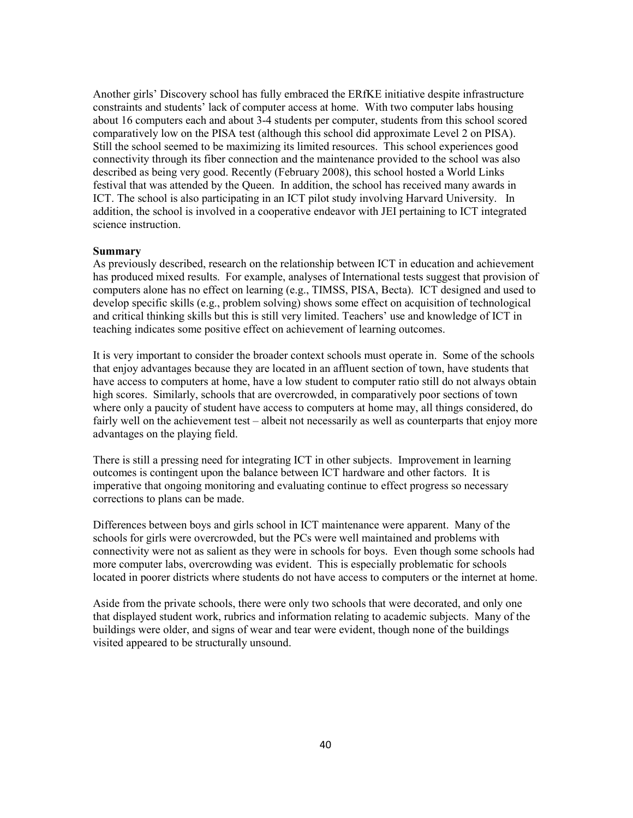Another girls' Discovery school has fully embraced the ERfKE initiative despite infrastructure constraints and students' lack of computer access at home. With two computer labs housing about 16 computers each and about 3-4 students per computer, students from this school scored comparatively low on the PISA test (although this school did approximate Level 2 on PISA). Still the school seemed to be maximizing its limited resources. This school experiences good connectivity through its fiber connection and the maintenance provided to the school was also described as being very good. Recently (February 2008), this school hosted a World Links festival that was attended by the Queen. In addition, the school has received many awards in ICT. The school is also participating in an ICT pilot study involving Harvard University. In addition, the school is involved in a cooperative endeavor with JEI pertaining to ICT integrated science instruction.

### **Summary**

As previously described, research on the relationship between ICT in education and achievement has produced mixed results. For example, analyses of International tests suggest that provision of computers alone has no effect on learning (e.g., TIMSS, PISA, Becta). ICT designed and used to develop specific skills (e.g., problem solving) shows some effect on acquisition of technological and critical thinking skills but this is still very limited. Teachers' use and knowledge of ICT in teaching indicates some positive effect on achievement of learning outcomes.

It is very important to consider the broader context schools must operate in. Some of the schools that enjoy advantages because they are located in an affluent section of town, have students that have access to computers at home, have a low student to computer ratio still do not always obtain high scores. Similarly, schools that are overcrowded, in comparatively poor sections of town where only a paucity of student have access to computers at home may, all things considered, do fairly well on the achievement test – albeit not necessarily as well as counterparts that enjoy more advantages on the playing field.

There is still a pressing need for integrating ICT in other subjects. Improvement in learning outcomes is contingent upon the balance between ICT hardware and other factors. It is imperative that ongoing monitoring and evaluating continue to effect progress so necessary corrections to plans can be made.

Differences between boys and girls school in ICT maintenance were apparent. Many of the schools for girls were overcrowded, but the PCs were well maintained and problems with connectivity were not as salient as they were in schools for boys. Even though some schools had more computer labs, overcrowding was evident. This is especially problematic for schools located in poorer districts where students do not have access to computers or the internet at home.

Aside from the private schools, there were only two schools that were decorated, and only one that displayed student work, rubrics and information relating to academic subjects. Many of the buildings were older, and signs of wear and tear were evident, though none of the buildings visited appeared to be structurally unsound.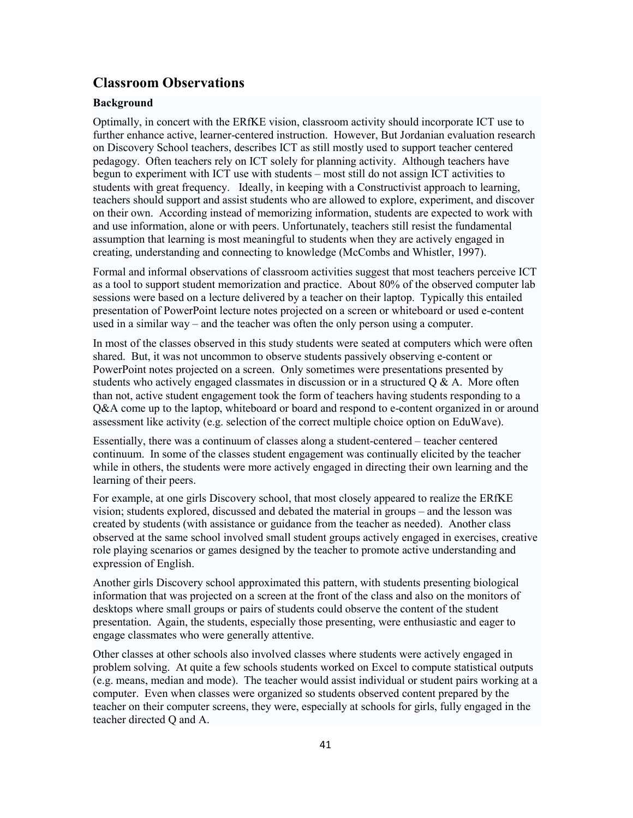## **Classroom Observations**

## **Background**

Optimally, in concert with the ERfKE vision, classroom activity should incorporate ICT use to further enhance active, learner-centered instruction. However, But Jordanian evaluation research on Discovery School teachers, describes ICT as still mostly used to support teacher centered pedagogy. Often teachers rely on ICT solely for planning activity. Although teachers have begun to experiment with ICT use with students – most still do not assign ICT activities to students with great frequency. Ideally, in keeping with a Constructivist approach to learning, teachers should support and assist students who are allowed to explore, experiment, and discover on their own. According instead of memorizing information, students are expected to work with and use information, alone or with peers. Unfortunately, teachers still resist the fundamental assumption that learning is most meaningful to students when they are actively engaged in creating, understanding and connecting to knowledge (McCombs and Whistler, 1997).

Formal and informal observations of classroom activities suggest that most teachers perceive ICT as a tool to support student memorization and practice. About 80% of the observed computer lab sessions were based on a lecture delivered by a teacher on their laptop. Typically this entailed presentation of PowerPoint lecture notes projected on a screen or whiteboard or used e-content used in a similar way – and the teacher was often the only person using a computer.

In most of the classes observed in this study students were seated at computers which were often shared. But, it was not uncommon to observe students passively observing e-content or PowerPoint notes projected on a screen. Only sometimes were presentations presented by students who actively engaged classmates in discussion or in a structured  $\overline{O} \& A$ . More often than not, active student engagement took the form of teachers having students responding to a Q&A come up to the laptop, whiteboard or board and respond to e-content organized in or around assessment like activity (e.g. selection of the correct multiple choice option on EduWave).

Essentially, there was a continuum of classes along a student-centered – teacher centered continuum. In some of the classes student engagement was continually elicited by the teacher while in others, the students were more actively engaged in directing their own learning and the learning of their peers.

For example, at one girls Discovery school, that most closely appeared to realize the ERfKE vision; students explored, discussed and debated the material in groups – and the lesson was created by students (with assistance or guidance from the teacher as needed). Another class observed at the same school involved small student groups actively engaged in exercises, creative role playing scenarios or games designed by the teacher to promote active understanding and expression of English.

Another girls Discovery school approximated this pattern, with students presenting biological information that was projected on a screen at the front of the class and also on the monitors of desktops where small groups or pairs of students could observe the content of the student presentation. Again, the students, especially those presenting, were enthusiastic and eager to engage classmates who were generally attentive.

Other classes at other schools also involved classes where students were actively engaged in problem solving. At quite a few schools students worked on Excel to compute statistical outputs (e.g. means, median and mode). The teacher would assist individual or student pairs working at a computer. Even when classes were organized so students observed content prepared by the teacher on their computer screens, they were, especially at schools for girls, fully engaged in the teacher directed O and A.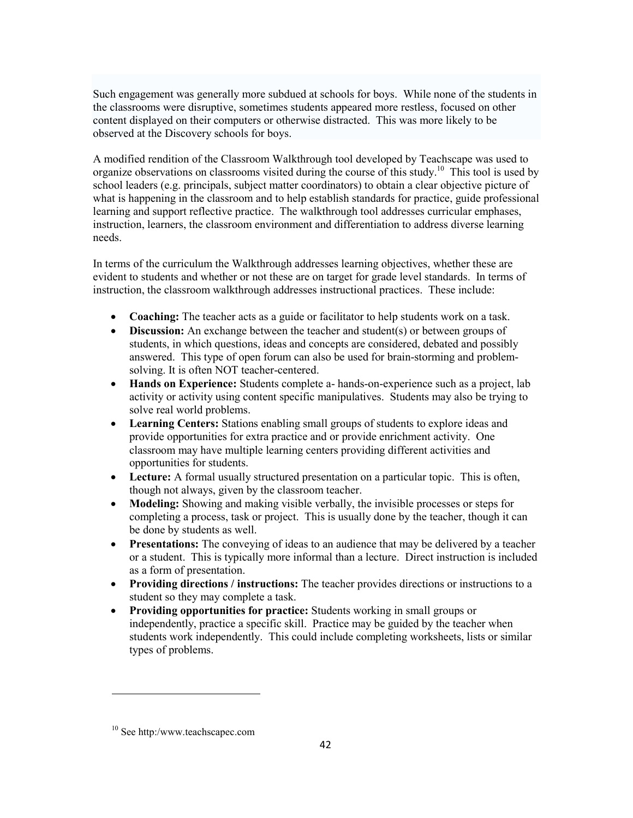Such engagement was generally more subdued at schools for boys. While none of the students in the classrooms were disruptive, sometimes students appeared more restless, focused on other content displayed on their computers or otherwise distracted. This was more likely to be observed at the Discovery schools for boys.

A modified rendition of the Classroom Walkthrough tool developed by Teachscape was used to organize observations on classrooms visited during the course of this study.<sup>10</sup> This tool is used by school leaders (e.g. principals, subject matter coordinators) to obtain a clear objective picture of what is happening in the classroom and to help establish standards for practice, guide professional learning and support reflective practice. The walkthrough tool addresses curricular emphases, instruction, learners, the classroom environment and differentiation to address diverse learning needs.

In terms of the curriculum the Walkthrough addresses learning objectives, whether these are evident to students and whether or not these are on target for grade level standards. In terms of instruction, the classroom walkthrough addresses instructional practices. These include:

- Coaching: The teacher acts as a guide or facilitator to help students work on a task.
- Discussion: An exchange between the teacher and student(s) or between groups of students, in which questions, ideas and concepts are considered, debated and possibly answered. This type of open forum can also be used for brain-storming and problemsolving. It is often NOT teacher-centered.
- Hands on Experience: Students complete a- hands-on-experience such as a project, lab activity or activity using content specific manipulatives. Students may also be trying to solve real world problems.
- **Learning Centers:** Stations enabling small groups of students to explore ideas and  $\bullet$ provide opportunities for extra practice and or provide enrichment activity. One classroom may have multiple learning centers providing different activities and opportunities for students.
- Lecture: A formal usually structured presentation on a particular topic. This is often, though not always, given by the classroom teacher.
- Modeling: Showing and making visible verbally, the invisible processes or steps for completing a process, task or project. This is usually done by the teacher, though it can be done by students as well.
- Presentations: The conveying of ideas to an audience that may be delivered by a teacher or a student. This is typically more informal than a lecture. Direct instruction is included as a form of presentation.
- Providing directions / instructions: The teacher provides directions or instructions to a student so they may complete a task.
- Providing opportunities for practice: Students working in small groups or independently, practice a specific skill. Practice may be guided by the teacher when students work independently. This could include completing worksheets, lists or similar types of problems.

 $10$  See http:/www.teachscapec.com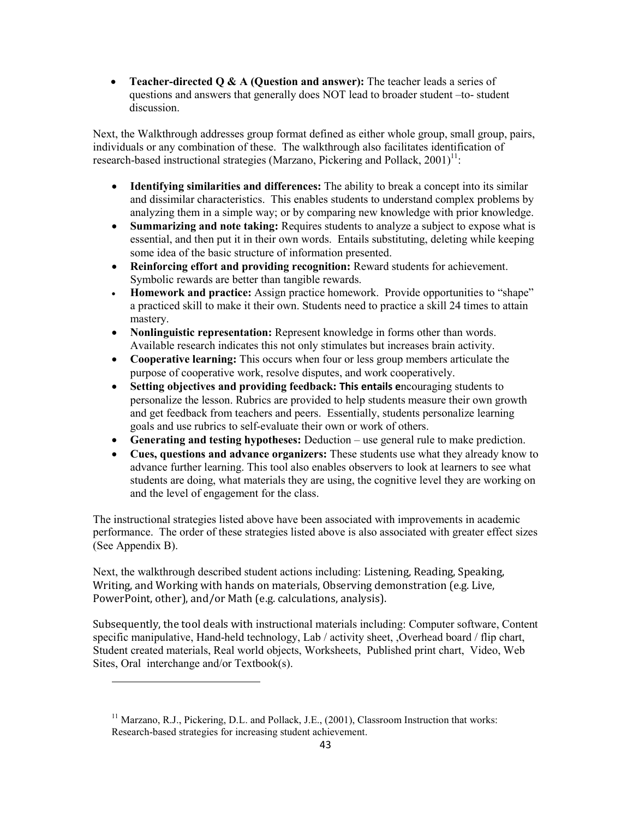• Teacher-directed  $Q \& A$  (Question and answer): The teacher leads a series of questions and answers that generally does NOT lead to broader student -to- student discussion.

Next, the Walkthrough addresses group format defined as either whole group, small group, pairs, individuals or any combination of these. The walkthrough also facilitates identification of research-based instructional strategies (Marzano, Pickering and Pollack,  $2001$ <sup>11</sup>:

- Identifying similarities and differences: The ability to break a concept into its similar and dissimilar characteristics. This enables students to understand complex problems by analyzing them in a simple way; or by comparing new knowledge with prior knowledge.
- Summarizing and note taking: Requires students to analyze a subject to expose what is essential, and then put it in their own words. Entails substituting, deleting while keeping some idea of the basic structure of information presented.
- Reinforcing effort and providing recognition: Reward students for achievement. Symbolic rewards are better than tangible rewards.
- **Homework and practice:** Assign practice homework. Provide opportunities to "shape"  $\bullet$ a practiced skill to make it their own. Students need to practice a skill 24 times to attain mastery.
- Nonlinguistic representation: Represent knowledge in forms other than words. Available research indicates this not only stimulates but increases brain activity.
- Cooperative learning: This occurs when four or less group members articulate the purpose of cooperative work, resolve disputes, and work cooperatively.
- Setting objectives and providing feedback: This entails encouraging students to  $\bullet$ personalize the lesson. Rubrics are provided to help students measure their own growth and get feedback from teachers and peers. Essentially, students personalize learning goals and use rubrics to self-evaluate their own or work of others.
- Generating and testing hypotheses: Deduction use general rule to make prediction.
- Cues, questions and advance organizers: These students use what they already know to advance further learning. This tool also enables observers to look at learners to see what students are doing, what materials they are using, the cognitive level they are working on and the level of engagement for the class.

The instructional strategies listed above have been associated with improvements in academic performance. The order of these strategies listed above is also associated with greater effect sizes (See Appendix B).

Next, the walkthrough described student actions including: Listening, Reading, Speaking, Writing, and Working with hands on materials, Observing demonstration (e.g. Live, PowerPoint, other), and/or Math (e.g. calculations, analysis).

Subsequently, the tool deals with instructional materials including: Computer software, Content specific manipulative. Hand-held technology, Lab / activity sheet, Overhead board / flip chart, Student created materials, Real world objects, Worksheets, Published print chart, Video, Web Sites, Oral interchange and/or Textbook(s).

<sup>&</sup>lt;sup>11</sup> Marzano, R.J., Pickering, D.L. and Pollack, J.E., (2001), Classroom Instruction that works: Research-based strategies for increasing student achievement.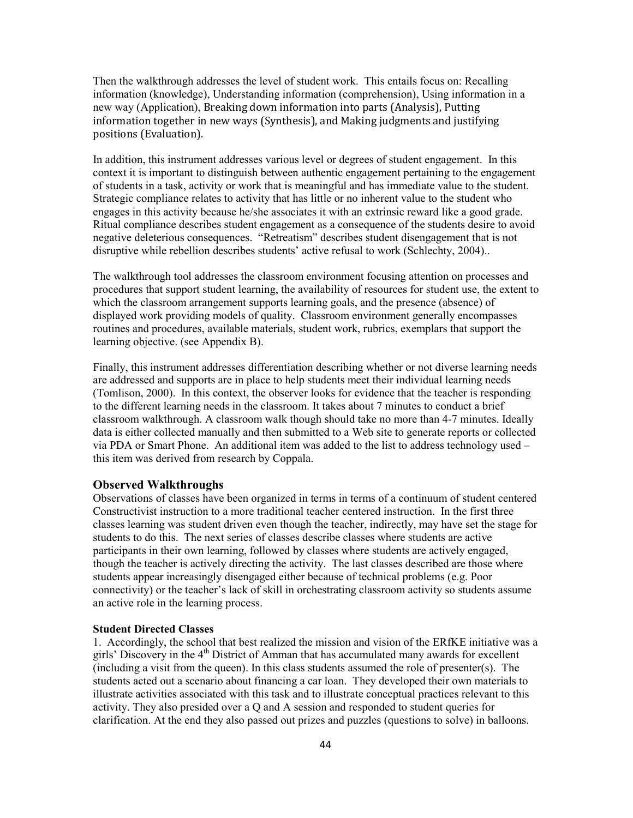Then the walkthrough addresses the level of student work. This entails focus on: Recalling information (knowledge), Understanding information (comprehension), Using information in a new way (Application), Breaking down information into parts (Analysis), Putting information together in new ways (Synthesis), and Making judgments and justifying positions (Evaluation).

In addition, this instrument addresses various level or degrees of student engagement. In this context it is important to distinguish between authentic engagement pertaining to the engagement of students in a task, activity or work that is meaningful and has immediate value to the student. Strategic compliance relates to activity that has little or no inherent value to the student who engages in this activity because he/she associates it with an extrinsic reward like a good grade. Ritual compliance describes student engagement as a consequence of the students desire to avoid negative deleterious consequences. "Retreatism" describes student disengagement that is not disruptive while rebellion describes students' active refusal to work (Schlechty, 2004)...

The walkthrough tool addresses the classroom environment focusing attention on processes and procedures that support student learning, the availability of resources for student use, the extent to which the classroom arrangement supports learning goals, and the presence (absence) of displayed work providing models of quality. Classroom environment generally encompasses routines and procedures, available materials, student work, rubrics, exemplars that support the learning objective. (see Appendix B).

Finally, this instrument addresses differentiation describing whether or not diverse learning needs are addressed and supports are in place to help students meet their individual learning needs (Tomlison, 2000). In this context, the observer looks for evidence that the teacher is responding to the different learning needs in the classroom. It takes about 7 minutes to conduct a brief classroom walkthrough. A classroom walk though should take no more than 4-7 minutes. Ideally data is either collected manually and then submitted to a Web site to generate reports or collected via PDA or Smart Phone. An additional item was added to the list to address technology used – this item was derived from research by Coppala.

#### **Observed Walkthroughs**

Observations of classes have been organized in terms in terms of a continuum of student centered Constructivist instruction to a more traditional teacher centered instruction. In the first three classes learning was student driven even though the teacher, indirectly, may have set the stage for students to do this. The next series of classes describe classes where students are active participants in their own learning, followed by classes where students are actively engaged, though the teacher is actively directing the activity. The last classes described are those where students appear increasingly disengaged either because of technical problems (e.g. Poor connectivity) or the teacher's lack of skill in orchestrating classroom activity so students assume an active role in the learning process.

#### **Student Directed Classes**

1. Accordingly, the school that best realized the mission and vision of the ERfKE initiative was a girls' Discovery in the  $4<sup>th</sup>$  District of Amman that has accumulated many awards for excellent (including a visit from the queen). In this class students assumed the role of presenter(s). The students acted out a scenario about financing a car loan. They developed their own materials to illustrate activities associated with this task and to illustrate conceptual practices relevant to this activity. They also presided over a Q and A session and responded to student queries for clarification. At the end they also passed out prizes and puzzles (questions to solve) in balloons.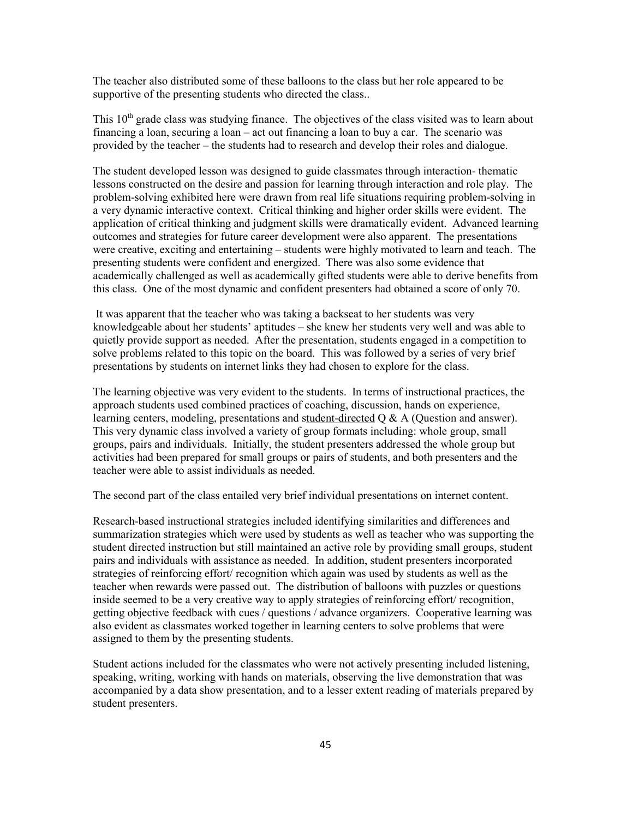The teacher also distributed some of these balloons to the class but her role appeared to be supportive of the presenting students who directed the class...

This  $10<sup>th</sup>$  grade class was studying finance. The objectives of the class visited was to learn about financing a loan, securing a loan  $-\text{act}$  out financing a loan to buy a car. The scenario was provided by the teacher – the students had to research and develop their roles and dialogue.

The student developed lesson was designed to guide classmates through interaction-thematic lessons constructed on the desire and passion for learning through interaction and role play. The problem-solving exhibited here were drawn from real life situations requiring problem-solving in a very dynamic interactive context. Critical thinking and higher order skills were evident. The application of critical thinking and judgment skills were dramatically evident. Advanced learning outcomes and strategies for future career development were also apparent. The presentations were creative, exciting and entertaining – students were highly motivated to learn and teach. The presenting students were confident and energized. There was also some evidence that academically challenged as well as academically gifted students were able to derive benefits from this class. One of the most dynamic and confident presenters had obtained a score of only 70.

It was apparent that the teacher who was taking a backseat to her students was very knowledgeable about her students' aptitudes – she knew her students very well and was able to quietly provide support as needed. After the presentation, students engaged in a competition to solve problems related to this topic on the board. This was followed by a series of very brief presentations by students on internet links they had chosen to explore for the class.

The learning objective was very evident to the students. In terms of instructional practices, the approach students used combined practices of coaching, discussion, hands on experience, learning centers, modeling, presentations and student-directed  $Q \& A$  (Question and answer). This very dynamic class involved a variety of group formats including: whole group, small groups, pairs and individuals. Initially, the student presenters addressed the whole group but activities had been prepared for small groups or pairs of students, and both presenters and the teacher were able to assist individuals as needed.

The second part of the class entailed very brief individual presentations on internet content.

Research-based instructional strategies included identifying similarities and differences and summarization strategies which were used by students as well as teacher who was supporting the student directed instruction but still maintained an active role by providing small groups, student pairs and individuals with assistance as needed. In addition, student presenters incorporated strategies of reinforcing effort/ recognition which again was used by students as well as the teacher when rewards were passed out. The distribution of balloons with puzzles or questions inside seemed to be a very creative way to apply strategies of reinforcing effort/ recognition, getting objective feedback with cues / questions / advance organizers. Cooperative learning was also evident as classmates worked together in learning centers to solve problems that were assigned to them by the presenting students.

Student actions included for the classmates who were not actively presenting included listening, speaking, writing, working with hands on materials, observing the live demonstration that was accompanied by a data show presentation, and to a lesser extent reading of materials prepared by student presenters.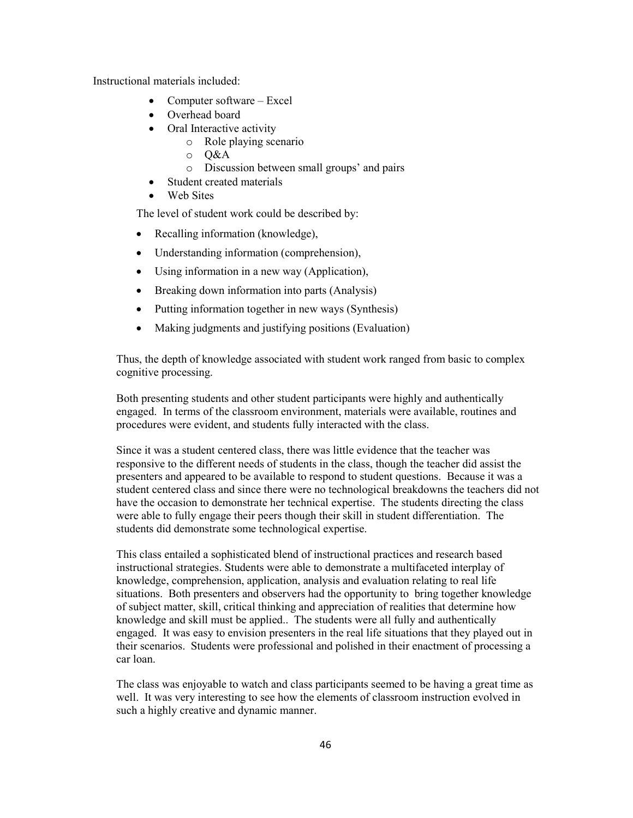Instructional materials included:

- Computer software  $-$  Excel
- Overhead board
- Oral Interactive activity
	- $\circ$  Role playing scenario
	- $\circ$  O&A
	- o Discussion between small groups' and pairs
- Student created materials
- Web Sites

The level of student work could be described by:

- Recalling information (knowledge),
- Understanding information (comprehension),
- Using information in a new way (Application),
- Breaking down information into parts (Analysis)
- Putting information together in new ways (Synthesis)  $\bullet$
- Making judgments and justifying positions (Evaluation)  $\bullet$

Thus, the depth of knowledge associated with student work ranged from basic to complex cognitive processing.

Both presenting students and other student participants were highly and authentically engaged. In terms of the classroom environment, materials were available, routines and procedures were evident, and students fully interacted with the class.

Since it was a student centered class, there was little evidence that the teacher was responsive to the different needs of students in the class, though the teacher did assist the presenters and appeared to be available to respond to student questions. Because it was a student centered class and since there were no technological breakdowns the teachers did not have the occasion to demonstrate her technical expertise. The students directing the class were able to fully engage their peers though their skill in student differentiation. The students did demonstrate some technological expertise.

This class entailed a sophisticated blend of instructional practices and research based instructional strategies. Students were able to demonstrate a multifaceted interplay of knowledge, comprehension, application, analysis and evaluation relating to real life situations. Both presenters and observers had the opportunity to bring together knowledge of subject matter, skill, critical thinking and appreciation of realities that determine how knowledge and skill must be applied.. The students were all fully and authentically engaged. It was easy to envision presenters in the real life situations that they played out in their scenarios. Students were professional and polished in their enactment of processing a car loan.

The class was enjoyable to watch and class participants seemed to be having a great time as well. It was very interesting to see how the elements of classroom instruction evolved in such a highly creative and dynamic manner.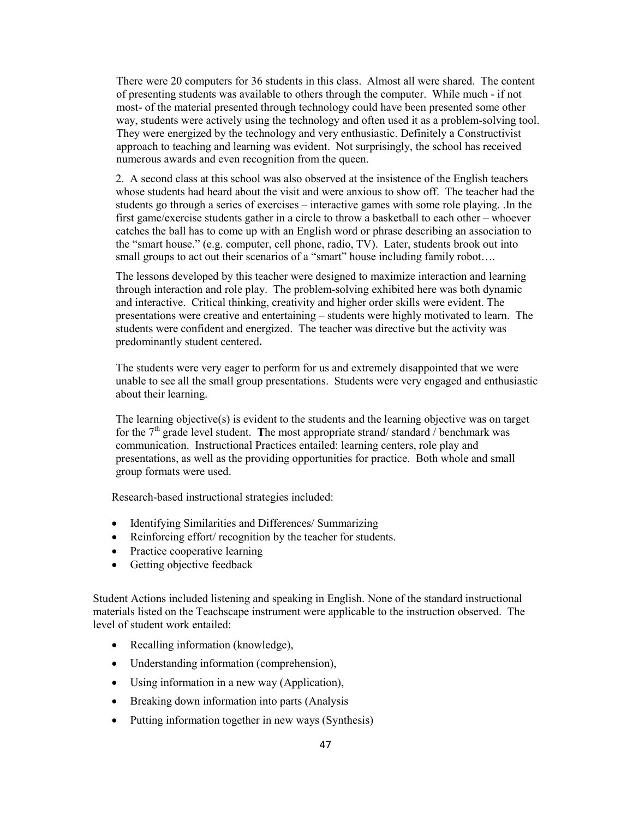There were 20 computers for 36 students in this class. Almost all were shared. The content of presenting students was available to others through the computer. While much - if not most- of the material presented through technology could have been presented some other way, students were actively using the technology and often used it as a problem-solving tool. They were energized by the technology and very enthusiastic. Definitely a Constructivist approach to teaching and learning was evident. Not surprisingly, the school has received numerous awards and even recognition from the queen.

2. A second class at this school was also observed at the insistence of the English teachers whose students had heard about the visit and were anxious to show off. The teacher had the students go through a series of exercises – interactive games with some role playing. In the first game/exercise students gather in a circle to throw a basketball to each other – whoever catches the ball has to come up with an English word or phrase describing an association to the "smart house." (e.g. computer, cell phone, radio, TV). Later, students brook out into small groups to act out their scenarios of a "smart" house including family robot....

The lessons developed by this teacher were designed to maximize interaction and learning through interaction and role play. The problem-solving exhibited here was both dynamic and interactive. Critical thinking, creativity and higher order skills were evident. The presentations were creative and entertaining – students were highly motivated to learn. The students were confident and energized. The teacher was directive but the activity was predominantly student centered.

The students were very eager to perform for us and extremely disappointed that we were unable to see all the small group presentations. Students were very engaged and enthusiastic about their learning.

The learning objective(s) is evident to the students and the learning objective was on target for the  $7<sup>th</sup>$  grade level student. The most appropriate strand/standard/benchmark was communication. Instructional Practices entailed: learning centers, role play and presentations, as well as the providing opportunities for practice. Both whole and small group formats were used.

Research-based instructional strategies included:

- Identifying Similarities and Differences/ Summarizing
- Reinforcing effort/ recognition by the teacher for students.
- Practice cooperative learning
- Getting objective feedback

Student Actions included listening and speaking in English. None of the standard instructional materials listed on the Teachscape instrument were applicable to the instruction observed. The level of student work entailed:

- Recalling information (knowledge),
- Understanding information (comprehension),
- Using information in a new way (Application),
- Breaking down information into parts (Analysis
- Putting information together in new ways (Synthesis)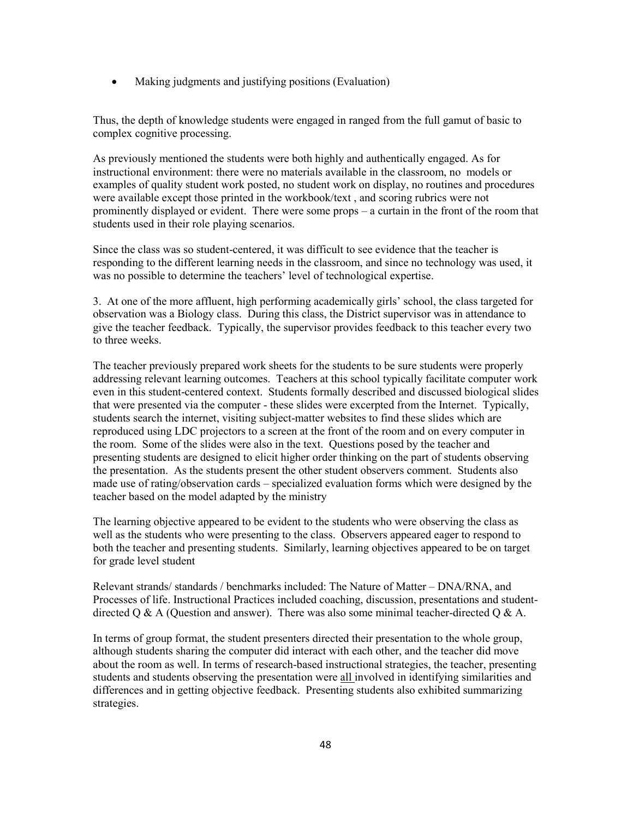Making judgments and justifying positions (Evaluation)  $\bullet$ 

Thus, the depth of knowledge students were engaged in ranged from the full gamut of basic to complex cognitive processing.

As previously mentioned the students were both highly and authentically engaged. As for instructional environment: there were no materials available in the classroom, no models or examples of quality student work posted, no student work on display, no routines and procedures were available except those printed in the workbook/text, and scoring rubrics were not prominently displayed or evident. There were some props  $-$  a curtain in the front of the room that students used in their role playing scenarios.

Since the class was so student-centered, it was difficult to see evidence that the teacher is responding to the different learning needs in the classroom, and since no technology was used, it was no possible to determine the teachers' level of technological expertise.

3. At one of the more affluent, high performing academically girls' school, the class targeted for observation was a Biology class. During this class, the District supervisor was in attendance to give the teacher feedback. Typically, the supervisor provides feedback to this teacher every two to three weeks.

The teacher previously prepared work sheets for the students to be sure students were properly addressing relevant learning outcomes. Teachers at this school typically facilitate computer work even in this student-centered context. Students formally described and discussed biological slides that were presented via the computer - these slides were excerpted from the Internet. Typically, students search the internet, visiting subject-matter websites to find these slides which are reproduced using LDC projectors to a screen at the front of the room and on every computer in the room. Some of the slides were also in the text. Questions posed by the teacher and presenting students are designed to elicit higher order thinking on the part of students observing the presentation. As the students present the other student observers comment. Students also made use of rating/observation cards – specialized evaluation forms which were designed by the teacher based on the model adapted by the ministry

The learning objective appeared to be evident to the students who were observing the class as well as the students who were presenting to the class. Observers appeared eager to respond to both the teacher and presenting students. Similarly, learning objectives appeared to be on target for grade level student

Relevant strands/standards/benchmarks included: The Nature of Matter – DNA/RNA, and Processes of life. Instructional Practices included coaching, discussion, presentations and studentdirected Q & A (Question and answer). There was also some minimal teacher-directed Q & A.

In terms of group format, the student presenters directed their presentation to the whole group, although students sharing the computer did interact with each other, and the teacher did move about the room as well. In terms of research-based instructional strategies, the teacher, presenting students and students observing the presentation were all involved in identifying similarities and differences and in getting objective feedback. Presenting students also exhibited summarizing strategies.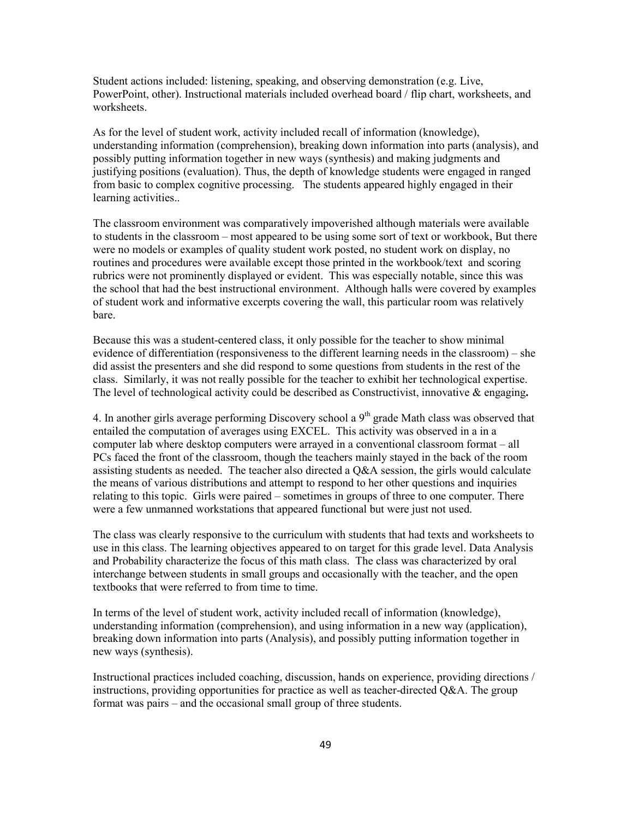Student actions included: listening, speaking, and observing demonstration (e.g. Live, PowerPoint, other). Instructional materials included overhead board / flip chart, worksheets, and worksheets

As for the level of student work, activity included recall of information (knowledge), understanding information (comprehension), breaking down information into parts (analysis), and possibly putting information together in new ways (synthesis) and making judgments and justifying positions (evaluation). Thus, the depth of knowledge students were engaged in ranged from basic to complex cognitive processing. The students appeared highly engaged in their learning activities..

The classroom environment was comparatively impoverished although materials were available to students in the classroom – most appeared to be using some sort of text or workbook, But there were no models or examples of quality student work posted, no student work on display, no routines and procedures were available except those printed in the workbook/text and scoring rubrics were not prominently displayed or evident. This was especially notable, since this was the school that had the best instructional environment. Although halls were covered by examples of student work and informative excerpts covering the wall, this particular room was relatively hare

Because this was a student-centered class, it only possible for the teacher to show minimal evidence of differentiation (responsiveness to the different learning needs in the classroom) – she did assist the presenters and she did respond to some questions from students in the rest of the class. Similarly, it was not really possible for the teacher to exhibit her technological expertise. The level of technological activity could be described as Constructivist, innovative  $\&$  engaging.

4. In another girls average performing Discovery school a  $9<sup>th</sup>$  grade Math class was observed that entailed the computation of averages using EXCEL. This activity was observed in a in a computer lab where desktop computers were arrayed in a conventional classroom format – all PCs faced the front of the classroom, though the teachers mainly stayed in the back of the room assisting students as needed. The teacher also directed a Q&A session, the girls would calculate the means of various distributions and attempt to respond to her other questions and inquiries relating to this topic. Girls were paired – sometimes in groups of three to one computer. There were a few unmanned workstations that appeared functional but were just not used.

The class was clearly responsive to the curriculum with students that had texts and worksheets to use in this class. The learning objectives appeared to on target for this grade level. Data Analysis and Probability characterize the focus of this math class. The class was characterized by oral interchange between students in small groups and occasionally with the teacher, and the open textbooks that were referred to from time to time.

In terms of the level of student work, activity included recall of information (knowledge), understanding information (comprehension), and using information in a new way (application), breaking down information into parts (Analysis), and possibly putting information together in new ways (synthesis).

Instructional practices included coaching, discussion, hands on experience, providing directions / instructions, providing opportunities for practice as well as teacher-directed  $Q\&A$ . The group format was pairs – and the occasional small group of three students.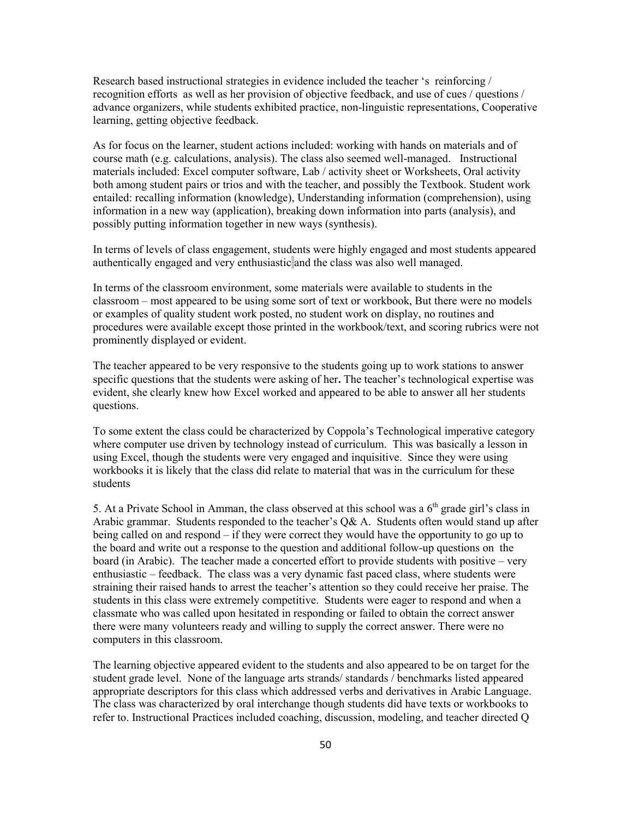Research based instructional strategies in evidence included the teacher 's reinforcing/ recognition efforts as well as her provision of objective feedback, and use of cues / questions / advance organizers, while students exhibited practice, non-linguistic representations, Cooperative learning, getting objective feedback.

As for focus on the learner, student actions included: working with hands on materials and of course math (e.g. calculations, analysis). The class also seemed well-managed. Instructional materials included: Excel computer software, Lab / activity sheet or Worksheets, Oral activity both among student pairs or trios and with the teacher, and possibly the Textbook. Student work entailed: recalling information (knowledge), Understanding information (comprehension), using information in a new way (application), breaking down information into parts (analysis), and possibly putting information together in new ways (synthesis).

In terms of levels of class engagement, students were highly engaged and most students appeared authentically engaged and very enthusiastic and the class was also well managed.

In terms of the classroom environment, some materials were available to students in the classroom – most appeared to be using some sort of text or workbook, But there were no models or examples of quality student work posted, no student work on display, no routines and procedures were available except those printed in the workbook/text, and scoring rubrics were not prominently displayed or evident.

The teacher appeared to be very responsive to the students going up to work stations to answer specific questions that the students were asking of her. The teacher's technological expertise was evident, she clearly knew how Excel worked and appeared to be able to answer all her students questions.

To some extent the class could be characterized by Coppola's Technological imperative category where computer use driven by technology instead of curriculum. This was basically a lesson in using Excel, though the students were very engaged and inquisitive. Since they were using workbooks it is likely that the class did relate to material that was in the curriculum for these students

5. At a Private School in Amman, the class observed at this school was a  $6<sup>th</sup>$  grade girl's class in Arabic grammar. Students responded to the teacher's  $Q\& A$ . Students often would stand up after being called on and respond  $-$  if they were correct they would have the opportunity to go up to the board and write out a response to the question and additional follow-up questions on the board (in Arabic). The teacher made a concerted effort to provide students with positive – very enthusiastic – feedback. The class was a very dynamic fast paced class, where students were straining their raised hands to arrest the teacher's attention so they could receive her praise. The students in this class were extremely competitive. Students were eager to respond and when a classmate who was called upon hesitated in responding or failed to obtain the correct answer there were many volunteers ready and willing to supply the correct answer. There were no computers in this classroom.

The learning objective appeared evident to the students and also appeared to be on target for the student grade level. None of the language arts strands/standards/benchmarks listed appeared appropriate descriptors for this class which addressed verbs and derivatives in Arabic Language. The class was characterized by oral interchange though students did have texts or workbooks to refer to. Instructional Practices included coaching, discussion, modeling, and teacher directed Q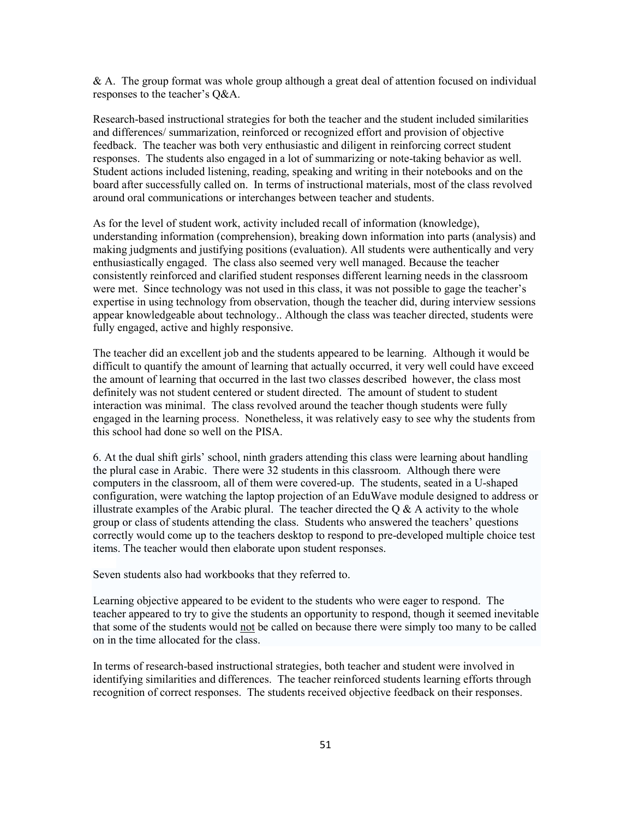$\&$  A. The group format was whole group although a great deal of attention focused on individual responses to the teacher's Q&A.

Research-based instructional strategies for both the teacher and the student included similarities and differences/ summarization, reinforced or recognized effort and provision of objective feedback. The teacher was both very enthusiastic and diligent in reinforcing correct student responses. The students also engaged in a lot of summarizing or note-taking behavior as well. Student actions included listening, reading, speaking and writing in their notebooks and on the board after successfully called on. In terms of instructional materials, most of the class revolved around oral communications or interchanges between teacher and students.

As for the level of student work, activity included recall of information (knowledge), understanding information (comprehension), breaking down information into parts (analysis) and making judgments and justifying positions (evaluation). All students were authentically and very enthusiastically engaged. The class also seemed very well managed. Because the teacher consistently reinforced and clarified student responses different learning needs in the classroom were met. Since technology was not used in this class, it was not possible to gage the teacher's expertise in using technology from observation, though the teacher did, during interview sessions appear knowledgeable about technology... Although the class was teacher directed, students were fully engaged, active and highly responsive.

The teacher did an excellent job and the students appeared to be learning. Although it would be difficult to quantify the amount of learning that actually occurred, it very well could have exceed the amount of learning that occurred in the last two classes described however, the class most definitely was not student centered or student directed. The amount of student to student interaction was minimal. The class revolved around the teacher though students were fully engaged in the learning process. Nonetheless, it was relatively easy to see why the students from this school had done so well on the PISA.

6. At the dual shift girls' school, ninth graders attending this class were learning about handling the plural case in Arabic. There were 32 students in this classroom. Although there were computers in the classroom, all of them were covered-up. The students, seated in a U-shaped configuration, were watching the laptop projection of an EduWave module designed to address or illustrate examples of the Arabic plural. The teacher directed the  $\overline{O}$  & A activity to the whole group or class of students attending the class. Students who answered the teachers' questions correctly would come up to the teachers desktop to respond to pre-developed multiple choice test items. The teacher would then elaborate upon student responses.

Seven students also had workbooks that they referred to.

Learning objective appeared to be evident to the students who were eager to respond. The teacher appeared to try to give the students an opportunity to respond, though it seemed inevitable that some of the students would not be called on because there were simply too many to be called on in the time allocated for the class.

In terms of research-based instructional strategies, both teacher and student were involved in identifying similarities and differences. The teacher reinforced students learning efforts through recognition of correct responses. The students received objective feedback on their responses.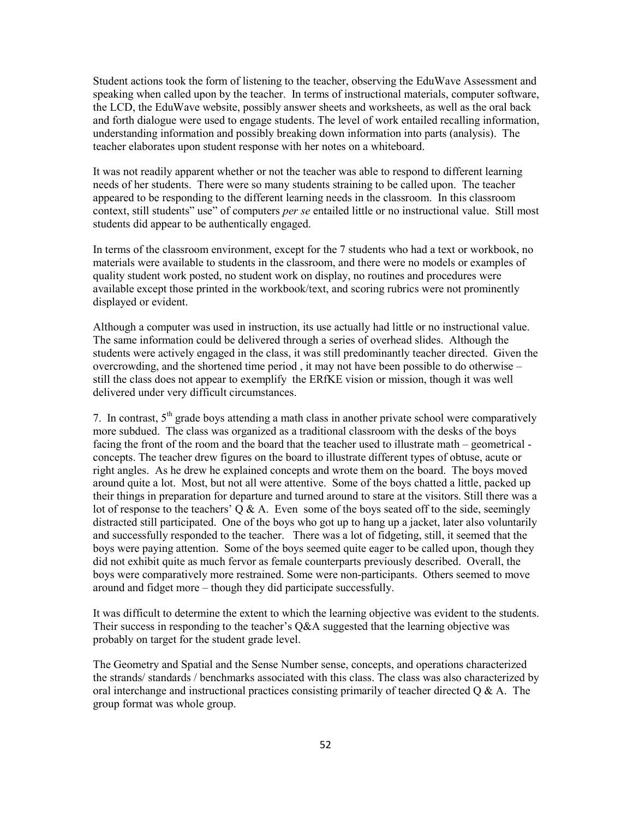Student actions took the form of listening to the teacher, observing the EduWave Assessment and speaking when called upon by the teacher. In terms of instructional materials, computer software, the LCD, the EduWave website, possibly answer sheets and worksheets, as well as the oral back and forth dialogue were used to engage students. The level of work entailed recalling information, understanding information and possibly breaking down information into parts (analysis). The teacher elaborates upon student response with her notes on a whiteboard.

It was not readily apparent whether or not the teacher was able to respond to different learning needs of her students. There were so many students straining to be called upon. The teacher appeared to be responding to the different learning needs in the classroom. In this classroom context, still students" use" of computers *per se* entailed little or no instructional value. Still most students did appear to be authentically engaged.

In terms of the classroom environment, except for the 7 students who had a text or workbook, no materials were available to students in the classroom, and there were no models or examples of quality student work posted, no student work on display, no routines and procedures were available except those printed in the workbook/text, and scoring rubrics were not prominently displayed or evident.

Although a computer was used in instruction, its use actually had little or no instructional value. The same information could be delivered through a series of overhead slides. Although the students were actively engaged in the class, it was still predominantly teacher directed. Given the overcrowding, and the shortened time period, it may not have been possible to do otherwise – still the class does not appear to exemplify the ERfKE vision or mission, though it was well delivered under very difficult circumstances.

7. In contrast,  $5<sup>th</sup>$  grade boys attending a math class in another private school were comparatively more subdued. The class was organized as a traditional classroom with the desks of the boys facing the front of the room and the board that the teacher used to illustrate math – geometrical concepts. The teacher drew figures on the board to illustrate different types of obtuse, acute or right angles. As he drew he explained concepts and wrote them on the board. The boys moved around quite a lot. Most, but not all were attentive. Some of the boys chatted a little, packed up their things in preparation for departure and turned around to stare at the visitors. Still there was a lot of response to the teachers'  $O & A$ . Even some of the boys seated off to the side, seemingly distracted still participated. One of the boys who got up to hang up a jacket, later also voluntarily and successfully responded to the teacher. There was a lot of fidgeting, still, it seemed that the boys were paying attention. Some of the boys seemed quite eager to be called upon, though they did not exhibit quite as much fervor as female counterparts previously described. Overall, the boys were comparatively more restrained. Some were non-participants. Others seemed to move around and fidget more – though they did participate successfully.

It was difficult to determine the extent to which the learning objective was evident to the students. Their success in responding to the teacher's  $O&A$  suggested that the learning objective was probably on target for the student grade level.

The Geometry and Spatial and the Sense Number sense, concepts, and operations characterized the strands/standards/benchmarks associated with this class. The class was also characterized by oral interchange and instructional practices consisting primarily of teacher directed  $Q \& A$ . The group format was whole group.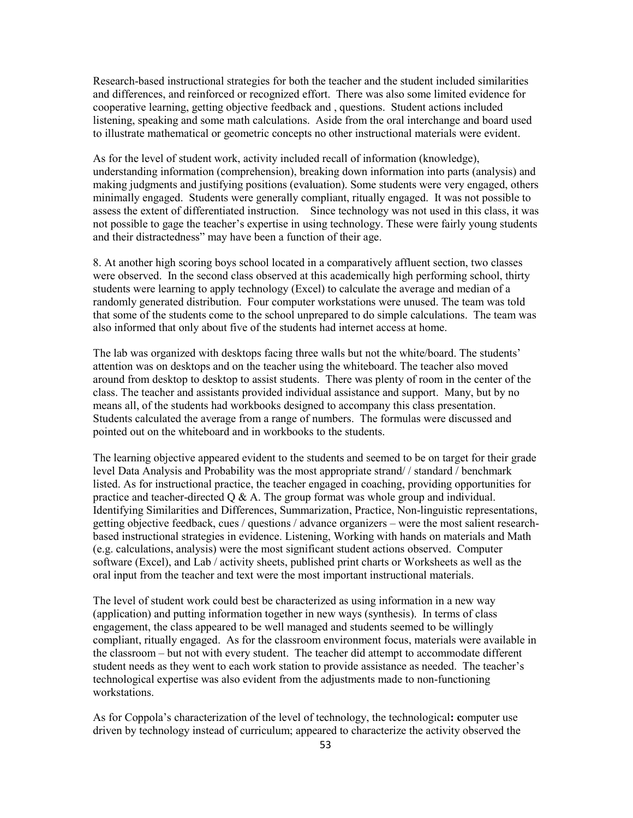Research-based instructional strategies for both the teacher and the student included similarities and differences, and reinforced or recognized effort. There was also some limited evidence for cooperative learning, getting objective feedback and, questions. Student actions included listening, speaking and some math calculations. Aside from the oral interchange and board used to illustrate mathematical or geometric concepts no other instructional materials were evident.

As for the level of student work, activity included recall of information (knowledge), understanding information (comprehension), breaking down information into parts (analysis) and making judgments and justifying positions (evaluation). Some students were very engaged, others minimally engaged. Students were generally compliant, ritually engaged. It was not possible to assess the extent of differentiated instruction. Since technology was not used in this class, it was not possible to gage the teacher's expertise in using technology. These were fairly young students and their distractedness" may have been a function of their age.

8. At another high scoring boys school located in a comparatively affluent section, two classes were observed. In the second class observed at this academically high performing school, thirty students were learning to apply technology (Excel) to calculate the average and median of a randomly generated distribution. Four computer workstations were unused. The team was told that some of the students come to the school unprepared to do simple calculations. The team was also informed that only about five of the students had internet access at home.

The lab was organized with desktops facing three walls but not the white/board. The students' attention was on desktops and on the teacher using the whiteboard. The teacher also moved around from desktop to desktop to assist students. There was plenty of room in the center of the class. The teacher and assistants provided individual assistance and support. Many, but by no means all, of the students had workbooks designed to accompany this class presentation. Students calculated the average from a range of numbers. The formulas were discussed and pointed out on the whiteboard and in workbooks to the students.

The learning objective appeared evident to the students and seemed to be on target for their grade level Data Analysis and Probability was the most appropriate strand//standard/benchmark listed. As for instructional practice, the teacher engaged in coaching, providing opportunities for practice and teacher-directed  $Q \& A$ . The group format was whole group and individual. Identifying Similarities and Differences, Summarization, Practice, Non-linguistic representations, getting objective feedback, cues / questions / advance organizers – were the most salient researchbased instructional strategies in evidence. Listening, Working with hands on materials and Math (e.g. calculations, analysis) were the most significant student actions observed. Computer software (Excel), and Lab / activity sheets, published print charts or Worksheets as well as the oral input from the teacher and text were the most important instructional materials.

The level of student work could best be characterized as using information in a new way (application) and putting information together in new ways (synthesis). In terms of class engagement, the class appeared to be well managed and students seemed to be willingly compliant, ritually engaged. As for the classroom environment focus, materials were available in the classroom - but not with every student. The teacher did attempt to accommodate different student needs as they went to each work station to provide assistance as needed. The teacher's technological expertise was also evident from the adjustments made to non-functioning workstations.

As for Coppola's characterization of the level of technology, the technological: computer use driven by technology instead of curriculum; appeared to characterize the activity observed the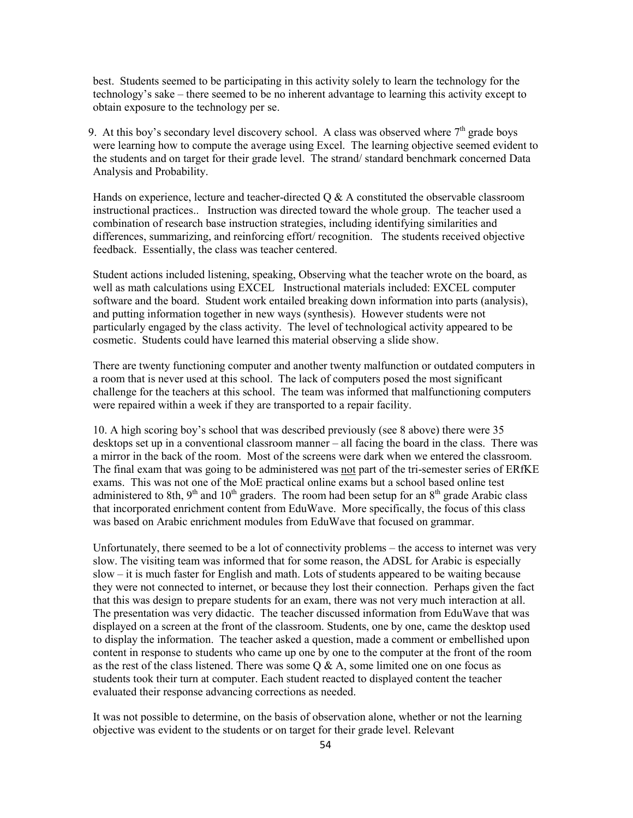best. Students seemed to be participating in this activity solely to learn the technology for the technology's sake – there seemed to be no inherent advantage to learning this activity except to obtain exposure to the technology per se.

9. At this boy's secondary level discovery school. A class was observed where  $7<sup>th</sup>$  grade boys were learning how to compute the average using Excel. The learning objective seemed evident to the students and on target for their grade level. The strand/standard benchmark concerned Data Analysis and Probability.

Hands on experience, lecture and teacher-directed  $\overline{O} \& A$  constituted the observable classroom instructional practices.. Instruction was directed toward the whole group. The teacher used a combination of research base instruction strategies, including identifying similarities and differences, summarizing, and reinforcing effort/ recognition. The students received objective feedback. Essentially, the class was teacher centered.

Student actions included listening, speaking, Observing what the teacher wrote on the board, as well as math calculations using EXCEL Instructional materials included: EXCEL computer software and the board. Student work entailed breaking down information into parts (analysis), and putting information together in new ways (synthesis). However students were not particularly engaged by the class activity. The level of technological activity appeared to be cosmetic. Students could have learned this material observing a slide show.

There are twenty functioning computer and another twenty malfunction or outdated computers in a room that is never used at this school. The lack of computers posed the most significant challenge for the teachers at this school. The team was informed that malfunctioning computers were repaired within a week if they are transported to a repair facility.

10. A high scoring boy's school that was described previously (see 8 above) there were 35 desktops set up in a conventional classroom manner – all facing the board in the class. There was a mirror in the back of the room. Most of the screens were dark when we entered the classroom. The final exam that was going to be administered was not part of the tri-semester series of ERfKE exams. This was not one of the MoE practical online exams but a school based online test administered to 8th, 9<sup>th</sup> and 10<sup>th</sup> graders. The room had been setup for an 8<sup>th</sup> grade Arabic class that incorporated enrichment content from EduWave. More specifically, the focus of this class was based on Arabic enrichment modules from EduWave that focused on grammar.

Unfortunately, there seemed to be a lot of connectivity problems – the access to internet was very slow. The visiting team was informed that for some reason, the ADSL for Arabic is especially slow – it is much faster for English and math. Lots of students appeared to be waiting because they were not connected to internet, or because they lost their connection. Perhaps given the fact that this was design to prepare students for an exam, there was not very much interaction at all. The presentation was very didactic. The teacher discussed information from EduWave that was displayed on a screen at the front of the classroom. Students, one by one, came the desktop used to display the information. The teacher asked a question, made a comment or embellished upon content in response to students who came up one by one to the computer at the front of the room as the rest of the class listened. There was some  $Q \& A$ , some limited one on one focus as students took their turn at computer. Each student reacted to displayed content the teacher evaluated their response advancing corrections as needed.

It was not possible to determine, on the basis of observation alone, whether or not the learning objective was evident to the students or on target for their grade level. Relevant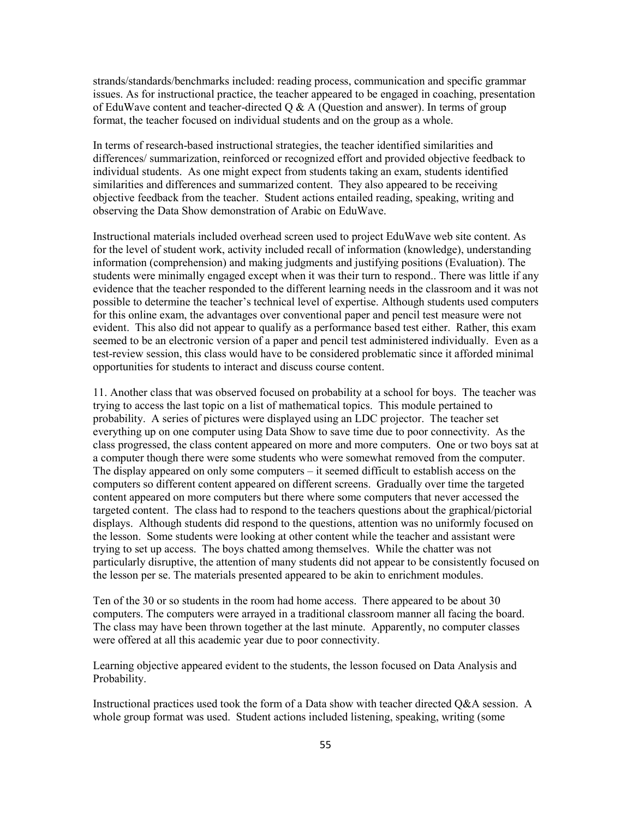strands/standards/benchmarks included: reading process, communication and specific grammar issues. As for instructional practice, the teacher appeared to be engaged in coaching, presentation of EduWave content and teacher-directed  $Q & A$  (Question and answer). In terms of group format, the teacher focused on individual students and on the group as a whole.

In terms of research-based instructional strategies, the teacher identified similarities and differences/ summarization, reinforced or recognized effort and provided objective feedback to individual students. As one might expect from students taking an exam, students identified similarities and differences and summarized content. They also appeared to be receiving objective feedback from the teacher. Student actions entailed reading, speaking, writing and observing the Data Show demonstration of Arabic on EduWave.

Instructional materials included overhead screen used to project EduWave web site content. As for the level of student work, activity included recall of information (knowledge), understanding information (comprehension) and making judgments and justifying positions (Evaluation). The students were minimally engaged except when it was their turn to respond. There was little if any evidence that the teacher responded to the different learning needs in the classroom and it was not possible to determine the teacher's technical level of expertise. Although students used computers for this online exam, the advantages over conventional paper and pencil test measure were not evident. This also did not appear to qualify as a performance based test either. Rather, this exam seemed to be an electronic version of a paper and pencil test administered individually. Even as a test-review session, this class would have to be considered problematic since it afforded minimal opportunities for students to interact and discuss course content.

11. Another class that was observed focused on probability at a school for boys. The teacher was trying to access the last topic on a list of mathematical topics. This module pertained to probability. A series of pictures were displayed using an LDC projector. The teacher set everything up on one computer using Data Show to save time due to poor connectivity. As the class progressed, the class content appeared on more and more computers. One or two boys sat at a computer though there were some students who were somewhat removed from the computer. The display appeared on only some computers – it seemed difficult to establish access on the computers so different content appeared on different screens. Gradually over time the targeted content appeared on more computers but there where some computers that never accessed the targeted content. The class had to respond to the teachers questions about the graphical/pictorial displays. Although students did respond to the questions, attention was no uniformly focused on the lesson. Some students were looking at other content while the teacher and assistant were trying to set up access. The boys chatted among themselves. While the chatter was not particularly disruptive, the attention of many students did not appear to be consistently focused on the lesson per se. The materials presented appeared to be akin to enrichment modules.

Ten of the 30 or so students in the room had home access. There appeared to be about 30 computers. The computers were arraved in a traditional classroom manner all facing the board. The class may have been thrown together at the last minute. Apparently, no computer classes were offered at all this academic year due to poor connectivity.

Learning objective appeared evident to the students, the lesson focused on Data Analysis and Probability.

Instructional practices used took the form of a Data show with teacher directed Q&A session. A whole group format was used. Student actions included listening, speaking, writing (some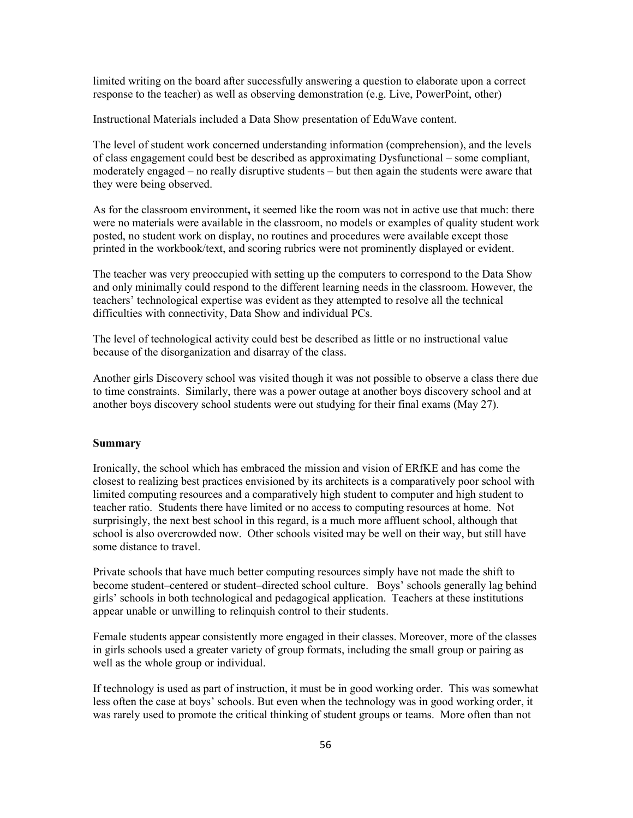limited writing on the board after successfully answering a question to elaborate upon a correct response to the teacher) as well as observing demonstration (e.g. Live, PowerPoint, other)

Instructional Materials included a Data Show presentation of EduWave content.

The level of student work concerned understanding information (comprehension), and the levels of class engagement could best be described as approximating Dysfunctional – some compliant, moderately engaged – no really disruptive students – but then again the students were aware that they were being observed.

As for the classroom environment, it seemed like the room was not in active use that much: there were no materials were available in the classroom, no models or examples of quality student work posted, no student work on display, no routines and procedures were available except those printed in the workbook/text, and scoring rubrics were not prominently displayed or evident.

The teacher was very preoccupied with setting up the computers to correspond to the Data Show and only minimally could respond to the different learning needs in the classroom. However, the teachers' technological expertise was evident as they attempted to resolve all the technical difficulties with connectivity, Data Show and individual PCs.

The level of technological activity could best be described as little or no instructional value because of the disorganization and disarray of the class.

Another girls Discovery school was visited though it was not possible to observe a class there due to time constraints. Similarly, there was a power outage at another boys discovery school and at another boys discovery school students were out studying for their final exams (May 27).

### **Summary**

Ironically, the school which has embraced the mission and vision of ERfKE and has come the closest to realizing best practices envisioned by its architects is a comparatively poor school with limited computing resources and a comparatively high student to computer and high student to teacher ratio. Students there have limited or no access to computing resources at home. Not surprisingly, the next best school in this regard, is a much more affluent school, although that school is also overcrowded now. Other schools visited may be well on their way, but still have some distance to travel.

Private schools that have much better computing resources simply have not made the shift to become student-centered or student-directed school culture. Boys' schools generally lag behind girls' schools in both technological and pedagogical application. Teachers at these institutions appear unable or unwilling to relinquish control to their students.

Female students appear consistently more engaged in their classes. Moreover, more of the classes in girls schools used a greater variety of group formats, including the small group or pairing as well as the whole group or individual.

If technology is used as part of instruction, it must be in good working order. This was somewhat less often the case at boys' schools. But even when the technology was in good working order, it was rarely used to promote the critical thinking of student groups or teams. More often than not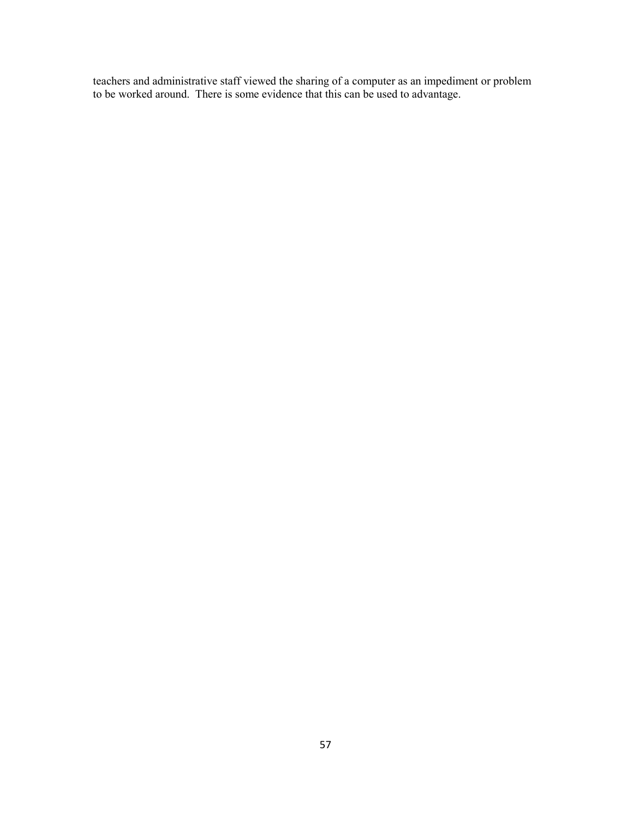teachers and administrative staff viewed the sharing of a computer as an impediment or problem<br>to be worked around. There is some evidence that this can be used to advantage.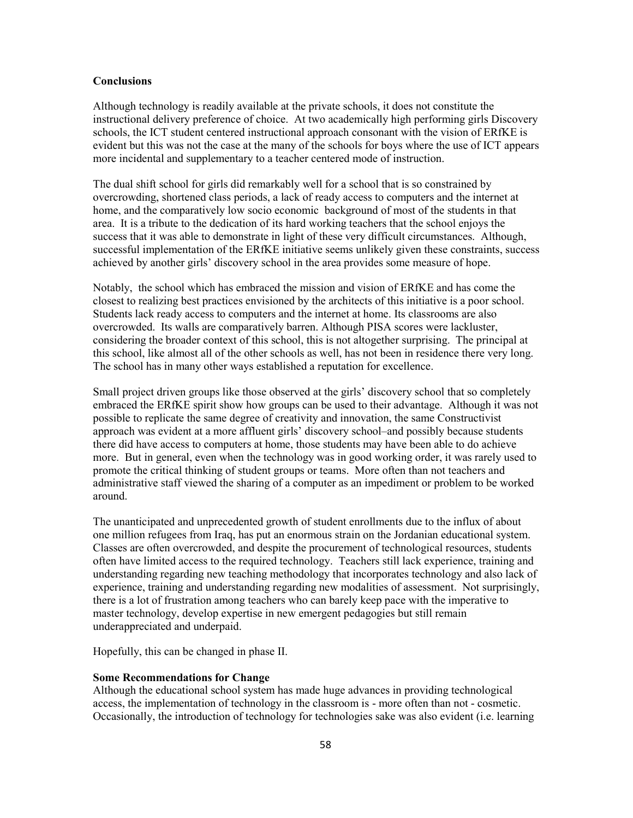### **Conclusions**

Although technology is readily available at the private schools, it does not constitute the instructional delivery preference of choice. At two academically high performing girls Discovery schools, the ICT student centered instructional approach consonant with the vision of ERfKE is evident but this was not the case at the many of the schools for boys where the use of ICT appears more incidental and supplementary to a teacher centered mode of instruction.

The dual shift school for girls did remarkably well for a school that is so constrained by overcrowding, shortened class periods, a lack of ready access to computers and the internet at home, and the comparatively low socio economic background of most of the students in that area. It is a tribute to the dedication of its hard working teachers that the school enjoys the success that it was able to demonstrate in light of these very difficult circumstances. Although, successful implementation of the ERfKE initiative seems unlikely given these constraints, success achieved by another girls' discovery school in the area provides some measure of hope.

Notably, the school which has embraced the mission and vision of ERfKE and has come the closest to realizing best practices envisioned by the architects of this initiative is a poor school. Students lack ready access to computers and the internet at home. Its classrooms are also overcrowded. Its walls are comparatively barren. Although PISA scores were lackluster, considering the broader context of this school, this is not altogether surprising. The principal at this school, like almost all of the other schools as well, has not been in residence there very long. The school has in many other ways established a reputation for excellence.

Small project driven groups like those observed at the girls' discovery school that so completely embraced the ERfKE spirit show how groups can be used to their advantage. Although it was not possible to replicate the same degree of creativity and innovation, the same Constructivist approach was evident at a more affluent girls' discovery school-and possibly because students there did have access to computers at home, those students may have been able to do achieve more. But in general, even when the technology was in good working order, it was rarely used to promote the critical thinking of student groups or teams. More often than not teachers and administrative staff viewed the sharing of a computer as an impediment or problem to be worked around.

The unanticipated and unprecedented growth of student enrollments due to the influx of about one million refugees from Iraq, has put an enormous strain on the Jordanian educational system. Classes are often overcrowded, and despite the procurement of technological resources, students often have limited access to the required technology. Teachers still lack experience, training and understanding regarding new teaching methodology that incorporates technology and also lack of experience, training and understanding regarding new modalities of assessment. Not surprisingly, there is a lot of frustration among teachers who can barely keep pace with the imperative to master technology, develop expertise in new emergent pedagogies but still remain underappreciated and underpaid.

Hopefully, this can be changed in phase II.

#### **Some Recommendations for Change**

Although the educational school system has made huge advances in providing technological access, the implementation of technology in the classroom is - more often than not - cosmetic. Occasionally, the introduction of technology for technologies sake was also evident (i.e. learning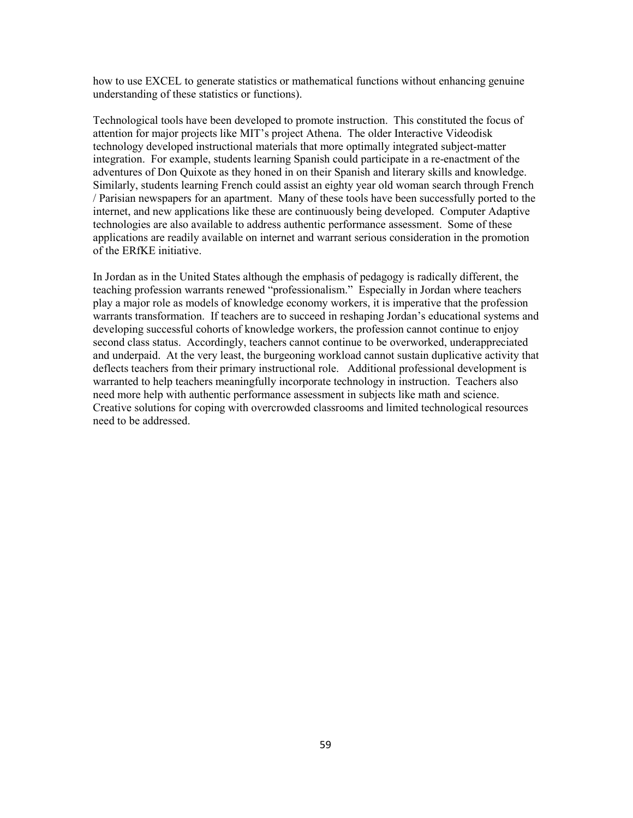how to use EXCEL to generate statistics or mathematical functions without enhancing genuine understanding of these statistics or functions).

Technological tools have been developed to promote instruction. This constituted the focus of attention for major projects like MIT's project Athena. The older Interactive Videodisk technology developed instructional materials that more optimally integrated subject-matter integration. For example, students learning Spanish could participate in a re-enactment of the adventures of Don Ouixote as they honed in on their Spanish and literary skills and knowledge. Similarly, students learning French could assist an eighty year old woman search through French / Parisian newspapers for an apartment. Many of these tools have been successfully ported to the internet, and new applications like these are continuously being developed. Computer Adaptive technologies are also available to address authentic performance assessment. Some of these applications are readily available on internet and warrant serious consideration in the promotion of the ERfKE initiative.

In Jordan as in the United States although the emphasis of pedagogy is radically different, the teaching profession warrants renewed "professionalism." Especially in Jordan where teachers play a major role as models of knowledge economy workers, it is imperative that the profession warrants transformation. If teachers are to succeed in reshaping Jordan's educational systems and developing successful cohorts of knowledge workers, the profession cannot continue to enjoy second class status. Accordingly, teachers cannot continue to be overworked, underappreciated and underpaid. At the very least, the burgeoning workload cannot sustain duplicative activity that deflects teachers from their primary instructional role. Additional professional development is warranted to help teachers meaningfully incorporate technology in instruction. Teachers also need more help with authentic performance assessment in subjects like math and science. Creative solutions for coping with overcrowded classrooms and limited technological resources need to be addressed.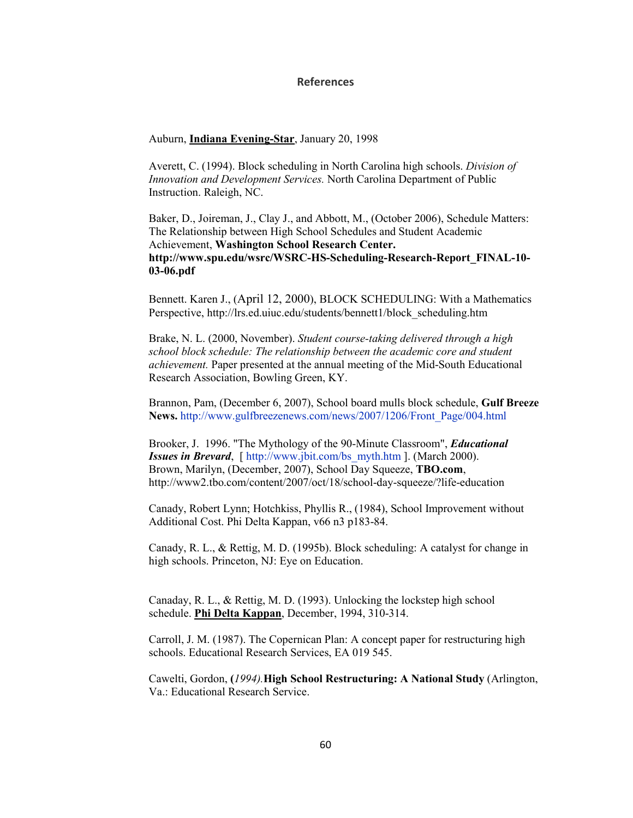### **References**

Auburn, Indiana Evening-Star, January 20, 1998

Averett, C. (1994). Block scheduling in North Carolina high schools. Division of Innovation and Development Services. North Carolina Department of Public Instruction. Raleigh, NC.

Baker, D., Joireman, J., Clay J., and Abbott, M., (October 2006), Schedule Matters: The Relationship between High School Schedules and Student Academic Achievement, Washington School Research Center. http://www.spu.edu/wsrc/WSRC-HS-Scheduling-Research-Report FINAL-10- $03-06.pdf$ 

Bennett. Karen J., (April 12, 2000), BLOCK SCHEDULING: With a Mathematics Perspective, http://lrs.ed.uiuc.edu/students/bennett1/block scheduling.htm

Brake, N. L. (2000, November). Student course-taking delivered through a high school block schedule: The relationship between the academic core and student *achievement*. Paper presented at the annual meeting of the Mid-South Educational Research Association, Bowling Green, KY.

Brannon, Pam, (December 6, 2007), School board mulls block schedule, Gulf Breeze News. http://www.gulfbreezenews.com/news/2007/1206/Front Page/004.html

Brooker, J. 1996. "The Mythology of the 90-Minute Classroom", *Educational* **Issues in Brevard**, [ http://www.jbit.com/bs myth.htm ]. (March 2000). Brown, Marilyn, (December, 2007), School Day Squeeze, TBO.com, http://www2.tbo.com/content/2007/oct/18/school-day-squeeze/?life-education

Canady, Robert Lynn; Hotchkiss, Phyllis R., (1984), School Improvement without Additional Cost. Phi Delta Kappan, v66 n3 p183-84.

Canady, R. L., & Rettig, M. D. (1995b). Block scheduling: A catalyst for change in high schools. Princeton, NJ: Eye on Education.

Canaday, R. L., & Rettig, M. D. (1993). Unlocking the lockstep high school schedule. Phi Delta Kappan, December, 1994, 310-314.

Carroll, J. M. (1987). The Copernican Plan: A concept paper for restructuring high schools. Educational Research Services, EA 019 545.

Cawelti, Gordon, (1994). High School Restructuring: A National Study (Arlington, Va.: Educational Research Service.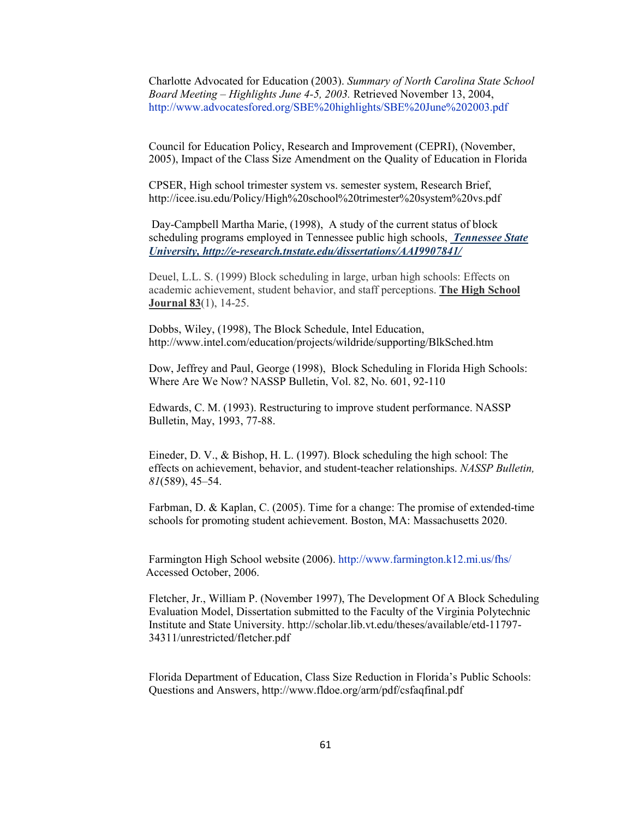Charlotte Advocated for Education (2003). Summary of North Carolina State School Board Meeting – Highlights June 4-5, 2003. Retrieved November 13, 2004, http://www.advocatesfored.org/SBE%20highlights/SBE%20June%202003.pdf

Council for Education Policy, Research and Improvement (CEPRI), (November, 2005), Impact of the Class Size Amendment on the Quality of Education in Florida

CPSER, High school trimester system vs. semester system, Research Brief, http://icee.isu.edu/Policy/High%20school%20trimester%20system%20vs.pdf

Day-Campbell Martha Marie, (1998), A study of the current status of block scheduling programs employed in Tennessee public high schools, *Tennessee State* University, http://e-research.tnstate.edu/dissertations/AAI9907841/

Deuel, L.L. S. (1999) Block scheduling in large, urban high schools: Effects on academic achievement, student behavior, and staff perceptions. The High School **Journal 83(1)**, 14-25.

Dobbs, Wiley, (1998), The Block Schedule, Intel Education, http://www.intel.com/education/projects/wildride/supporting/BlkSched.htm

Dow, Jeffrey and Paul, George (1998), Block Scheduling in Florida High Schools: Where Are We Now? NASSP Bulletin, Vol. 82, No. 601, 92-110

Edwards, C. M. (1993). Restructuring to improve student performance. NASSP Bulletin, May, 1993, 77-88.

Eineder, D. V., & Bishop, H. L. (1997). Block scheduling the high school: The effects on achievement, behavior, and student-teacher relationships. NASSP Bulletin,  $81(589)$ , 45-54.

Farbman, D. & Kaplan, C. (2005). Time for a change: The promise of extended-time schools for promoting student achievement. Boston, MA: Massachusetts 2020.

Farmington High School website (2006). http://www.farmington.k12.mi.us/fhs/ Accessed October, 2006.

Fletcher, Jr., William P. (November 1997), The Development Of A Block Scheduling Evaluation Model, Dissertation submitted to the Faculty of the Virginia Polytechnic Institute and State University. http://scholar.lib.vt.edu/theses/available/etd-11797-34311/unrestricted/fletcher.pdf

Florida Department of Education, Class Size Reduction in Florida's Public Schools: Questions and Answers, http://www.fldoe.org/arm/pdf/csfaqfinal.pdf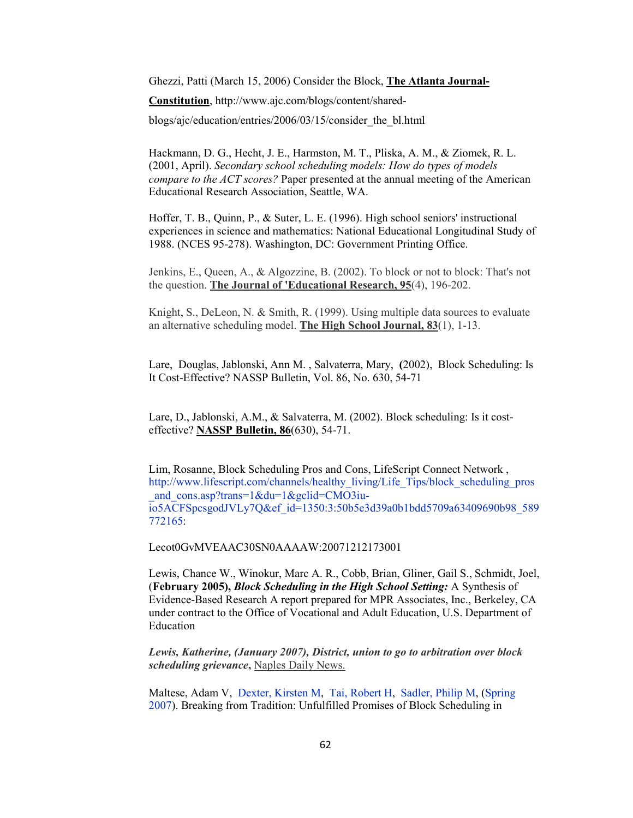Ghezzi, Patti (March 15, 2006) Consider the Block, The Atlanta Journal-

Constitution, http://www.ajc.com/blogs/content/shared-

blogs/ajc/education/entries/2006/03/15/consider the bl.html

Hackmann, D. G., Hecht, J. E., Harmston, M. T., Pliska, A. M., & Ziomek, R. L. (2001, April). Secondary school scheduling models: How do types of models *compare to the ACT scores?* Paper presented at the annual meeting of the American Educational Research Association, Seattle, WA.

Hoffer, T. B., Quinn, P., & Suter, L. E. (1996). High school seniors' instructional experiences in science and mathematics: National Educational Longitudinal Study of 1988. (NCES 95-278). Washington, DC: Government Printing Office.

Jenkins, E., Queen, A., & Algozzine, B. (2002). To block or not to block: That's not the question. The Journal of 'Educational Research, 95(4), 196-202.

Knight, S., DeLeon, N. & Smith, R. (1999). Using multiple data sources to evaluate an alternative scheduling model. The High School Journal,  $83(1)$ , 1-13.

Lare, Douglas, Jablonski, Ann M., Salvaterra, Mary, (2002), Block Scheduling: Is It Cost-Effective? NASSP Bulletin, Vol. 86, No. 630, 54-71

Lare, D., Jablonski, A.M., & Salvaterra, M. (2002). Block scheduling: Is it costeffective? NASSP Bulletin, 86(630), 54-71.

Lim, Rosanne, Block Scheduling Pros and Cons, LifeScript Connect Network, http://www.lifescript.com/channels/healthy living/Life Tips/block scheduling pros and  $cons.asp?trans=1&du=1&gclid=CMO3iu$ io5ACFSpcsgodJVLy7Q&ef id=1350:3:50b5e3d39a0b1bdd5709a63409690b98 589 772165:

Lecot0GyMVEAAC30SN0AAAAW:20071212173001

Lewis, Chance W., Winokur, Marc A. R., Cobb, Brian, Gliner, Gail S., Schmidt, Joel, (February 2005), Block Scheduling in the High School Setting: A Synthesis of Evidence-Based Research A report prepared for MPR Associates, Inc., Berkeley, CA under contract to the Office of Vocational and Adult Education, U.S. Department of Education

Lewis, Katherine, (January 2007), District, union to go to arbitration over block *scheduling grievance*, Naples Daily News.

Maltese, Adam V, Dexter, Kirsten M, Tai, Robert H, Sadler, Philip M, (Spring) 2007). Breaking from Tradition: Unfulfilled Promises of Block Scheduling in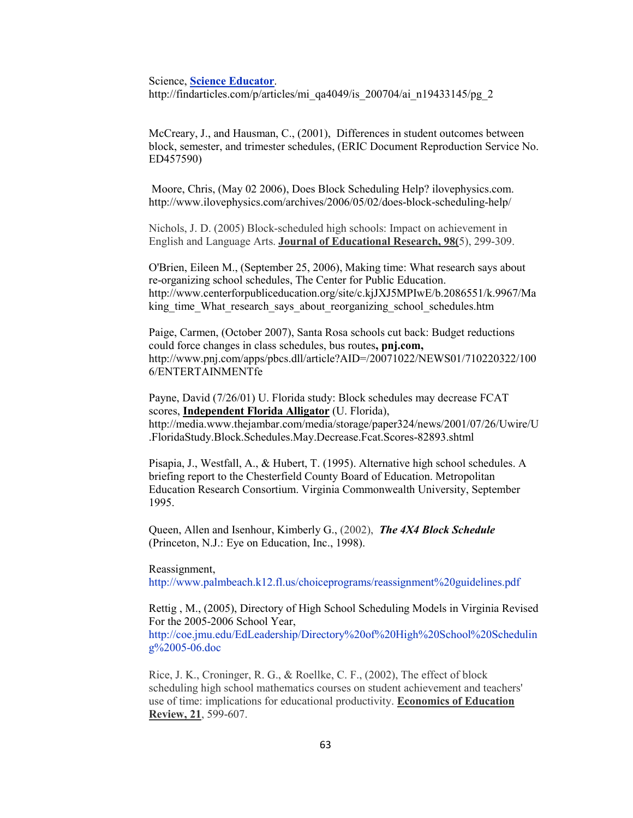#### **Science, Science Educator.**

http://findarticles.com/p/articles/mi qa4049/is 200704/ai n19433145/pg 2

McCreary, J., and Hausman, C., (2001), Differences in student outcomes between block, semester, and trimester schedules, (ERIC Document Reproduction Service No. ED457590)

Moore, Chris, (May 02 2006), Does Block Scheduling Help? ilovephysics.com. http://www.ilovephysics.com/archives/2006/05/02/does-block-scheduling-help/

Nichols, J. D. (2005) Block-scheduled high schools: Impact on achievement in English and Language Arts. Journal of Educational Research, 98(5), 299-309.

O'Brien, Eileen M., (September 25, 2006), Making time: What research says about re-organizing school schedules, The Center for Public Education. http://www.centerforpubliceducation.org/site/c.kjJXJ5MPIwE/b.2086551/k.9967/Ma king time What research says about reorganizing school schedules.htm

Paige, Carmen, (October 2007), Santa Rosa schools cut back: Budget reductions could force changes in class schedules, bus routes, pnj.com, http://www.pnj.com/apps/pbcs.dll/article?AID=/20071022/NEWS01/710220322/100 6/ENTERTAINMENTfe

Payne, David (7/26/01) U. Florida study: Block schedules may decrease FCAT scores, Independent Florida Alligator (U. Florida), http://media.www.thejambar.com/media/storage/paper324/news/2001/07/26/Uwire/U .FloridaStudy.Block.Schedules.May.Decrease.Fcat.Scores-82893.shtml

Pisapia, J., Westfall, A., & Hubert, T. (1995). Alternative high school schedules. A briefing report to the Chesterfield County Board of Education. Metropolitan Education Research Consortium. Virginia Commonwealth University, September 1995.

Queen, Allen and Isenhour, Kimberly G., (2002), The 4X4 Block Schedule (Princeton, N.J.: Eye on Education, Inc., 1998).

Reassignment.

http://www.palmbeach.k12.fl.us/choiceprograms/reassignment%20guidelines.pdf

Rettig, M., (2005), Directory of High School Scheduling Models in Virginia Revised For the 2005-2006 School Year,

http://coe.jmu.edu/EdLeadership/Directory%20of%20High%20School%20Schedulin g%2005-06.doc

Rice, J. K., Croninger, R. G., & Roellke, C. F., (2002), The effect of block scheduling high school mathematics courses on student achievement and teachers' use of time: implications for educational productivity. Economics of Education Review, 21, 599-607.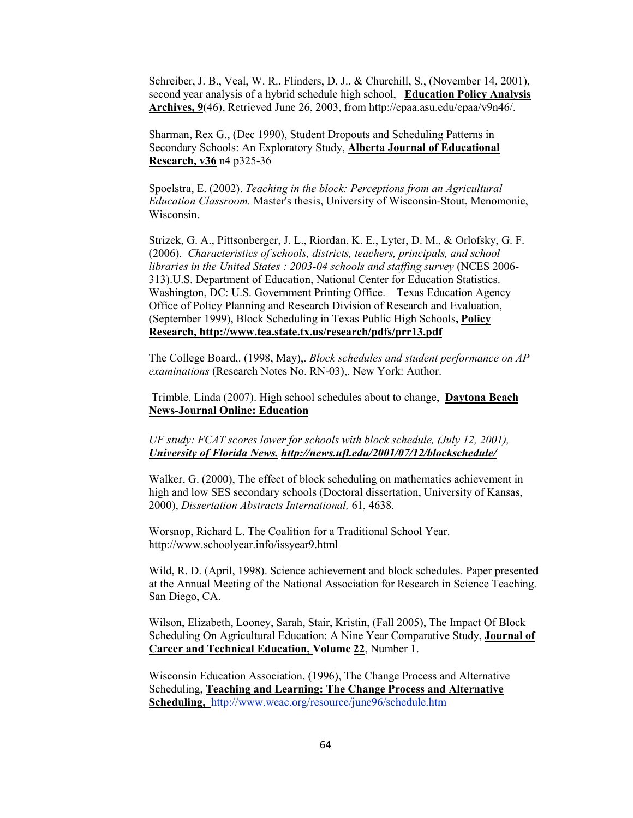Schreiber, J. B., Veal, W. R., Flinders, D. J., & Churchill, S., (November 14, 2001). second year analysis of a hybrid schedule high school, Education Policy Analysis Archives, 9(46), Retrieved June 26, 2003, from http://epaa.asu.edu/epaa/v9n46/.

Sharman, Rex G., (Dec 1990), Student Dropouts and Scheduling Patterns in Secondary Schools: An Exploratory Study, Alberta Journal of Educational **Research, v36 n4 p325-36** 

Spoelstra, E. (2002). Teaching in the block: Perceptions from an Agricultural *Education Classroom.* Master's thesis, University of Wisconsin-Stout, Menomonie, Wisconsin.

Strizek, G. A., Pittsonberger, J. L., Riordan, K. E., Lyter, D. M., & Orlofsky, G. F. (2006). Characteristics of schools, districts, teachers, principals, and school libraries in the United States: 2003-04 schools and staffing survey (NCES 2006-313).U.S. Department of Education, National Center for Education Statistics. Washington, DC: U.S. Government Printing Office. Texas Education Agency Office of Policy Planning and Research Division of Research and Evaluation, (September 1999), Block Scheduling in Texas Public High Schools, Policy Research, http://www.tea.state.tx.us/research/pdfs/prr13.pdf

The College Board,. (1998, May),. Block schedules and student performance on AP examinations (Research Notes No. RN-03),. New York: Author.

Trimble, Linda (2007). High school schedules about to change, Daytona Beach **News-Journal Online: Education** 

UF study: FCAT scores lower for schools with block schedule, (July 12, 2001), University of Florida News. http://news.ufl.edu/2001/07/12/blockschedule/

Walker, G. (2000). The effect of block scheduling on mathematics achievement in high and low SES secondary schools (Doctoral dissertation, University of Kansas, 2000), Dissertation Abstracts International, 61, 4638.

Worsnop, Richard L. The Coalition for a Traditional School Year. http://www.schoolyear.info/issyear9.html

Wild, R. D. (April, 1998). Science achievement and block schedules. Paper presented at the Annual Meeting of the National Association for Research in Science Teaching. San Diego, CA.

Wilson, Elizabeth, Looney, Sarah, Stair, Kristin, (Fall 2005), The Impact Of Block Scheduling On Agricultural Education: A Nine Year Comparative Study, Journal of Career and Technical Education, Volume 22, Number 1.

Wisconsin Education Association, (1996), The Change Process and Alternative Scheduling, Teaching and Learning: The Change Process and Alternative Scheduling, http://www.weac.org/resource/june96/schedule.htm